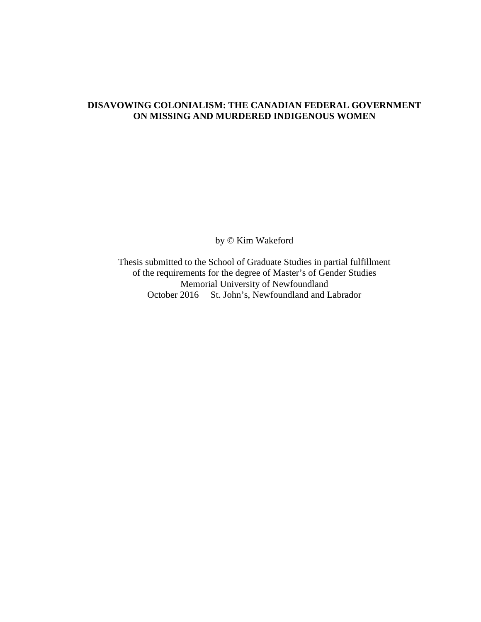### **DISAVOWING COLONIALISM: THE CANADIAN FEDERAL GOVERNMENT ON MISSING AND MURDERED INDIGENOUS WOMEN**

by © Kim Wakeford

Thesis submitted to the School of Graduate Studies in partial fulfillment of the requirements for the degree of Master's of Gender Studies Memorial University of Newfoundland October 2016 St. John's, Newfoundland and Labrador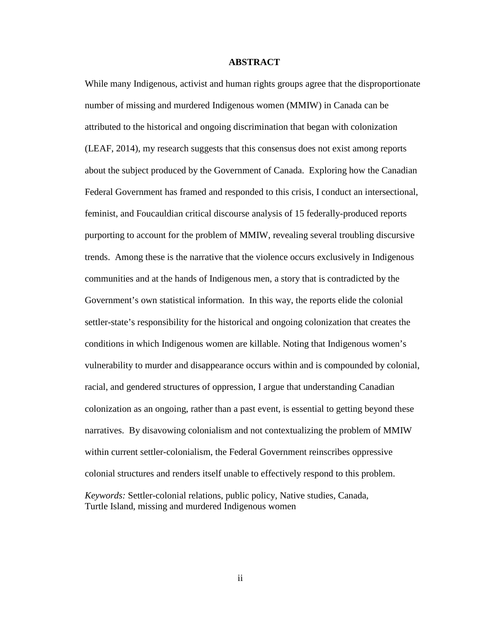### **ABSTRACT**

While many Indigenous, activist and human rights groups agree that the disproportionate number of missing and murdered Indigenous women (MMIW) in Canada can be attributed to the historical and ongoing discrimination that began with colonization (LEAF, 2014), my research suggests that this consensus does not exist among reports about the subject produced by the Government of Canada. Exploring how the Canadian Federal Government has framed and responded to this crisis, I conduct an intersectional, feminist, and Foucauldian critical discourse analysis of 15 federally-produced reports purporting to account for the problem of MMIW, revealing several troubling discursive trends. Among these is the narrative that the violence occurs exclusively in Indigenous communities and at the hands of Indigenous men, a story that is contradicted by the Government's own statistical information. In this way, the reports elide the colonial settler-state's responsibility for the historical and ongoing colonization that creates the conditions in which Indigenous women are killable. Noting that Indigenous women's vulnerability to murder and disappearance occurs within and is compounded by colonial, racial, and gendered structures of oppression, I argue that understanding Canadian colonization as an ongoing, rather than a past event, is essential to getting beyond these narratives. By disavowing colonialism and not contextualizing the problem of MMIW within current settler-colonialism, the Federal Government reinscribes oppressive colonial structures and renders itself unable to effectively respond to this problem. *Keywords:* Settler-colonial relations, public policy, Native studies, Canada, Turtle Island, missing and murdered Indigenous women

ii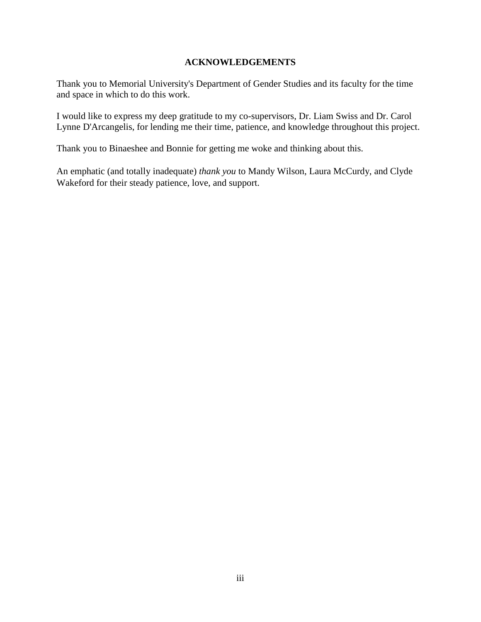### **ACKNOWLEDGEMENTS**

Thank you to Memorial University's Department of Gender Studies and its faculty for the time and space in which to do this work.

I would like to express my deep gratitude to my co-supervisors, Dr. Liam Swiss and Dr. Carol Lynne D'Arcangelis, for lending me their time, patience, and knowledge throughout this project.

Thank you to Binaeshee and Bonnie for getting me woke and thinking about this.

An emphatic (and totally inadequate) *thank you* to Mandy Wilson, Laura McCurdy, and Clyde Wakeford for their steady patience, love, and support.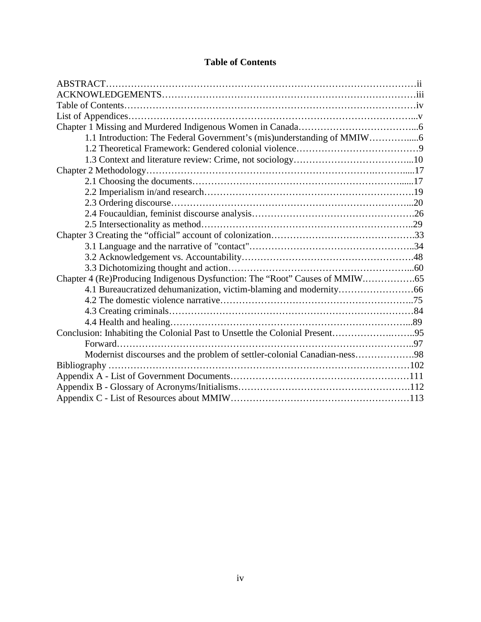| 1.1 Introduction: The Federal Government's (mis)understanding of MMIW                                                                                                                                                                                                                        |  |
|----------------------------------------------------------------------------------------------------------------------------------------------------------------------------------------------------------------------------------------------------------------------------------------------|--|
|                                                                                                                                                                                                                                                                                              |  |
|                                                                                                                                                                                                                                                                                              |  |
|                                                                                                                                                                                                                                                                                              |  |
|                                                                                                                                                                                                                                                                                              |  |
|                                                                                                                                                                                                                                                                                              |  |
|                                                                                                                                                                                                                                                                                              |  |
|                                                                                                                                                                                                                                                                                              |  |
|                                                                                                                                                                                                                                                                                              |  |
|                                                                                                                                                                                                                                                                                              |  |
|                                                                                                                                                                                                                                                                                              |  |
|                                                                                                                                                                                                                                                                                              |  |
|                                                                                                                                                                                                                                                                                              |  |
|                                                                                                                                                                                                                                                                                              |  |
|                                                                                                                                                                                                                                                                                              |  |
|                                                                                                                                                                                                                                                                                              |  |
|                                                                                                                                                                                                                                                                                              |  |
|                                                                                                                                                                                                                                                                                              |  |
| Conclusion: Inhabiting the Colonial Past to Unsettle the Colonial Present95                                                                                                                                                                                                                  |  |
|                                                                                                                                                                                                                                                                                              |  |
| Modernist discourses and the problem of settler-colonial Canadian-ness98                                                                                                                                                                                                                     |  |
| Bibliography $\ldots$ and $\ldots$ and $\ldots$ and $\ldots$ and $\ldots$ and $\ldots$ and $\ldots$ and $\ldots$ and $\ldots$ and $\ldots$ and $\ldots$ and $\ldots$ and $\ldots$ and $\ldots$ and $\ldots$ and $\ldots$ and $\ldots$ and $\ldots$ and $\ldots$ and $\ldots$ and $\ldots$ an |  |
|                                                                                                                                                                                                                                                                                              |  |
|                                                                                                                                                                                                                                                                                              |  |
|                                                                                                                                                                                                                                                                                              |  |

# **Table of Contents**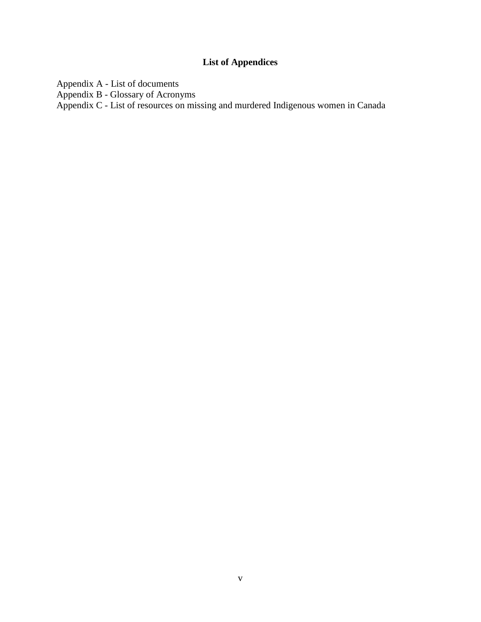# **List of Appendices**

Appendix A - List of documents

Appendix B - Glossary of Acronyms

Appendix C - List of resources on missing and murdered Indigenous women in Canada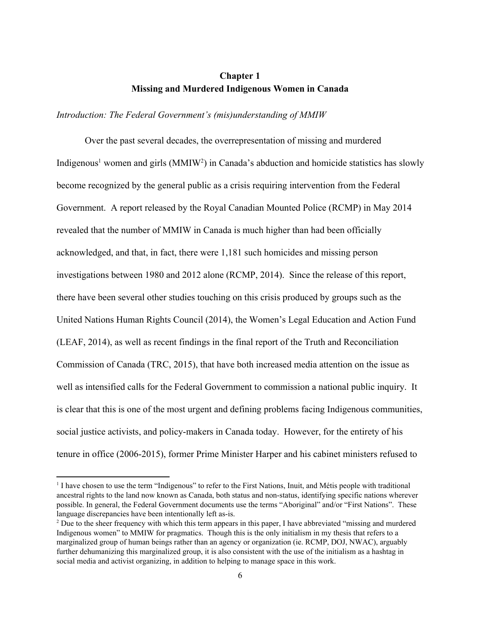### **Chapter 1 Missing and Murdered Indigenous Women in Canada**

*Introduction: The Federal Government's (mis)understanding of MMIW*

Over the past several decades, the overrepresentation of missing and murdered Indigenous<sup>1</sup> women and girls  $(MMIW<sup>2</sup>)$  in Canada's abduction and homicide statistics has slowly become recognized by the general public as a crisis requiring intervention from the Federal Government. A report released by the Royal Canadian Mounted Police (RCMP) in May 2014 revealed that the number of MMIW in Canada is much higher than had been officially acknowledged, and that, in fact, there were 1,181 such homicides and missing person investigations between 1980 and 2012 alone (RCMP, 2014). Since the release of this report, there have been several other studies touching on this crisis produced by groups such as the United Nations Human Rights Council (2014), the Women's Legal Education and Action Fund (LEAF, 2014), as well as recent findings in the final report of the Truth and Reconciliation Commission of Canada (TRC, 2015), that have both increased media attention on the issue as well as intensified calls for the Federal Government to commission a national public inquiry. It is clear that this is one of the most urgent and defining problems facing Indigenous communities, social justice activists, and policy-makers in Canada today. However, for the entirety of his tenure in office (2006-2015), former Prime Minister Harper and his cabinet ministers refused to

<sup>&</sup>lt;sup>1</sup> I have chosen to use the term "Indigenous" to refer to the First Nations, Inuit, and Métis people with traditional ancestral rights to the land now known as Canada, both status and nonstatus, identifying specific nations wherever possible. In general, the Federal Government documents use the terms "Aboriginal" and/or "First Nations". These language discrepancies have been intentionally left as-is.

<sup>&</sup>lt;sup>2</sup> Due to the sheer frequency with which this term appears in this paper, I have abbreviated "missing and murdered" Indigenous women" to MMIW for pragmatics. Though this is the only initialism in my thesis that refers to a marginalized group of human beings rather than an agency or organization (ie. RCMP, DOJ, NWAC), arguably further dehumanizing this marginalized group, it is also consistent with the use of the initialism as a hashtag in social media and activist organizing, in addition to helping to manage space in this work.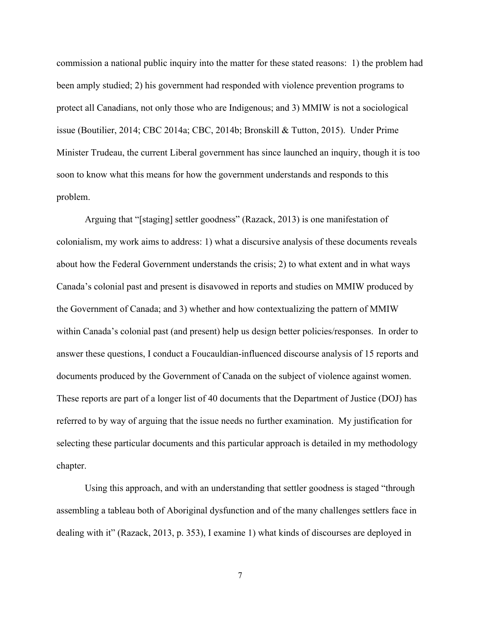commission a national public inquiry into the matter for these stated reasons: 1) the problem had been amply studied; 2) his government had responded with violence prevention programs to protect all Canadians, not only those who are Indigenous; and 3) MMIW is not a sociological issue (Boutilier, 2014; CBC 2014a; CBC, 2014b; Bronskill & Tutton, 2015). Under Prime Minister Trudeau, the current Liberal government has since launched an inquiry, though it is too soon to know what this means for how the government understands and responds to this problem.

Arguing that "[staging] settler goodness" (Razack, 2013) is one manifestation of colonialism, my work aims to address: 1) what a discursive analysis of these documents reveals about how the Federal Government understands the crisis; 2) to what extent and in what ways Canada's colonial past and present is disavowed in reports and studies on MMIW produced by the Government of Canada; and 3) whether and how contextualizing the pattern of MMIW within Canada's colonial past (and present) help us design better policies/responses. In order to answer these questions, I conduct a Foucauldian-influenced discourse analysis of 15 reports and documents produced by the Government of Canada on the subject of violence against women. These reports are part of a longer list of 40 documents that the Department of Justice (DOJ) has referred to by way of arguing that the issue needs no further examination. My justification for selecting these particular documents and this particular approach is detailed in my methodology chapter.

Using this approach, and with an understanding that settler goodness is staged "through assembling a tableau both of Aboriginal dysfunction and of the many challenges settlers face in dealing with it" (Razack, 2013, p. 353), I examine 1) what kinds of discourses are deployed in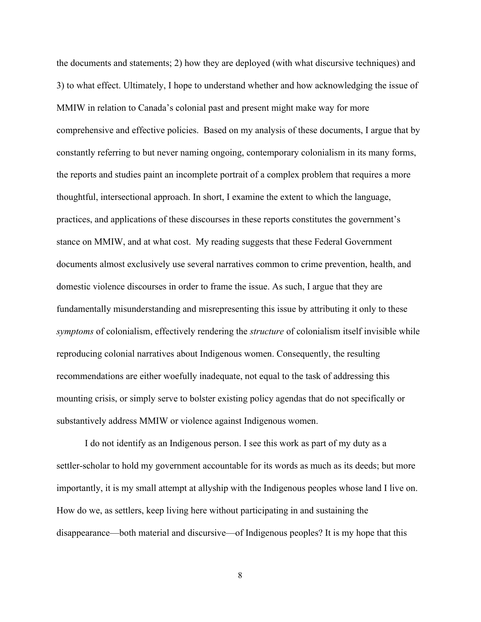the documents and statements; 2) how they are deployed (with what discursive techniques) and 3) to what effect. Ultimately, I hope to understand whether and how acknowledging the issue of MMIW in relation to Canada's colonial past and present might make way for more comprehensive and effective policies. Based on my analysis of these documents, I argue that by constantly referring to but never naming ongoing, contemporary colonialism in its many forms, the reports and studies paint an incomplete portrait of a complex problem that requires a more thoughtful, intersectional approach. In short, I examine the extent to which the language, practices, and applications of these discourses in these reports constitutes the government's stance on MMIW, and at what cost. My reading suggests that these Federal Government documents almost exclusively use several narratives common to crime prevention, health, and domestic violence discourses in order to frame the issue. As such, I argue that they are fundamentally misunderstanding and misrepresenting this issue by attributing it only to these *symptoms* of colonialism, effectively rendering the *structure* of colonialism itself invisible while reproducing colonial narratives about Indigenous women. Consequently, the resulting recommendations are either woefully inadequate, not equal to the task of addressing this mounting crisis, or simply serve to bolster existing policy agendas that do not specifically or substantively address MMIW or violence against Indigenous women.

I do not identify as an Indigenous person. I see this work as part of my duty as a settler-scholar to hold my government accountable for its words as much as its deeds; but more importantly, it is my small attempt at allyship with the Indigenous peoples whose land I live on. How do we, as settlers, keep living here without participating in and sustaining the disappearance—both material and discursive—of Indigenous peoples? It is my hope that this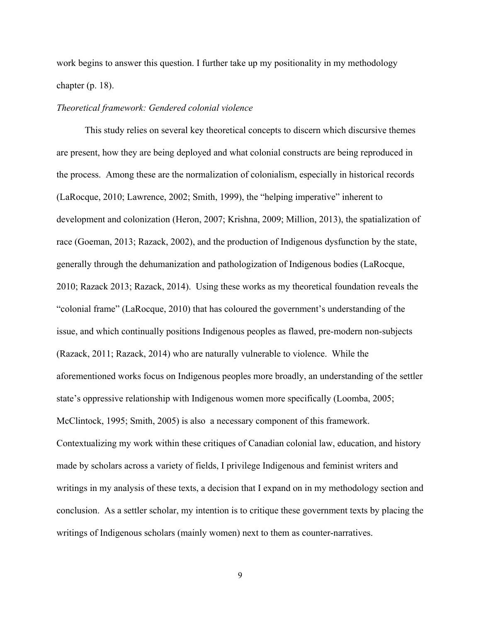work begins to answer this question. I further take up my positionality in my methodology chapter (p. 18).

### *Theoretical framework: Gendered colonial violence*

This study relies on several key theoretical concepts to discern which discursive themes are present, how they are being deployed and what colonial constructs are being reproduced in the process. Among these are the normalization of colonialism, especially in historical records (LaRocque, 2010; Lawrence, 2002; Smith, 1999), the "helping imperative" inherent to development and colonization (Heron, 2007; Krishna, 2009; Million, 2013), the spatialization of race (Goeman, 2013; Razack, 2002), and the production of Indigenous dysfunction by the state, generally through the dehumanization and pathologization of Indigenous bodies (LaRocque, 2010; Razack 2013; Razack, 2014). Using these works as my theoretical foundation reveals the "colonial frame" (LaRocque, 2010) that has coloured the government's understanding of the issue, and which continually positions Indigenous peoples as flawed, pre-modern non-subjects (Razack, 2011; Razack, 2014) who are naturally vulnerable to violence. While the aforementioned works focus on Indigenous peoples more broadly, an understanding of the settler state's oppressive relationship with Indigenous women more specifically (Loomba, 2005; McClintock, 1995; Smith, 2005) is also a necessary component of this framework. Contextualizing my work within these critiques of Canadian colonial law, education, and history made by scholars across a variety of fields, I privilege Indigenous and feminist writers and writings in my analysis of these texts, a decision that I expand on in my methodology section and conclusion. As a settler scholar, my intention is to critique these government texts by placing the writings of Indigenous scholars (mainly women) next to them as counter-narratives.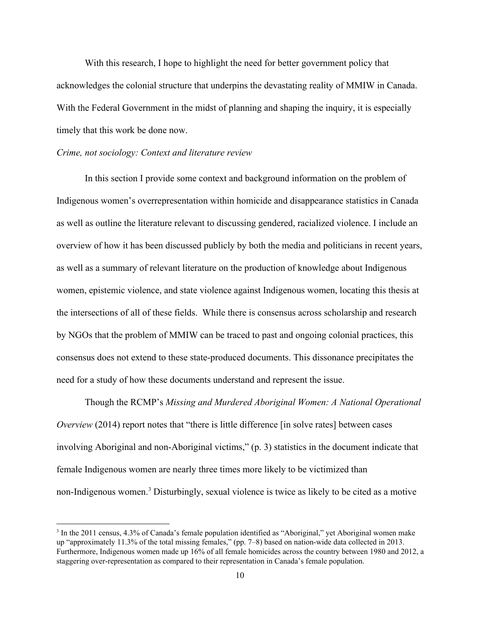With this research, I hope to highlight the need for better government policy that acknowledges the colonial structure that underpins the devastating reality of MMIW in Canada. With the Federal Government in the midst of planning and shaping the inquiry, it is especially timely that this work be done now.

### *Crime, not sociology: Context and literature review*

In this section I provide some context and background information on the problem of Indigenous women's overrepresentation within homicide and disappearance statistics in Canada as well as outline the literature relevant to discussing gendered, racialized violence. I include an overview of how it has been discussed publicly by both the media and politicians in recent years, as well as a summary of relevant literature on the production of knowledge about Indigenous women, epistemic violence, and state violence against Indigenous women, locating this thesis at the intersections of all of these fields. While there is consensus across scholarship and research by NGOs that the problem of MMIW can be traced to past and ongoing colonial practices, this consensus does not extend to these state-produced documents. This dissonance precipitates the need for a study of how these documents understand and represent the issue.

Though the RCMP's *Missing and Murdered Aboriginal Women: A National Operational Overview* (2014) report notes that "there is little difference [in solve rates] between cases involving Aboriginal and non-Aboriginal victims," (p. 3) statistics in the document indicate that female Indigenous women are nearly three times more likely to be victimized than non-Indigenous women.<sup>3</sup> Disturbingly, sexual violence is twice as likely to be cited as a motive

<sup>&</sup>lt;sup>3</sup> In the 2011 census, 4.3% of Canada's female population identified as "Aboriginal," yet Aboriginal women make up "approximately 11.3% of the total missing females," (pp. 7–8) based on nationwide data collected in 2013. Furthermore, Indigenous women made up 16% of all female homicides across the country between 1980 and 2012, a staggering over-representation as compared to their representation in Canada's female population.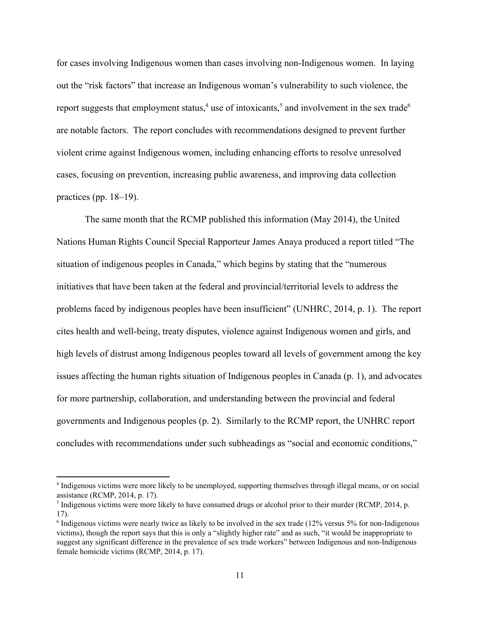for cases involving Indigenous women than cases involving non-Indigenous women. In laying out the "risk factors" that increase an Indigenous woman's vulnerability to such violence, the report suggests that employment status,<sup>4</sup> use of intoxicants,<sup>5</sup> and involvement in the sex trade<sup>6</sup> are notable factors. The report concludes with recommendations designed to prevent further violent crime against Indigenous women, including enhancing efforts to resolve unresolved cases, focusing on prevention, increasing public awareness, and improving data collection practices (pp. 18–19).

The same month that the RCMP published this information (May 2014), the United Nations Human Rights Council Special Rapporteur James Anaya produced a report titled "The situation of indigenous peoples in Canada," which begins by stating that the "numerous initiatives that have been taken at the federal and provincial/territorial levels to address the problems faced by indigenous peoples have been insufficient" (UNHRC, 2014, p. 1). The report cites health and well-being, treaty disputes, violence against Indigenous women and girls, and high levels of distrust among Indigenous peoples toward all levels of government among the key issues affecting the human rights situation of Indigenous peoples in Canada (p. 1), and advocates for more partnership, collaboration, and understanding between the provincial and federal governments and Indigenous peoples (p. 2). Similarly to the RCMP report, the UNHRC report concludes with recommendations under such subheadings as "social and economic conditions,"

<sup>4</sup> Indigenous victims were more likely to be unemployed, supporting themselves through illegal means, or on social assistance (RCMP, 2014, p. 17).

 $<sup>5</sup>$  Indigenous victims were more likely to have consumed drugs or alcohol prior to their murder (RCMP, 2014, p.</sup> 17).

<sup>&</sup>lt;sup>6</sup> Indigenous victims were nearly twice as likely to be involved in the sex trade (12% versus 5% for non-Indigenous victims), though the report says that this is only a "slightly higher rate" and as such, "it would be inappropriate to suggest any significant difference in the prevalence of sex trade workers" between Indigenous and non-Indigenous female homicide victims (RCMP, 2014, p. 17).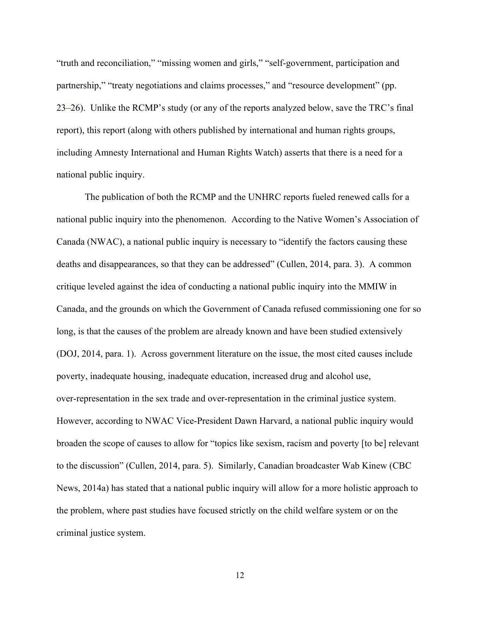"truth and reconciliation," "missing women and girls," "self-government, participation and partnership," "treaty negotiations and claims processes," and "resource development" (pp. 23–26). Unlike the RCMP's study (or any of the reports analyzed below, save the TRC's final report), this report (along with others published by international and human rights groups, including Amnesty International and Human Rights Watch) asserts that there is a need for a national public inquiry.

The publication of both the RCMP and the UNHRC reports fueled renewed calls for a national public inquiry into the phenomenon. According to the Native Women's Association of Canada (NWAC), a national public inquiry is necessary to "identify the factors causing these deaths and disappearances, so that they can be addressed" (Cullen, 2014, para. 3). A common critique leveled against the idea of conducting a national public inquiry into the MMIW in Canada, and the grounds on which the Government of Canada refused commissioning one for so long, is that the causes of the problem are already known and have been studied extensively (DOJ, 2014, para. 1). Across government literature on the issue, the most cited causes include poverty, inadequate housing, inadequate education, increased drug and alcohol use, over-representation in the sex trade and over-representation in the criminal justice system. However, according to NWAC Vice-President Dawn Harvard, a national public inquiry would broaden the scope of causes to allow for "topics like sexism, racism and poverty [to be] relevant to the discussion" (Cullen, 2014, para. 5). Similarly, Canadian broadcaster Wab Kinew (CBC News, 2014a) has stated that a national public inquiry will allow for a more holistic approach to the problem, where past studies have focused strictly on the child welfare system or on the criminal justice system.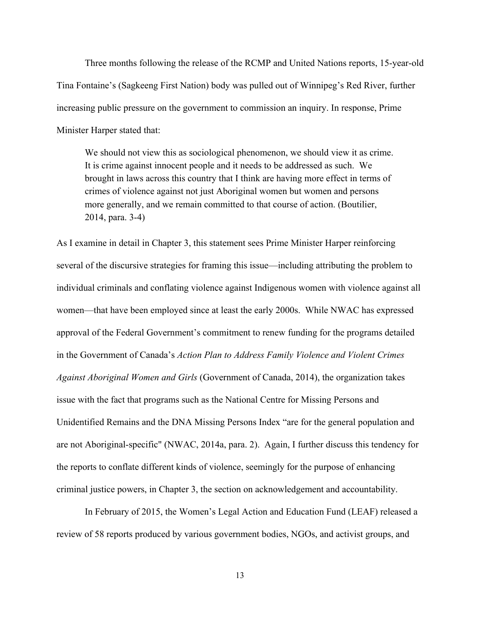Three months following the release of the RCMP and United Nations reports, 15-year-old Tina Fontaine's (Sagkeeng First Nation) body was pulled out of Winnipeg's Red River, further increasing public pressure on the government to commission an inquiry. In response, Prime Minister Harper stated that:

We should not view this as sociological phenomenon, we should view it as crime. It is crime against innocent people and it needs to be addressed as such. We brought in laws across this country that I think are having more effect in terms of crimes of violence against not just Aboriginal women but women and persons more generally, and we remain committed to that course of action. (Boutilier,  $2014$ , para. 3-4)

As I examine in detail in Chapter 3, this statement sees Prime Minister Harper reinforcing several of the discursive strategies for framing this issue—including attributing the problem to individual criminals and conflating violence against Indigenous women with violence against all women—that have been employed since at least the early 2000s. While NWAC has expressed approval of the Federal Government's commitment to renew funding for the programs detailed in the Government of Canada's *Action Plan to Address Family Violence and Violent Crimes Against Aboriginal Women and Girls* (Government of Canada, 2014), the organization takes issue with the fact that programs such as the National Centre for Missing Persons and Unidentified Remains and the DNA Missing Persons Index "are for the general population and are not Aboriginal-specific" (NWAC, 2014a, para. 2). Again, I further discuss this tendency for the reports to conflate different kinds of violence, seemingly for the purpose of enhancing criminal justice powers, in Chapter 3, the section on acknowledgement and accountability.

In February of 2015, the Women's Legal Action and Education Fund (LEAF) released a review of 58 reports produced by various government bodies, NGOs, and activist groups, and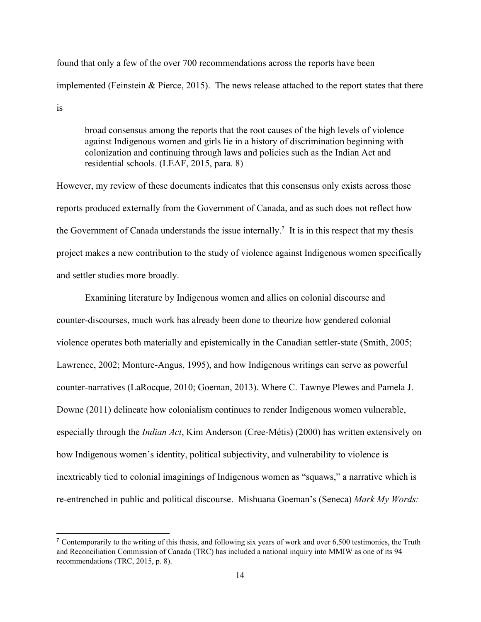found that only a few of the over 700 recommendations across the reports have been implemented (Feinstein & Pierce, 2015). The news release attached to the report states that there is

broad consensus among the reports that the root causes of the high levels of violence against Indigenous women and girls lie in a history of discrimination beginning with colonization and continuing through laws and policies such as the Indian Act and residential schools. (LEAF, 2015, para. 8)

However, my review of these documents indicates that this consensus only exists across those reports produced externally from the Government of Canada, and as such does not reflect how the Government of Canada understands the issue internally.<sup>7</sup> It is in this respect that my thesis project makes a new contribution to the study of violence against Indigenous women specifically and settler studies more broadly.

Examining literature by Indigenous women and allies on colonial discourse and counter-discourses, much work has already been done to theorize how gendered colonial violence operates both materially and epistemically in the Canadian settler-state (Smith, 2005; Lawrence, 2002; Monture-Angus, 1995), and how Indigenous writings can serve as powerful counter-narratives (LaRocque, 2010; Goeman, 2013). Where C. Tawnye Plewes and Pamela J. Downe (2011) delineate how colonialism continues to render Indigenous women vulnerable, especially through the *Indian Act*, Kim Anderson (Cree-Métis) (2000) has written extensively on how Indigenous women's identity, political subjectivity, and vulnerability to violence is inextricably tied to colonial imaginings of Indigenous women as "squaws," a narrative which is re-entrenched in public and political discourse. Mishuana Goeman's (Seneca) *Mark My Words*:

<sup>&</sup>lt;sup>7</sup> Contemporarily to the writing of this thesis, and following six years of work and over 6,500 testimonies, the Truth and Reconciliation Commission of Canada (TRC) has included a national inquiry into MMIW as one of its 94 recommendations (TRC, 2015, p. 8).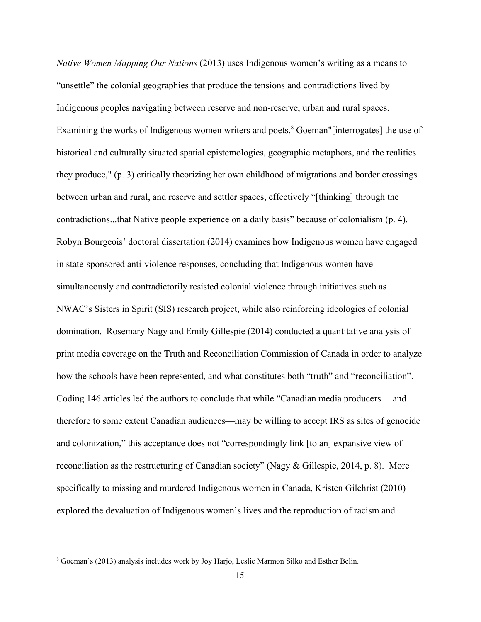*Native Women Mapping Our Nations* (2013) uses Indigenous women's writing as a means to "unsettle" the colonial geographies that produce the tensions and contradictions lived by Indigenous peoples navigating between reserve and non-reserve, urban and rural spaces. Examining the works of Indigenous women writers and poets,<sup>8</sup> Goeman"[interrogates] the use of historical and culturally situated spatial epistemologies, geographic metaphors, and the realities they produce," (p. 3) critically theorizing her own childhood of migrations and border crossings between urban and rural, and reserve and settler spaces, effectively "[thinking] through the contradictions...that Native people experience on a daily basis" because of colonialism (p. 4). Robyn Bourgeois' doctoral dissertation (2014) examines how Indigenous women have engaged in state-sponsored anti-violence responses, concluding that Indigenous women have simultaneously and contradictorily resisted colonial violence through initiatives such as NWAC's Sisters in Spirit (SIS) research project, while also reinforcing ideologies of colonial domination. Rosemary Nagy and Emily Gillespie (2014) conducted a quantitative analysis of print media coverage on the Truth and Reconciliation Commission of Canada in order to analyze how the schools have been represented, and what constitutes both "truth" and "reconciliation". Coding 146 articles led the authors to conclude that while "Canadian media producers— and therefore to some extent Canadian audiences—may be willing to accept IRS as sites of genocide and colonization," this acceptance does not "correspondingly link [to an] expansive view of reconciliation as the restructuring of Canadian society" (Nagy & Gillespie, 2014, p. 8). More specifically to missing and murdered Indigenous women in Canada, Kristen Gilchrist (2010) explored the devaluation of Indigenous women's lives and the reproduction of racism and

<sup>8</sup> Goeman's (2013) analysis includes work by Joy Harjo, Leslie Marmon Silko and Esther Belin.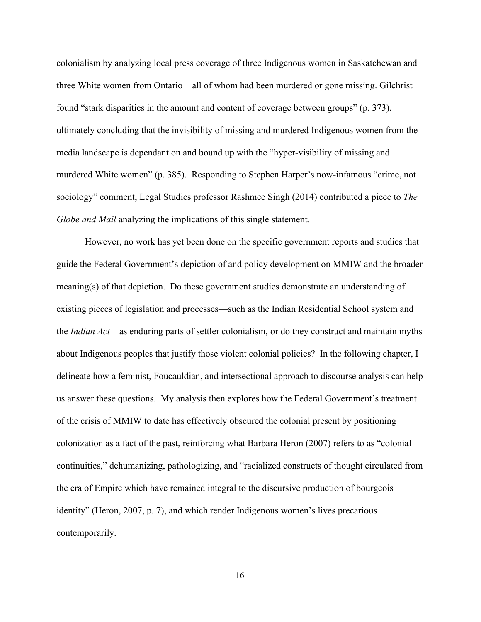colonialism by analyzing local press coverage of three Indigenous women in Saskatchewan and three White women from Ontario—all of whom had been murdered or gone missing. Gilchrist found "stark disparities in the amount and content of coverage between groups" (p. 373), ultimately concluding that the invisibility of missing and murdered Indigenous women from the media landscape is dependant on and bound up with the "hyper-visibility of missing and murdered White women" (p. 385). Responding to Stephen Harper's now-infamous "crime, not sociology" comment, Legal Studies professor Rashmee Singh (2014) contributed a piece to *The Globe and Mail* analyzing the implications of this single statement.

However, no work has yet been done on the specific government reports and studies that guide the Federal Government's depiction of and policy development on MMIW and the broader meaning(s) of that depiction. Do these government studies demonstrate an understanding of existing pieces of legislation and processes—such as the Indian Residential School system and the *Indian Act*—as enduring parts of settler colonialism, or do they construct and maintain myths about Indigenous peoples that justify those violent colonial policies? In the following chapter, I delineate how a feminist, Foucauldian, and intersectional approach to discourse analysis can help us answer these questions. My analysis then explores how the Federal Government's treatment of the crisis of MMIW to date has effectively obscured the colonial present by positioning colonization as a fact of the past, reinforcing what Barbara Heron (2007) refers to as "colonial continuities," dehumanizing, pathologizing, and "racialized constructs of thought circulated from the era of Empire which have remained integral to the discursive production of bourgeois identity" (Heron, 2007, p. 7), and which render Indigenous women's lives precarious contemporarily.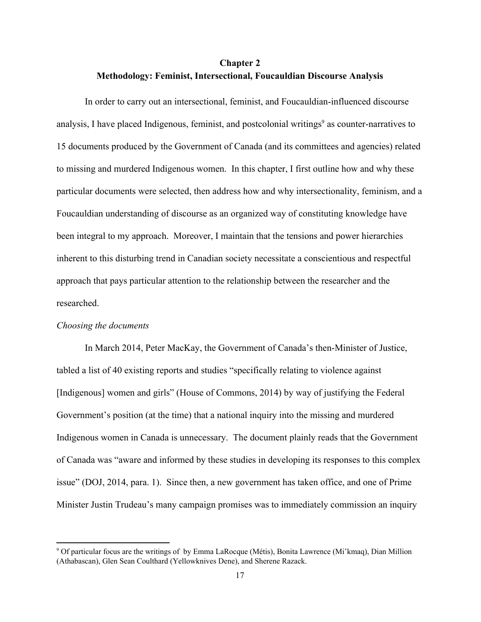## **Chapter 2 Methodology: Feminist, Intersectional, Foucauldian Discourse Analysis**

In order to carry out an intersectional, feminist, and Foucauldian-influenced discourse analysis, I have placed Indigenous, feminist, and postcolonial writings<sup>9</sup> as counter-narratives to 15 documents produced by the Government of Canada (and its committees and agencies) related to missing and murdered Indigenous women. In this chapter, I first outline how and why these particular documents were selected, then address how and why intersectionality, feminism, and a Foucauldian understanding of discourse as an organized way of constituting knowledge have been integral to my approach. Moreover, I maintain that the tensions and power hierarchies inherent to this disturbing trend in Canadian society necessitate a conscientious and respectful approach that pays particular attention to the relationship between the researcher and the researched.

### *Choosing the documents*

In March 2014, Peter MacKay, the Government of Canada's then-Minister of Justice, tabled a list of 40 existing reports and studies "specifically relating to violence against [Indigenous] women and girls" (House of Commons, 2014) by way of justifying the Federal Government's position (at the time) that a national inquiry into the missing and murdered Indigenous women in Canada is unnecessary. The document plainly reads that the Government of Canada was "aware and informed by these studies in developing its responses to this complex issue" (DOJ, 2014, para. 1). Since then, a new government has taken office, and one of Prime Minister Justin Trudeau's many campaign promises was to immediately commission an inquiry

<sup>9</sup> Of particular focus are the writings of by Emma LaRocque (Métis), Bonita Lawrence (Mi'kmaq), Dian Million (Athabascan), Glen Sean Coulthard (Yellowknives Dene), and Sherene Razack.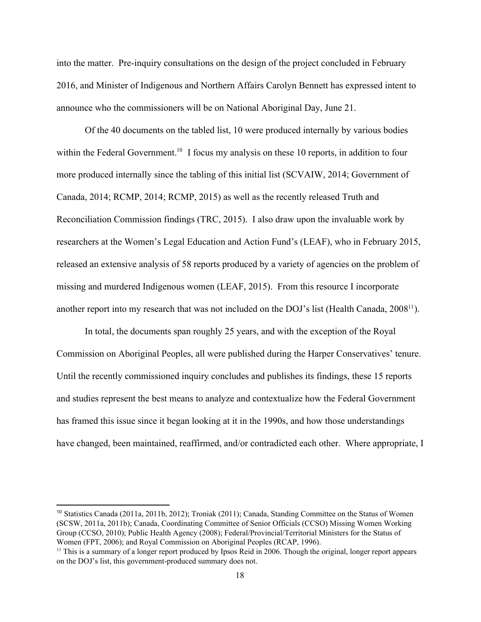into the matter. Pre-inquiry consultations on the design of the project concluded in February 2016, and Minister of Indigenous and Northern Affairs Carolyn Bennett has expressed intent to announce who the commissioners will be on National Aboriginal Day, June 21.

Of the 40 documents on the tabled list, 10 were produced internally by various bodies within the Federal Government.<sup>10</sup> I focus my analysis on these 10 reports, in addition to four more produced internally since the tabling of this initial list (SCVAIW, 2014; Government of Canada, 2014; RCMP, 2014; RCMP, 2015) as well as the recently released Truth and Reconciliation Commission findings (TRC, 2015). I also draw upon the invaluable work by researchers at the Women's Legal Education and Action Fund's (LEAF), who in February 2015, released an extensive analysis of 58 reports produced by a variety of agencies on the problem of missing and murdered Indigenous women (LEAF, 2015). From this resource I incorporate another report into my research that was not included on the DOJ's list (Health Canada, 2008<sup>11</sup>).

In total, the documents span roughly 25 years, and with the exception of the Royal Commission on Aboriginal Peoples, all were published during the Harper Conservatives' tenure. Until the recently commissioned inquiry concludes and publishes its findings, these 15 reports and studies represent the best means to analyze and contextualize how the Federal Government has framed this issue since it began looking at it in the 1990s, and how those understandings have changed, been maintained, reaffirmed, and/or contradicted each other. Where appropriate, I

<sup>10</sup> Statistics Canada (2011a, 2011b, 2012); Troniak (2011); Canada, Standing Committee on the Status of Women (SCSW, 2011a, 2011b); Canada, Coordinating Committee of Senior Officials (CCSO) Missing Women Working Group (CCSO, 2010); Public Health Agency (2008); Federal/Provincial/Territorial Ministers for the Status of Women (FPT, 2006); and Royal Commission on Aboriginal Peoples (RCAP, 1996).

<sup>&</sup>lt;sup>11</sup> This is a summary of a longer report produced by Ipsos Reid in 2006. Though the original, longer report appears on the DOJ's list, this government-produced summary does not.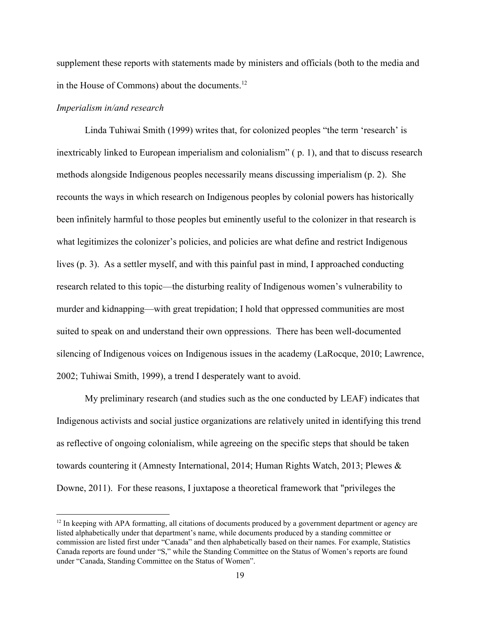supplement these reports with statements made by ministers and officials (both to the media and in the House of Commons) about the documents.<sup>12</sup>

### *Imperialism in/and research*

Linda Tuhiwai Smith (1999) writes that, for colonized peoples "the term 'research' is inextricably linked to European imperialism and colonialism" ( p. 1), and that to discuss research methods alongside Indigenous peoples necessarily means discussing imperialism (p. 2). She recounts the ways in which research on Indigenous peoples by colonial powers has historically been infinitely harmful to those peoples but eminently useful to the colonizer in that research is what legitimizes the colonizer's policies, and policies are what define and restrict Indigenous lives (p. 3). As a settler myself, and with this painful past in mind, I approached conducting research related to this topic—the disturbing reality of Indigenous women's vulnerability to murder and kidnapping—with great trepidation; I hold that oppressed communities are most suited to speak on and understand their own oppressions. There has been well-documented silencing of Indigenous voices on Indigenous issues in the academy (LaRocque, 2010; Lawrence, 2002; Tuhiwai Smith, 1999), a trend I desperately want to avoid.

My preliminary research (and studies such as the one conducted by LEAF) indicates that Indigenous activists and social justice organizations are relatively united in identifying this trend as reflective of ongoing colonialism, while agreeing on the specific steps that should be taken towards countering it (Amnesty International, 2014; Human Rights Watch, 2013; Plewes & Downe, 2011). For these reasons, I juxtapose a theoretical framework that "privileges the

 $12$  In keeping with APA formatting, all citations of documents produced by a government department or agency are listed alphabetically under that department's name, while documents produced by a standing committee or commission are listed first under "Canada" and then alphabetically based on their names. For example, Statistics Canada reports are found under "S," while the Standing Committee on the Status of Women's reports are found under "Canada, Standing Committee on the Status of Women".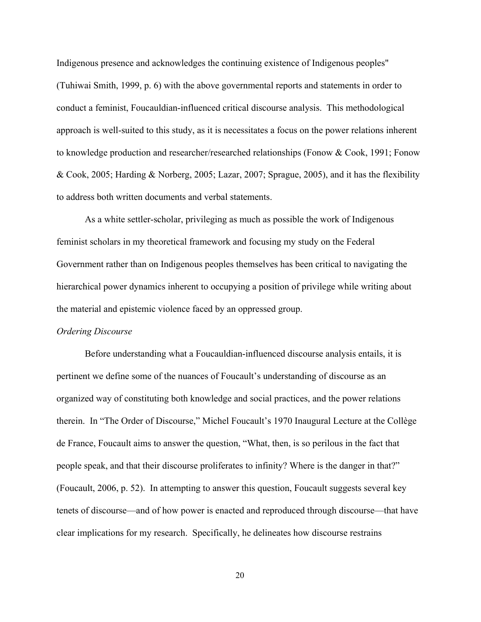Indigenous presence and acknowledges the continuing existence of Indigenous peoples" (Tuhiwai Smith, 1999, p. 6) with the above governmental reports and statements in order to conduct a feminist, Foucauldian-influenced critical discourse analysis. This methodological approach is well-suited to this study, as it is necessitates a focus on the power relations inherent to knowledge production and researcher/researched relationships (Fonow & Cook, 1991; Fonow & Cook, 2005; Harding & Norberg, 2005; Lazar, 2007; Sprague, 2005), and it has the flexibility to address both written documents and verbal statements.

As a white settler-scholar, privileging as much as possible the work of Indigenous feminist scholars in my theoretical framework and focusing my study on the Federal Government rather than on Indigenous peoples themselves has been critical to navigating the hierarchical power dynamics inherent to occupying a position of privilege while writing about the material and epistemic violence faced by an oppressed group.

#### *Ordering Discourse*

Before understanding what a Foucauldian-influenced discourse analysis entails, it is pertinent we define some of the nuances of Foucault's understanding of discourse as an organized way of constituting both knowledge and social practices, and the power relations therein. In "The Order of Discourse," Michel Foucault's 1970 Inaugural Lecture at the Collège de France, Foucault aims to answer the question, "What, then, is so perilous in the fact that people speak, and that their discourse proliferates to infinity? Where is the danger in that?" (Foucault, 2006, p. 52). In attempting to answer this question, Foucault suggests several key tenets of discourse—and of how power is enacted and reproduced through discourse—that have clear implications for my research. Specifically, he delineates how discourse restrains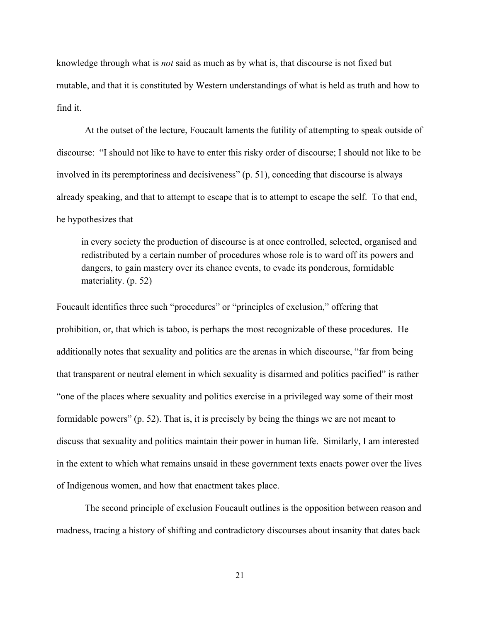knowledge through what is *not* said as much as by what is, that discourse is not fixed but mutable, and that it is constituted by Western understandings of what is held as truth and how to find it.

At the outset of the lecture, Foucault laments the futility of attempting to speak outside of discourse: "I should not like to have to enter this risky order of discourse; I should not like to be involved in its peremptoriness and decisiveness" (p. 51), conceding that discourse is always already speaking, and that to attempt to escape that is to attempt to escape the self. To that end, he hypothesizes that

in every society the production of discourse is at once controlled, selected, organised and redistributed by a certain number of procedures whose role is to ward off its powers and dangers, to gain mastery over its chance events, to evade its ponderous, formidable materiality. (p. 52)

Foucault identifies three such "procedures" or "principles of exclusion," offering that prohibition, or, that which is taboo, is perhaps the most recognizable of these procedures. He additionally notes that sexuality and politics are the arenas in which discourse, "far from being that transparent or neutral element in which sexuality is disarmed and politics pacified" is rather "one of the places where sexuality and politics exercise in a privileged way some of their most formidable powers" (p. 52). That is, it is precisely by being the things we are not meant to discuss that sexuality and politics maintain their power in human life. Similarly, I am interested in the extent to which what remains unsaid in these government texts enacts power over the lives of Indigenous women, and how that enactment takes place.

The second principle of exclusion Foucault outlines is the opposition between reason and madness, tracing a history of shifting and contradictory discourses about insanity that dates back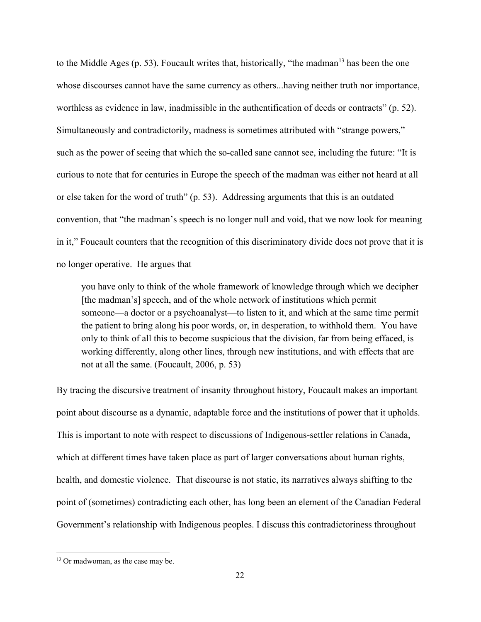to the Middle Ages (p. 53). Foucault writes that, historically, "the madman<sup>13</sup> has been the one whose discourses cannot have the same currency as others...having neither truth nor importance, worthless as evidence in law, inadmissible in the authentification of deeds or contracts" (p. 52). Simultaneously and contradictorily, madness is sometimes attributed with "strange powers," such as the power of seeing that which the so-called sane cannot see, including the future: "It is curious to note that for centuries in Europe the speech of the madman was either not heard at all or else taken for the word of truth" (p. 53). Addressing arguments that this is an outdated convention, that "the madman's speech is no longer null and void, that we now look for meaning in it," Foucault counters that the recognition of this discriminatory divide does not prove that it is no longer operative. He argues that

you have only to think of the whole framework of knowledge through which we decipher [the madman's] speech, and of the whole network of institutions which permit someone—a doctor or a psychoanalyst—to listen to it, and which at the same time permit the patient to bring along his poor words, or, in desperation, to withhold them. You have only to think of all this to become suspicious that the division, far from being effaced, is working differently, along other lines, through new institutions, and with effects that are not at all the same. (Foucault, 2006, p. 53)

By tracing the discursive treatment of insanity throughout history, Foucault makes an important point about discourse as a dynamic, adaptable force and the institutions of power that it upholds. This is important to note with respect to discussions of Indigenous-settler relations in Canada, which at different times have taken place as part of larger conversations about human rights, health, and domestic violence. That discourse is not static, its narratives always shifting to the point of (sometimes) contradicting each other, has long been an element of the Canadian Federal Government's relationship with Indigenous peoples. I discuss this contradictoriness throughout

<sup>&</sup>lt;sup>13</sup> Or madwoman, as the case may be.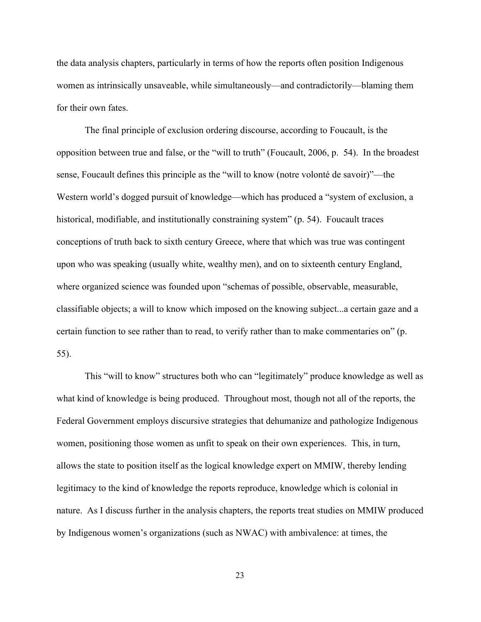the data analysis chapters, particularly in terms of how the reports often position Indigenous women as intrinsically unsaveable, while simultaneously—and contradictorily—blaming them for their own fates.

The final principle of exclusion ordering discourse, according to Foucault, is the opposition between true and false, or the "will to truth" (Foucault, 2006, p. 54). In the broadest sense, Foucault defines this principle as the "will to know (notre volonté de savoir)"—the Western world's dogged pursuit of knowledge—which has produced a "system of exclusion, a historical, modifiable, and institutionally constraining system" (p. 54). Foucault traces conceptions of truth back to sixth century Greece, where that which was true was contingent upon who was speaking (usually white, wealthy men), and on to sixteenth century England, where organized science was founded upon "schemas of possible, observable, measurable, classifiable objects; a will to know which imposed on the knowing subject...a certain gaze and a certain function to see rather than to read, to verify rather than to make commentaries on" (p. 55).

This "will to know" structures both who can "legitimately" produce knowledge as well as what kind of knowledge is being produced. Throughout most, though not all of the reports, the Federal Government employs discursive strategies that dehumanize and pathologize Indigenous women, positioning those women as unfit to speak on their own experiences. This, in turn, allows the state to position itself as the logical knowledge expert on MMIW, thereby lending legitimacy to the kind of knowledge the reports reproduce, knowledge which is colonial in nature. As I discuss further in the analysis chapters, the reports treat studies on MMIW produced by Indigenous women's organizations (such as NWAC) with ambivalence: at times, the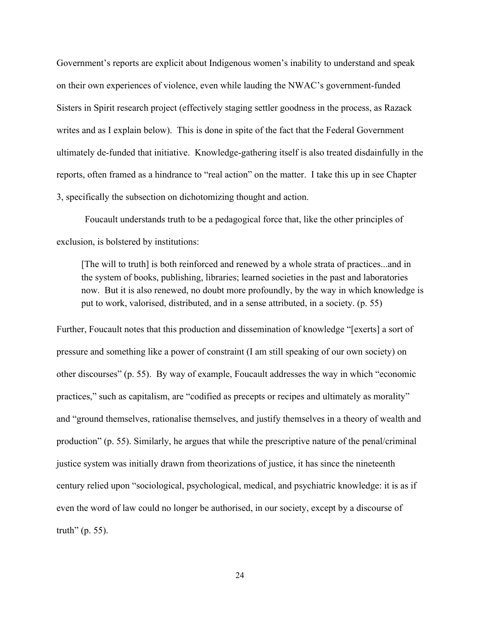Government's reports are explicit about Indigenous women's inability to understand and speak on their own experiences of violence, even while lauding the NWAC's government-funded Sisters in Spirit research project (effectively staging settler goodness in the process, as Razack writes and as I explain below). This is done in spite of the fact that the Federal Government ultimately de-funded that initiative. Knowledge-gathering itself is also treated disdainfully in the reports, often framed as a hindrance to "real action" on the matter. I take this up in see Chapter 3, specifically the subsection on dichotomizing thought and action.

Foucault understands truth to be a pedagogical force that, like the other principles of exclusion, is bolstered by institutions:

[The will to truth] is both reinforced and renewed by a whole strata of practices...and in the system of books, publishing, libraries; learned societies in the past and laboratories now. But it is also renewed, no doubt more profoundly, by the way in which knowledge is put to work, valorised, distributed, and in a sense attributed, in a society. (p. 55)

Further, Foucault notes that this production and dissemination of knowledge "[exerts] a sort of pressure and something like a power of constraint (I am still speaking of our own society) on other discourses" (p. 55). By way of example, Foucault addresses the way in which "economic practices," such as capitalism, are "codified as precepts or recipes and ultimately as morality" and "ground themselves, rationalise themselves, and justify themselves in a theory of wealth and production" (p. 55). Similarly, he argues that while the prescriptive nature of the penal/criminal justice system was initially drawn from theorizations of justice, it has since the nineteenth century relied upon "sociological, psychological, medical, and psychiatric knowledge: it is as if even the word of law could no longer be authorised, in our society, except by a discourse of truth" (p. 55).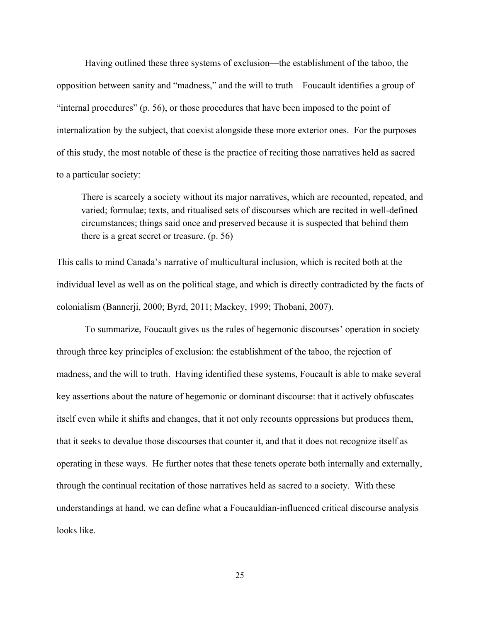Having outlined these three systems of exclusion—the establishment of the taboo, the opposition between sanity and "madness," and the will to truth—Foucault identifies a group of "internal procedures" (p. 56), or those procedures that have been imposed to the point of internalization by the subject, that coexist alongside these more exterior ones. For the purposes of this study, the most notable of these is the practice of reciting those narratives held as sacred to a particular society:

There is scarcely a society without its major narratives, which are recounted, repeated, and varied; formulae; texts, and ritualised sets of discourses which are recited in well-defined circumstances; things said once and preserved because it is suspected that behind them there is a great secret or treasure. (p. 56)

This calls to mind Canada's narrative of multicultural inclusion, which is recited both at the individual level as well as on the political stage, and which is directly contradicted by the facts of colonialism (Bannerji, 2000; Byrd, 2011; Mackey, 1999; Thobani, 2007).

To summarize, Foucault gives us the rules of hegemonic discourses' operation in society through three key principles of exclusion: the establishment of the taboo, the rejection of madness, and the will to truth. Having identified these systems, Foucault is able to make several key assertions about the nature of hegemonic or dominant discourse: that it actively obfuscates itself even while it shifts and changes, that it not only recounts oppressions but produces them, that it seeks to devalue those discourses that counter it, and that it does not recognize itself as operating in these ways. He further notes that these tenets operate both internally and externally, through the continual recitation of those narratives held as sacred to a society. With these understandings at hand, we can define what a Foucauldian-influenced critical discourse analysis looks like.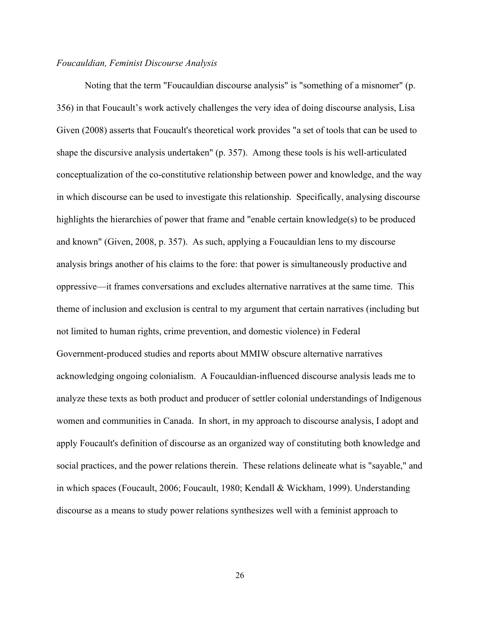#### *Foucauldian, Feminist Discourse Analysis*

Noting that the term "Foucauldian discourse analysis" is "something of a misnomer" (p. 356) in that Foucault's work actively challenges the very idea of doing discourse analysis, Lisa Given (2008) asserts that Foucault's theoretical work provides "a set of tools that can be used to shape the discursive analysis undertaken"  $(p. 357)$ . Among these tools is his well-articulated conceptualization of the co-constitutive relationship between power and knowledge, and the way in which discourse can be used to investigate this relationship. Specifically, analysing discourse highlights the hierarchies of power that frame and "enable certain knowledge(s) to be produced and known" (Given, 2008, p. 357). As such, applying a Foucauldian lens to my discourse analysis brings another of his claims to the fore: that power is simultaneously productive and oppressive—it frames conversations and excludes alternative narratives at the same time. This theme of inclusion and exclusion is central to my argument that certain narratives (including but not limited to human rights, crime prevention, and domestic violence) in Federal Government-produced studies and reports about MMIW obscure alternative narratives acknowledging ongoing colonialism. A Foucauldianinfluenced discourse analysis leads me to analyze these texts as both product and producer of settler colonial understandings of Indigenous women and communities in Canada. In short, in my approach to discourse analysis, I adopt and apply Foucault's definition of discourse as an organized way of constituting both knowledge and social practices, and the power relations therein. These relations delineate what is "sayable," and in which spaces (Foucault, 2006; Foucault, 1980; Kendall & Wickham, 1999). Understanding discourse as a means to study power relations synthesizes well with a feminist approach to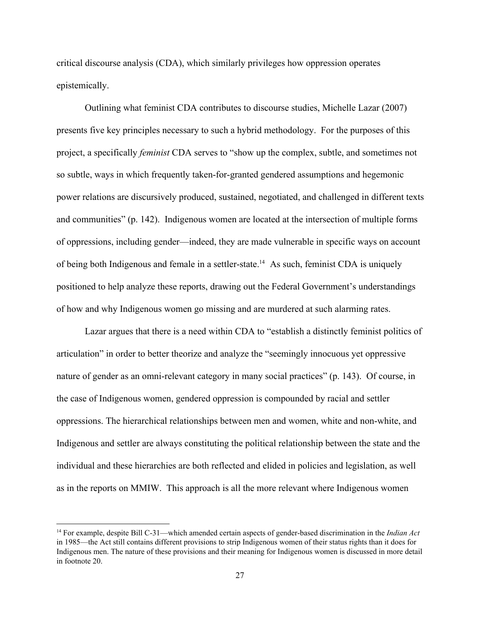critical discourse analysis (CDA), which similarly privileges how oppression operates epistemically.

Outlining what feminist CDA contributes to discourse studies, Michelle Lazar (2007) presents five key principles necessary to such a hybrid methodology. For the purposes of this project, a specifically *feminist* CDA serves to "show up the complex, subtle, and sometimes not so subtle, ways in which frequently taken-for-granted gendered assumptions and hegemonic power relations are discursively produced, sustained, negotiated, and challenged in different texts and communities" (p. 142). Indigenous women are located at the intersection of multiple forms of oppressions, including gender—indeed, they are made vulnerable in specific ways on account of being both Indigenous and female in a settler-state.  $\mu$  As such, feminist CDA is uniquely positioned to help analyze these reports, drawing out the Federal Government's understandings of how and why Indigenous women go missing and are murdered at such alarming rates.

Lazar argues that there is a need within CDA to "establish a distinctly feminist politics of articulation" in order to better theorize and analyze the "seemingly innocuous yet oppressive nature of gender as an omni-relevant category in many social practices" (p. 143). Of course, in the case of Indigenous women, gendered oppression is compounded by racial and settler oppressions. The hierarchical relationships between men and women, white and nonwhite, and Indigenous and settler are always constituting the political relationship between the state and the individual and these hierarchies are both reflected and elided in policies and legislation, as well as in the reports on MMIW. This approach is all the more relevant where Indigenous women

<sup>&</sup>lt;sup>14</sup> For example, despite Bill C-31—which amended certain aspects of gender-based discrimination in the *Indian Act* in 1985—the Act still contains different provisions to strip Indigenous women of their status rights than it does for Indigenous men. The nature of these provisions and their meaning for Indigenous women is discussed in more detail in footnote 20.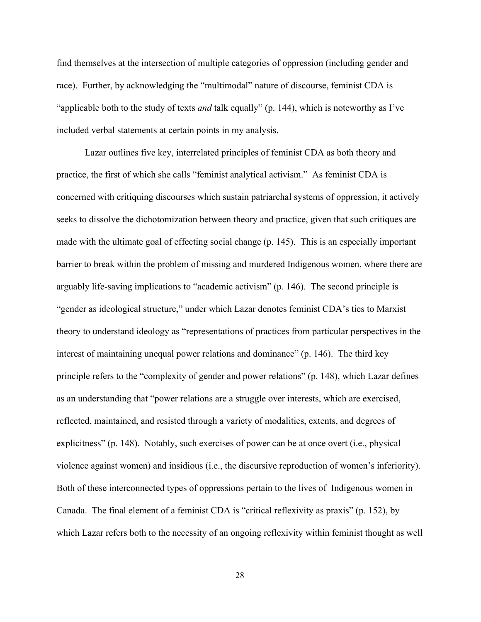find themselves at the intersection of multiple categories of oppression (including gender and race). Further, by acknowledging the "multimodal" nature of discourse, feminist CDA is "applicable both to the study of texts *and* talk equally" (p. 144), which is noteworthy as I've included verbal statements at certain points in my analysis.

Lazar outlines five key, interrelated principles of feminist CDA as both theory and practice, the first of which she calls "feminist analytical activism." As feminist CDA is concerned with critiquing discourses which sustain patriarchal systems of oppression, it actively seeks to dissolve the dichotomization between theory and practice, given that such critiques are made with the ultimate goal of effecting social change (p. 145). This is an especially important barrier to break within the problem of missing and murdered Indigenous women, where there are arguably life-saving implications to "academic activism"  $(p. 146)$ . The second principle is "gender as ideological structure," under which Lazar denotes feminist CDA's ties to Marxist theory to understand ideology as "representations of practices from particular perspectives in the interest of maintaining unequal power relations and dominance" (p. 146). The third key principle refers to the "complexity of gender and power relations" (p. 148), which Lazar defines as an understanding that "power relations are a struggle over interests, which are exercised, reflected, maintained, and resisted through a variety of modalities, extents, and degrees of explicitness" (p. 148). Notably, such exercises of power can be at once overt (i.e., physical violence against women) and insidious (i.e., the discursive reproduction of women's inferiority). Both of these interconnected types of oppressions pertain to the lives of Indigenous women in Canada. The final element of a feminist CDA is "critical reflexivity as praxis" (p. 152), by which Lazar refers both to the necessity of an ongoing reflexivity within feminist thought as well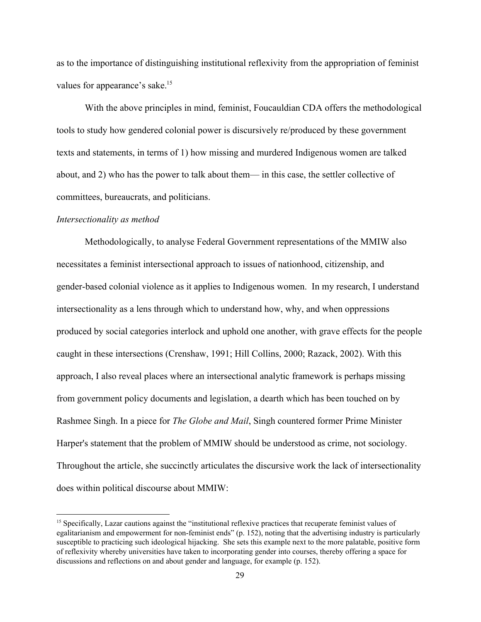as to the importance of distinguishing institutional reflexivity from the appropriation of feminist values for appearance's sake.<sup>15</sup>

With the above principles in mind, feminist, Foucauldian CDA offers the methodological tools to study how gendered colonial power is discursively re/produced by these government texts and statements, in terms of 1) how missing and murdered Indigenous women are talked about, and 2) who has the power to talk about them— in this case, the settler collective of committees, bureaucrats, and politicians.

#### *Intersectionality as method*

Methodologically, to analyse Federal Government representations of the MMIW also necessitates a feminist intersectional approach to issues of nationhood, citizenship, and gender-based colonial violence as it applies to Indigenous women. In my research, I understand intersectionality as a lens through which to understand how, why, and when oppressions produced by social categories interlock and uphold one another, with grave effects for the people caught in these intersections (Crenshaw, 1991; Hill Collins, 2000; Razack, 2002). With this approach, I also reveal places where an intersectional analytic framework is perhaps missing from government policy documents and legislation, a dearth which has been touched on by Rashmee Singh. In a piece for *The Globe and Mail*, Singh countered former Prime Minister Harper's statement that the problem of MMIW should be understood as crime, not sociology. Throughout the article, she succinctly articulates the discursive work the lack of intersectionality does within political discourse about MMIW:

<sup>&</sup>lt;sup>15</sup> Specifically, Lazar cautions against the "institutional reflexive practices that recuperate feminist values of egalitarianism and empowerment for non-feminist ends" (p. 152), noting that the advertising industry is particularly susceptible to practicing such ideological hijacking. She sets this example next to the more palatable, positive form of reflexivity whereby universities have taken to incorporating gender into courses, thereby offering a space for discussions and reflections on and about gender and language, for example (p. 152).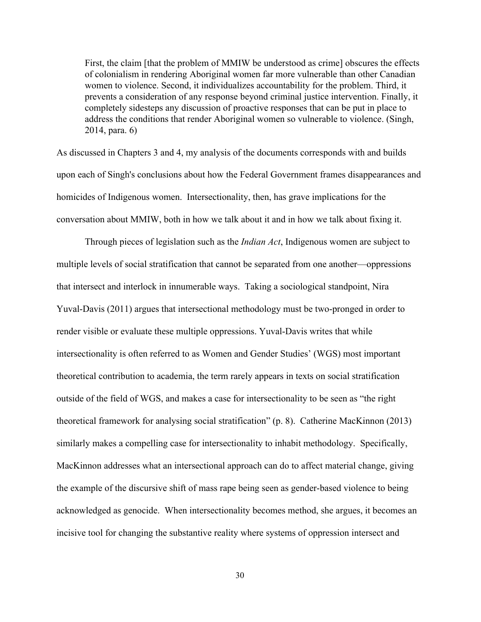First, the claim [that the problem of MMIW be understood as crime] obscures the effects of colonialism in rendering Aboriginal women far more vulnerable than other Canadian women to violence. Second, it individualizes accountability for the problem. Third, it prevents a consideration of any response beyond criminal justice intervention. Finally, it completely sidesteps any discussion of proactive responses that can be put in place to address the conditions that render Aboriginal women so vulnerable to violence. (Singh, 2014, para. 6)

As discussed in Chapters 3 and 4, my analysis of the documents corresponds with and builds upon each of Singh's conclusions about how the Federal Government frames disappearances and homicides of Indigenous women. Intersectionality, then, has grave implications for the conversation about MMIW, both in how we talk about it and in how we talk about fixing it.

Through pieces of legislation such as the *Indian Act*, Indigenous women are subject to multiple levels of social stratification that cannot be separated from one another—oppressions that intersect and interlock in innumerable ways. Taking a sociological standpoint, Nira Yuval-Davis (2011) argues that intersectional methodology must be two-pronged in order to render visible or evaluate these multiple oppressions. Yuval-Davis writes that while intersectionality is often referred to as Women and Gender Studies' (WGS) most important theoretical contribution to academia, the term rarely appears in texts on social stratification outside of the field of WGS, and makes a case for intersectionality to be seen as "the right theoretical framework for analysing social stratification" (p. 8). Catherine MacKinnon (2013) similarly makes a compelling case for intersectionality to inhabit methodology. Specifically, MacKinnon addresses what an intersectional approach can do to affect material change, giving the example of the discursive shift of mass rape being seen as gender-based violence to being acknowledged as genocide. When intersectionality becomes method, she argues, it becomes an incisive tool for changing the substantive reality where systems of oppression intersect and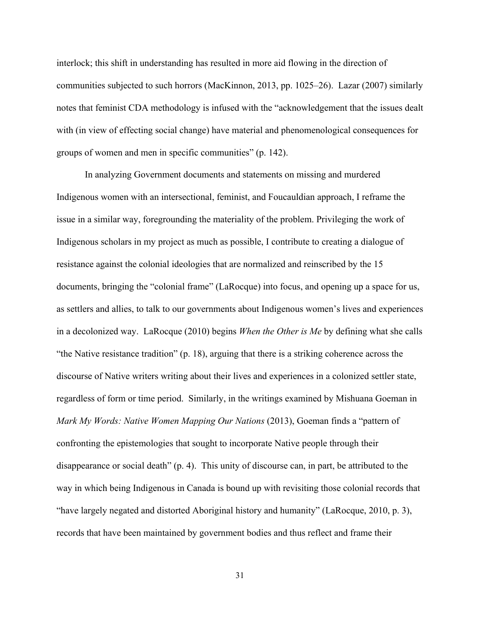interlock; this shift in understanding has resulted in more aid flowing in the direction of communities subjected to such horrors (MacKinnon, 2013, pp. 1025–26). Lazar (2007) similarly notes that feminist CDA methodology is infused with the "acknowledgement that the issues dealt with (in view of effecting social change) have material and phenomenological consequences for groups of women and men in specific communities" (p. 142).

In analyzing Government documents and statements on missing and murdered Indigenous women with an intersectional, feminist, and Foucauldian approach, I reframe the issue in a similar way, foregrounding the materiality of the problem. Privileging the work of Indigenous scholars in my project as much as possible, I contribute to creating a dialogue of resistance against the colonial ideologies that are normalized and reinscribed by the 15 documents, bringing the "colonial frame" (LaRocque) into focus, and opening up a space for us, as settlers and allies, to talk to our governments about Indigenous women's lives and experiences in a decolonized way. LaRocque (2010) begins *When the Other is Me* by defining what she calls "the Native resistance tradition" (p. 18), arguing that there is a striking coherence across the discourse of Native writers writing about their lives and experiences in a colonized settler state, regardless of form or time period. Similarly, in the writings examined by Mishuana Goeman in *Mark My Words: Native Women Mapping Our Nations* (2013), Goeman finds a "pattern of confronting the epistemologies that sought to incorporate Native people through their disappearance or social death" (p. 4). This unity of discourse can, in part, be attributed to the way in which being Indigenous in Canada is bound up with revisiting those colonial records that "have largely negated and distorted Aboriginal history and humanity" (LaRocque, 2010, p. 3), records that have been maintained by government bodies and thus reflect and frame their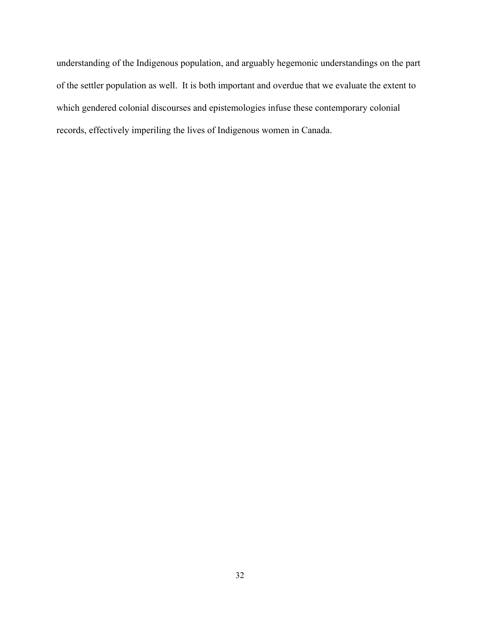understanding of the Indigenous population, and arguably hegemonic understandings on the part of the settler population as well. It is both important and overdue that we evaluate the extent to which gendered colonial discourses and epistemologies infuse these contemporary colonial records, effectively imperiling the lives of Indigenous women in Canada.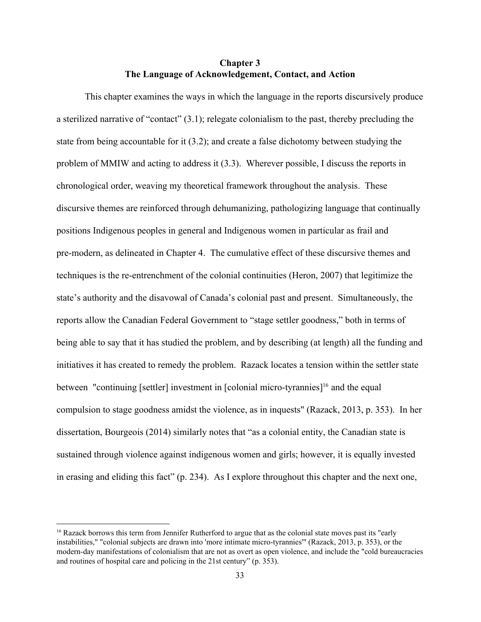### **Chapter 3 The Language of Acknowledgement, Contact, and Action**

This chapter examines the ways in which the language in the reports discursively produce a sterilized narrative of "contact" (3.1); relegate colonialism to the past, thereby precluding the state from being accountable for it (3.2); and create a false dichotomy between studying the problem of MMIW and acting to address it (3.3). Wherever possible, I discuss the reports in chronological order, weaving my theoretical framework throughout the analysis. These discursive themes are reinforced through dehumanizing, pathologizing language that continually positions Indigenous peoples in general and Indigenous women in particular as frail and premodern, as delineated in Chapter 4. The cumulative effect of these discursive themes and techniques is the re-entrenchment of the colonial continuities (Heron, 2007) that legitimize the state's authority and the disavowal of Canada's colonial past and present. Simultaneously, the reports allow the Canadian Federal Government to "stage settler goodness," both in terms of being able to say that it has studied the problem, and by describing (at length) all the funding and initiatives it has created to remedy the problem. Razack locates a tension within the settler state between "continuing [settler] investment in  $[colonial micro-tyrannies]$ <sup>16</sup> and the equal compulsion to stage goodness amidst the violence, as in inquests" (Razack, 2013, p. 353). In her dissertation, Bourgeois (2014) similarly notes that "as a colonial entity, the Canadian state is sustained through violence against indigenous women and girls; however, it is equally invested in erasing and eliding this fact" (p. 234). As I explore throughout this chapter and the next one,

<sup>&</sup>lt;sup>16</sup> Razack borrows this term from Jennifer Rutherford to argue that as the colonial state moves past its "early" instabilities," "colonial subjects are drawn into 'more intimate micro-tyrannies'" (Razack, 2013, p. 353), or the modern-day manifestations of colonialism that are not as overt as open violence, and include the "cold bureaucracies" and routines of hospital care and policing in the 21st century" (p. 353).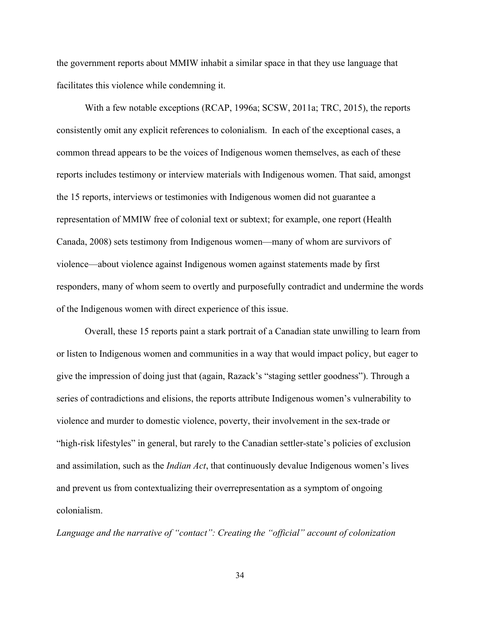the government reports about MMIW inhabit a similar space in that they use language that facilitates this violence while condemning it.

With a few notable exceptions (RCAP, 1996a; SCSW, 2011a; TRC, 2015), the reports consistently omit any explicit references to colonialism. In each of the exceptional cases, a common thread appears to be the voices of Indigenous women themselves, as each of these reports includes testimony or interview materials with Indigenous women. That said, amongst the 15 reports, interviews or testimonies with Indigenous women did not guarantee a representation of MMIW free of colonial text or subtext; for example, one report (Health Canada, 2008) sets testimony from Indigenous women—many of whom are survivors of violence—about violence against Indigenous women against statements made by first responders, many of whom seem to overtly and purposefully contradict and undermine the words of the Indigenous women with direct experience of this issue.

Overall, these 15 reports paint a stark portrait of a Canadian state unwilling to learn from or listen to Indigenous women and communities in a way that would impact policy, but eager to give the impression of doing just that (again, Razack's "staging settler goodness"). Through a series of contradictions and elisions, the reports attribute Indigenous women's vulnerability to violence and murder to domestic violence, poverty, their involvement in the sex-trade or "high-risk lifestyles" in general, but rarely to the Canadian settler-state's policies of exclusion and assimilation, such as the *Indian Act*, that continuously devalue Indigenous women's lives and prevent us from contextualizing their overrepresentation as a symptom of ongoing colonialism.

*Language and the narrative of "contact": Creating the "official" account of colonization*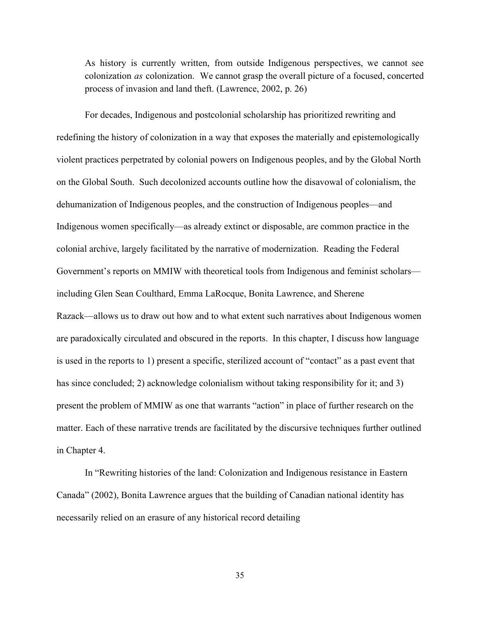As history is currently written, from outside Indigenous perspectives, we cannot see colonization *as* colonization. We cannot grasp the overall picture of a focused, concerted process of invasion and land theft. (Lawrence, 2002, p. 26)

For decades, Indigenous and postcolonial scholarship has prioritized rewriting and redefining the history of colonization in a way that exposes the materially and epistemologically violent practices perpetrated by colonial powers on Indigenous peoples, and by the Global North on the Global South. Such decolonized accounts outline how the disavowal of colonialism, the dehumanization of Indigenous peoples, and the construction of Indigenous peoples—and Indigenous women specifically—as already extinct or disposable, are common practice in the colonial archive, largely facilitated by the narrative of modernization. Reading the Federal Government's reports on MMIW with theoretical tools from Indigenous and feminist scholars including Glen Sean Coulthard, Emma LaRocque, Bonita Lawrence, and Sherene Razack—allows us to draw out how and to what extent such narratives about Indigenous women are paradoxically circulated and obscured in the reports. In this chapter, I discuss how language is used in the reports to 1) present a specific, sterilized account of "contact" as a past event that has since concluded; 2) acknowledge colonialism without taking responsibility for it; and 3) present the problem of MMIW as one that warrants "action" in place of further research on the matter. Each of these narrative trends are facilitated by the discursive techniques further outlined in Chapter 4.

In "Rewriting histories of the land: Colonization and Indigenous resistance in Eastern Canada" (2002), Bonita Lawrence argues that the building of Canadian national identity has necessarily relied on an erasure of any historical record detailing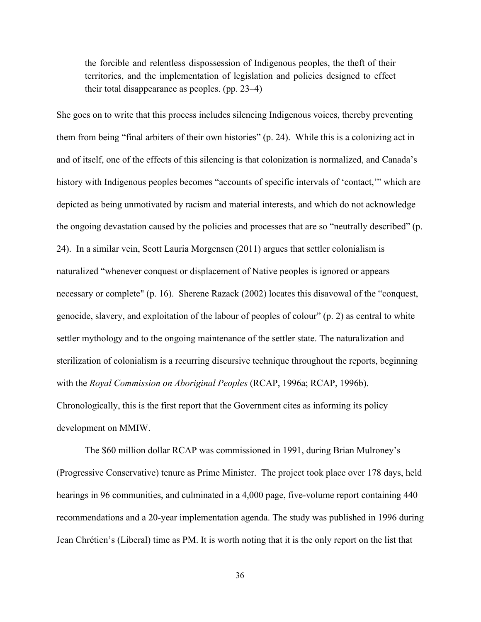the forcible and relentless dispossession of Indigenous peoples, the theft of their territories, and the implementation of legislation and policies designed to effect their total disappearance as peoples. (pp. 23–4)

She goes on to write that this process includes silencing Indigenous voices, thereby preventing them from being "final arbiters of their own histories" (p. 24). While this is a colonizing act in and of itself, one of the effects of this silencing is that colonization is normalized, and Canada's history with Indigenous peoples becomes "accounts of specific intervals of 'contact,'" which are depicted as being unmotivated by racism and material interests, and which do not acknowledge the ongoing devastation caused by the policies and processes that are so "neutrally described" (p. 24). In a similar vein, Scott Lauria Morgensen (2011) argues that settler colonialism is naturalized "whenever conquest or displacement of Native peoples is ignored or appears necessary or complete" (p. 16). Sherene Razack (2002) locates this disavowal of the "conquest, genocide, slavery, and exploitation of the labour of peoples of colour" (p. 2) as central to white settler mythology and to the ongoing maintenance of the settler state. The naturalization and sterilization of colonialism is a recurring discursive technique throughout the reports, beginning with the *Royal Commission on Aboriginal Peoples* (RCAP, 1996a; RCAP, 1996b). Chronologically, this is the first report that the Government cites as informing its policy development on MMIW.

The \$60 million dollar RCAP was commissioned in 1991, during Brian Mulroney's (Progressive Conservative) tenure as Prime Minister. The project took place over 178 days, held hearings in 96 communities, and culminated in a 4,000 page, five-volume report containing 440 recommendations and a 20-year implementation agenda. The study was published in 1996 during Jean Chrétien's (Liberal) time as PM. It is worth noting that it is the only report on the list that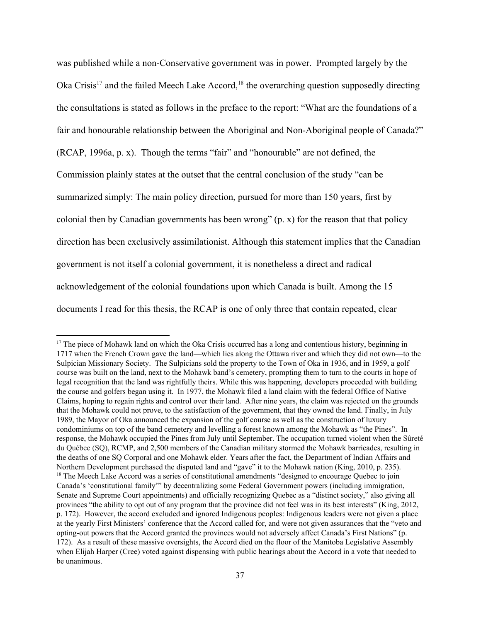was published while a non-Conservative government was in power. Prompted largely by the Oka Crisis<sup>17</sup> and the failed Meech Lake Accord,  $18$  the overarching question supposedly directing the consultations is stated as follows in the preface to the report: "What are the foundations of a fair and honourable relationship between the Aboriginal and Non-Aboriginal people of Canada?" (RCAP, 1996a, p. x). Though the terms "fair" and "honourable" are not defined, the Commission plainly states at the outset that the central conclusion of the study "can be summarized simply: The main policy direction, pursued for more than 150 years, first by colonial then by Canadian governments has been wrong" (p. x) for the reason that that policy direction has been exclusively assimilationist. Although this statement implies that the Canadian government is not itself a colonial government, it is nonetheless a direct and radical acknowledgement of the colonial foundations upon which Canada is built. Among the 15 documents I read for this thesis, the RCAP is one of only three that contain repeated, clear

<sup>&</sup>lt;sup>17</sup> The piece of Mohawk land on which the Oka Crisis occurred has a long and contentious history, beginning in 1717 when the French Crown gave the land—which lies along the Ottawa river and which they did not own—to the Sulpician Missionary Society. The Sulpicians sold the property to the Town of Oka in 1936, and in 1959, a golf course was built on the land, next to the Mohawk band's cemetery, prompting them to turn to the courts in hope of legal recognition that the land was rightfully theirs. While this was happening, developers proceeded with building the course and golfers began using it. In 1977, the Mohawk filed a land claim with the federal Office of Native Claims, hoping to regain rights and control over their land. After nine years, the claim was rejected on the grounds that the Mohawk could not prove, to the satisfaction of the government, that they owned the land. Finally, in July 1989, the Mayor of Oka announced the expansion of the golf course as well as the construction of luxury condominiums on top of the band cemetery and levelling a forest known among the Mohawk as "the Pines". In response, the Mohawk occupied the Pines from July until September. The occupation turned violent when the Sûreté du Québec (SQ), RCMP, and 2,500 members of the Canadian military stormed the Mohawk barricades, resulting in the deaths of one SQ Corporal and one Mohawk elder. Years after the fact, the Department of Indian Affairs and Northern Development purchased the disputed land and "gave" it to the Mohawk nation (King, 2010, p. 235). <sup>18</sup> The Meech Lake Accord was a series of constitutional amendments "designed to encourage Quebec to join Canada's 'constitutional family'" by decentralizing some Federal Government powers (including immigration, Senate and Supreme Court appointments) and officially recognizing Quebec as a "distinct society," also giving all provinces "the ability to opt out of any program that the province did not feel was in its best interests" (King, 2012, p. 172). However, the accord excluded and ignored Indigenous peoples: Indigenous leaders were not given a place at the yearly First Ministers' conference that the Accord called for, and were not given assurances that the "veto and opting-out powers that the Accord granted the provinces would not adversely affect Canada's First Nations" (p. 172). As a result of these massive oversights, the Accord died on the floor of the Manitoba Legislative Assembly when Elijah Harper (Cree) voted against dispensing with public hearings about the Accord in a vote that needed to be unanimous.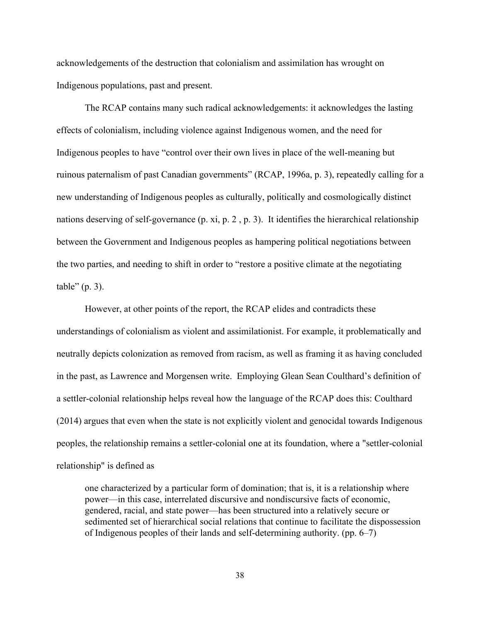acknowledgements of the destruction that colonialism and assimilation has wrought on Indigenous populations, past and present.

The RCAP contains many such radical acknowledgements: it acknowledges the lasting effects of colonialism, including violence against Indigenous women, and the need for Indigenous peoples to have "control over their own lives in place of the wellmeaning but ruinous paternalism of past Canadian governments" (RCAP, 1996a, p. 3), repeatedly calling for a new understanding of Indigenous peoples as culturally, politically and cosmologically distinct nations deserving of self-governance (p. xi, p. 2, p. 3). It identifies the hierarchical relationship between the Government and Indigenous peoples as hampering political negotiations between the two parties, and needing to shift in order to "restore a positive climate at the negotiating table" (p. 3).

However, at other points of the report, the RCAP elides and contradicts these understandings of colonialism as violent and assimilationist. For example, it problematically and neutrally depicts colonization as removed from racism, as well as framing it as having concluded in the past, as Lawrence and Morgensen write. Employing Glean Sean Coulthard's definition of a settler-colonial relationship helps reveal how the language of the RCAP does this: Coulthard (2014) argues that even when the state is not explicitly violent and genocidal towards Indigenous peoples, the relationship remains a settler-colonial one at its foundation, where a "settler-colonial relationship" is defined as

one characterized by a particular form of domination; that is, it is a relationship where power—in this case, interrelated discursive and nondiscursive facts of economic, gendered, racial, and state power—has been structured into a relatively secure or sedimented set of hierarchical social relations that continue to facilitate the dispossession of Indigenous peoples of their lands and self-determining authority. (pp.  $6-7$ )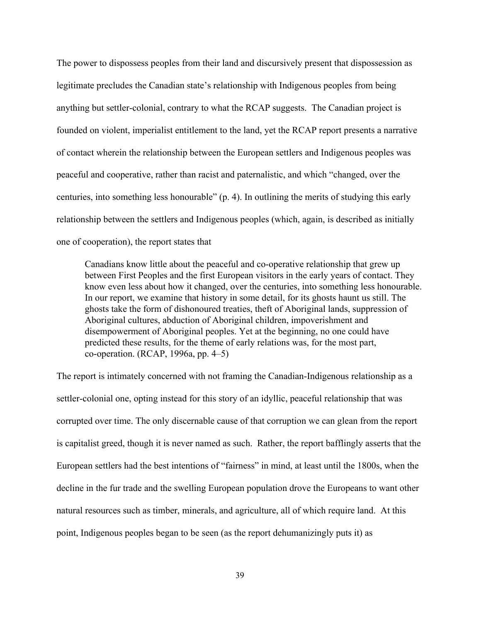The power to dispossess peoples from their land and discursively present that dispossession as legitimate precludes the Canadian state's relationship with Indigenous peoples from being anything but settler-colonial, contrary to what the RCAP suggests. The Canadian project is founded on violent, imperialist entitlement to the land, yet the RCAP report presents a narrative of contact wherein the relationship between the European settlers and Indigenous peoples was peaceful and cooperative, rather than racist and paternalistic, and which "changed, over the centuries, into something less honourable" (p. 4). In outlining the merits of studying this early relationship between the settlers and Indigenous peoples (which, again, is described as initially one of cooperation), the report states that

Canadians know little about the peaceful and co-operative relationship that grew up between First Peoples and the first European visitors in the early years of contact. They know even less about how it changed, over the centuries, into something less honourable. In our report, we examine that history in some detail, for its ghosts haunt us still. The ghosts take the form of dishonoured treaties, theft of Aboriginal lands, suppression of Aboriginal cultures, abduction of Aboriginal children, impoverishment and disempowerment of Aboriginal peoples. Yet at the beginning, no one could have predicted these results, for the theme of early relations was, for the most part,  $co-operation. (RCAP, 1996a, pp. 4–5)$ 

The report is intimately concerned with not framing the Canadian-Indigenous relationship as a settler-colonial one, opting instead for this story of an idyllic, peaceful relationship that was corrupted over time. The only discernable cause of that corruption we can glean from the report is capitalist greed, though it is never named as such. Rather, the report bafflingly asserts that the European settlers had the best intentions of "fairness" in mind, at least until the 1800s, when the decline in the fur trade and the swelling European population drove the Europeans to want other natural resources such as timber, minerals, and agriculture, all of which require land. At this point, Indigenous peoples began to be seen (as the report dehumanizingly puts it) as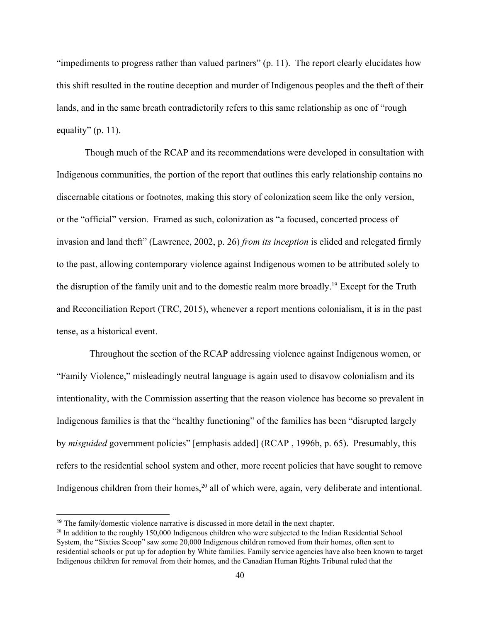"impediments to progress rather than valued partners" (p. 11). The report clearly elucidates how this shift resulted in the routine deception and murder of Indigenous peoples and the theft of their lands, and in the same breath contradictorily refers to this same relationship as one of "rough equality"  $(p. 11)$ .

Though much of the RCAP and its recommendations were developed in consultation with Indigenous communities, the portion of the report that outlines this early relationship contains no discernable citations or footnotes, making this story of colonization seem like the only version, or the "official" version. Framed as such, colonization as "a focused, concerted process of invasion and land theft" (Lawrence, 2002, p. 26) *from its inception* is elided and relegated firmly to the past, allowing contemporary violence against Indigenous women to be attributed solely to the disruption of the family unit and to the domestic realm more broadly.<sup>19</sup> Except for the Truth and Reconciliation Report (TRC, 2015), whenever a report mentions colonialism, it is in the past tense, as a historical event.

 Throughout the section of the RCAP addressing violence against Indigenous women, or "Family Violence," misleadingly neutral language is again used to disavow colonialism and its intentionality, with the Commission asserting that the reason violence has become so prevalent in Indigenous families is that the "healthy functioning" of the families has been "disrupted largely by *misguided* government policies" [emphasis added] (RCAP , 1996b, p. 65). Presumably, this refers to the residential school system and other, more recent policies that have sought to remove Indigenous children from their homes,  $20$  all of which were, again, very deliberate and intentional.

<sup>&</sup>lt;sup>19</sup> The family/domestic violence narrative is discussed in more detail in the next chapter.

<sup>&</sup>lt;sup>20</sup> In addition to the roughly 150,000 Indigenous children who were subjected to the Indian Residential School System, the "Sixties Scoop" saw some 20,000 Indigenous children removed from their homes, often sent to residential schools or put up for adoption by White families. Family service agencies have also been known to target Indigenous children for removal from their homes, and the Canadian Human Rights Tribunal ruled that the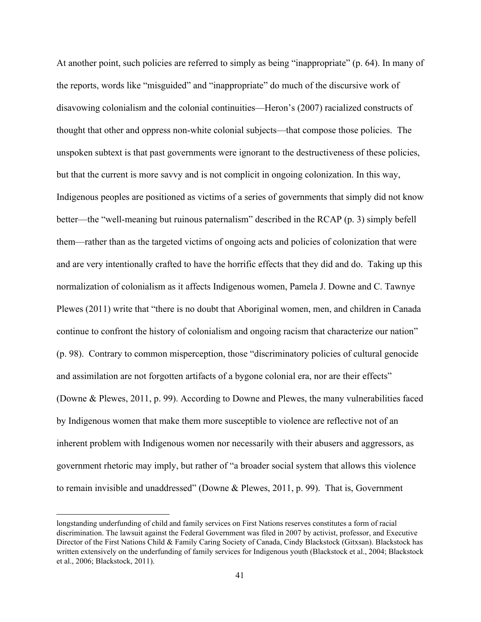At another point, such policies are referred to simply as being "inappropriate" (p. 64). In many of the reports, words like "misguided" and "inappropriate" do much of the discursive work of disavowing colonialism and the colonial continuities—Heron's (2007) racialized constructs of thought that other and oppress nonwhite colonial subjects—that compose those policies. The unspoken subtext is that past governments were ignorant to the destructiveness of these policies, but that the current is more savvy and is not complicit in ongoing colonization. In this way, Indigenous peoples are positioned as victims of a series of governments that simply did not know better—the "well-meaning but ruinous paternalism" described in the RCAP (p. 3) simply befell them—rather than as the targeted victims of ongoing acts and policies of colonization that were and are very intentionally crafted to have the horrific effects that they did and do. Taking up this normalization of colonialism as it affects Indigenous women, Pamela J. Downe and C. Tawnye Plewes (2011) write that "there is no doubt that Aboriginal women, men, and children in Canada continue to confront the history of colonialism and ongoing racism that characterize our nation" (p. 98). Contrary to common misperception, those "discriminatory policies of cultural genocide and assimilation are not forgotten artifacts of a bygone colonial era, nor are their effects" (Downe & Plewes, 2011, p. 99). According to Downe and Plewes, the many vulnerabilities faced by Indigenous women that make them more susceptible to violence are reflective not of an inherent problem with Indigenous women nor necessarily with their abusers and aggressors, as government rhetoric may imply, but rather of "a broader social system that allows this violence to remain invisible and unaddressed" (Downe & Plewes, 2011, p. 99). That is, Government

longstanding underfunding of child and family services on First Nations reserves constitutes a form of racial discrimination. The lawsuit against the Federal Government was filed in 2007 by activist, professor, and Executive Director of the First Nations Child & Family Caring Society of Canada, Cindy Blackstock (Gitxsan). Blackstock has written extensively on the underfunding of family services for Indigenous youth (Blackstock et al., 2004; Blackstock et al., 2006; Blackstock, 2011).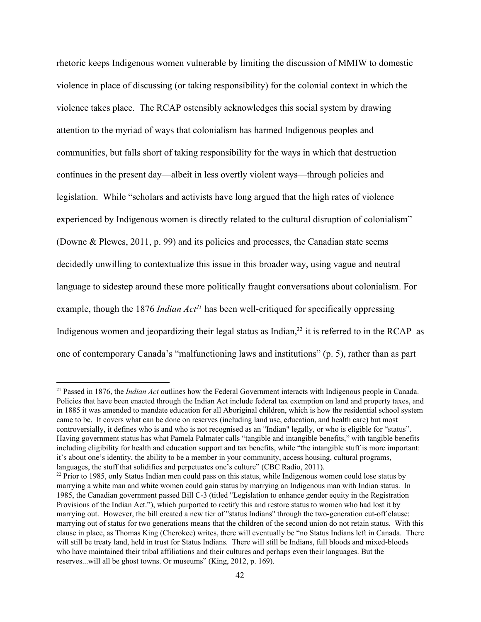rhetoric keeps Indigenous women vulnerable by limiting the discussion of MMIW to domestic violence in place of discussing (or taking responsibility) for the colonial context in which the violence takes place. The RCAP ostensibly acknowledges this social system by drawing attention to the myriad of ways that colonialism has harmed Indigenous peoples and communities, but falls short of taking responsibility for the ways in which that destruction continues in the present day—albeit in less overtly violent ways—through policies and legislation. While "scholars and activists have long argued that the high rates of violence experienced by Indigenous women is directly related to the cultural disruption of colonialism" (Downe & Plewes, 2011, p. 99) and its policies and processes, the Canadian state seems decidedly unwilling to contextualize this issue in this broader way, using vague and neutral language to sidestep around these more politically fraught conversations about colonialism. For example, though the 1876 *Indian Act*<sup>21</sup> has been well-critiqued for specifically oppressing Indigenous women and jeopardizing their legal status as Indian, $^{22}$  it is referred to in the RCAP as one of contemporary Canada's "malfunctioning laws and institutions" (p. 5), rather than as part

<sup>21</sup> Passed in 1876, the *Indian Act* outlines how the Federal Government interacts with Indigenous people in Canada. Policies that have been enacted through the Indian Act include federal tax exemption on land and property taxes, and in 1885 it was amended to mandate education for all Aboriginal children, which is how the residential school system came to be. It covers what can be done on reserves (including land use, education, and health care) but most controversially, it defines who is and who is not recognised as an "Indian" legally, or who is eligible for "status". Having government status has what Pamela Palmater calls "tangible and intangible benefits," with tangible benefits including eligibility for health and education support and tax benefits, while "the intangible stuff is more important: it's about one's identity, the ability to be a member in your community, access housing, cultural programs, languages, the stuff that solidifies and perpetuates one's culture" (CBC Radio, 2011).

<sup>&</sup>lt;sup>22</sup> Prior to 1985, only Status Indian men could pass on this status, while Indigenous women could lose status by marrying a white man and white women could gain status by marrying an Indigenous man with Indian status. In 1985, the Canadian government passed Bill C3 (titled "Legislation to enhance gender equity in the Registration Provisions of the Indian Act."), which purported to rectify this and restore status to women who had lost it by marrying out. However, the bill created a new tier of "status Indians" through the two-generation cut-off clause: marrying out of status for two generations means that the children of the second union do not retain status. With this clause in place, as Thomas King (Cherokee) writes, there will eventually be "no Status Indians left in Canada. There will still be treaty land, held in trust for Status Indians. There will still be Indians, full bloods and mixed-bloods who have maintained their tribal affiliations and their cultures and perhaps even their languages. But the reserves...will all be ghost towns. Or museums" (King, 2012, p. 169).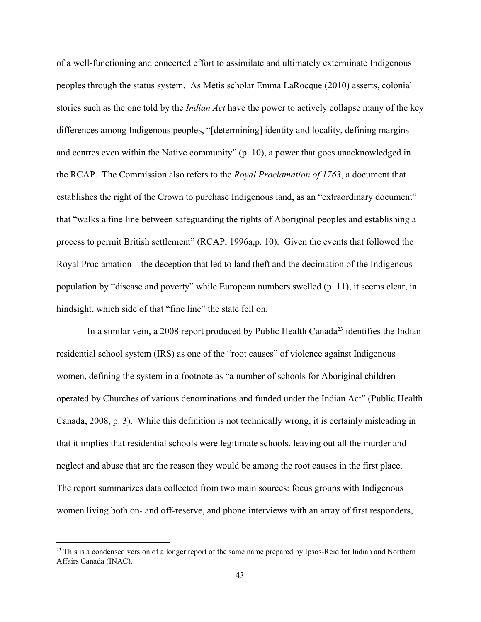of a well-functioning and concerted effort to assimilate and ultimately exterminate Indigenous peoples through the status system. As Métis scholar Emma LaRocque (2010) asserts, colonial stories such as the one told by the *Indian Act* have the power to actively collapse many of the key differences among Indigenous peoples, "[determining] identity and locality, defining margins and centres even within the Native community" (p. 10), a power that goes unacknowledged in the RCAP. The Commission also refers to the *Royal Proclamation of 1763*, a document that establishes the right of the Crown to purchase Indigenous land, as an "extraordinary document" that "walks a fine line between safeguarding the rights of Aboriginal peoples and establishing a process to permit British settlement" (RCAP, 1996a,p. 10). Given the events that followed the Royal Proclamation—the deception that led to land theft and the decimation of the Indigenous population by "disease and poverty" while European numbers swelled (p. 11), it seems clear, in hindsight, which side of that "fine line" the state fell on.

In a similar vein, a 2008 report produced by Public Health Canada<sup>23</sup> identifies the Indian residential school system (IRS) as one of the "root causes" of violence against Indigenous women, defining the system in a footnote as "a number of schools for Aboriginal children operated by Churches of various denominations and funded under the Indian Act" (Public Health Canada, 2008, p. 3). While this definition is not technically wrong, it is certainly misleading in that it implies that residential schools were legitimate schools, leaving out all the murder and neglect and abuse that are the reason they would be among the root causes in the first place. The report summarizes data collected from two main sources: focus groups with Indigenous women living both on- and off-reserve, and phone interviews with an array of first responders,

<sup>&</sup>lt;sup>23</sup> This is a condensed version of a longer report of the same name prepared by Ipsos-Reid for Indian and Northern Affairs Canada (INAC).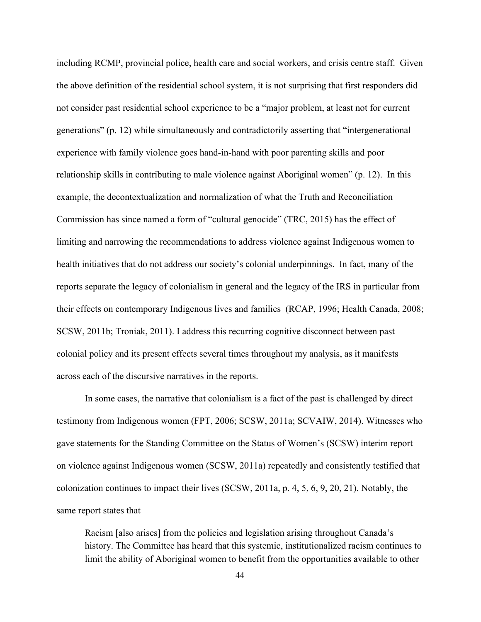including RCMP, provincial police, health care and social workers, and crisis centre staff. Given the above definition of the residential school system, it is not surprising that first responders did not consider past residential school experience to be a "major problem, at least not for current generations" (p. 12) while simultaneously and contradictorily asserting that "intergenerational experience with family violence goes hand-in-hand with poor parenting skills and poor relationship skills in contributing to male violence against Aboriginal women" (p. 12). In this example, the decontextualization and normalization of what the Truth and Reconciliation Commission has since named a form of "cultural genocide" (TRC, 2015) has the effect of limiting and narrowing the recommendations to address violence against Indigenous women to health initiatives that do not address our society's colonial underpinnings. In fact, many of the reports separate the legacy of colonialism in general and the legacy of the IRS in particular from their effects on contemporary Indigenous lives and families (RCAP, 1996; Health Canada, 2008; SCSW, 2011b; Troniak, 2011). I address this recurring cognitive disconnect between past colonial policy and its present effects several times throughout my analysis, as it manifests across each of the discursive narratives in the reports.

In some cases, the narrative that colonialism is a fact of the past is challenged by direct testimony from Indigenous women (FPT, 2006; SCSW, 2011a; SCVAIW, 2014). Witnesses who gave statements for the Standing Committee on the Status of Women's (SCSW) interim report on violence against Indigenous women (SCSW, 2011a) repeatedly and consistently testified that colonization continues to impact their lives (SCSW, 2011a, p. 4, 5, 6, 9, 20, 21). Notably, the same report states that

Racism [also arises] from the policies and legislation arising throughout Canada's history. The Committee has heard that this systemic, institutionalized racism continues to limit the ability of Aboriginal women to benefit from the opportunities available to other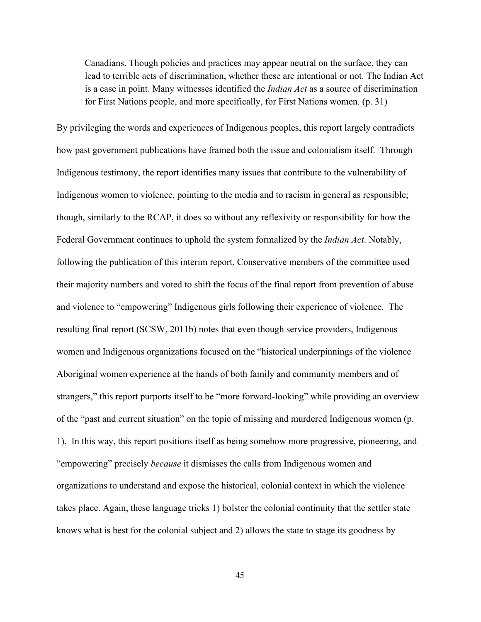Canadians. Though policies and practices may appear neutral on the surface, they can lead to terrible acts of discrimination, whether these are intentional or not. The Indian Act is a case in point. Many witnesses identified the *Indian Act* as a source of discrimination for First Nations people, and more specifically, for First Nations women. (p. 31)

By privileging the words and experiences of Indigenous peoples, this report largely contradicts how past government publications have framed both the issue and colonialism itself. Through Indigenous testimony, the report identifies many issues that contribute to the vulnerability of Indigenous women to violence, pointing to the media and to racism in general as responsible; though, similarly to the RCAP, it does so without any reflexivity or responsibility for how the Federal Government continues to uphold the system formalized by the *Indian Act*. Notably, following the publication of this interim report, Conservative members of the committee used their majority numbers and voted to shift the focus of the final report from prevention of abuse and violence to "empowering" Indigenous girls following their experience of violence. The resulting final report (SCSW, 2011b) notes that even though service providers, Indigenous women and Indigenous organizations focused on the "historical underpinnings of the violence Aboriginal women experience at the hands of both family and community members and of strangers," this report purports itself to be "more forward-looking" while providing an overview of the "past and current situation" on the topic of missing and murdered Indigenous women (p. 1). In this way, this report positions itself as being somehow more progressive, pioneering, and "empowering" precisely *because* it dismisses the calls from Indigenous women and organizations to understand and expose the historical, colonial context in which the violence takes place. Again, these language tricks 1) bolster the colonial continuity that the settler state knows what is best for the colonial subject and 2) allows the state to stage its goodness by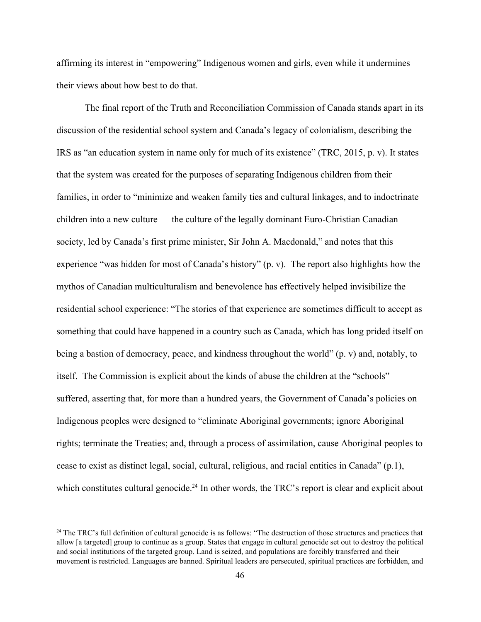affirming its interest in "empowering" Indigenous women and girls, even while it undermines their views about how best to do that.

The final report of the Truth and Reconciliation Commission of Canada stands apart in its discussion of the residential school system and Canada's legacy of colonialism, describing the IRS as "an education system in name only for much of its existence" (TRC, 2015, p. v). It states that the system was created for the purposes of separating Indigenous children from their families, in order to "minimize and weaken family ties and cultural linkages, and to indoctrinate children into a new culture — the culture of the legally dominant Euro-Christian Canadian society, led by Canada's first prime minister, Sir John A. Macdonald," and notes that this experience "was hidden for most of Canada's history" (p. v). The report also highlights how the mythos of Canadian multiculturalism and benevolence has effectively helped invisibilize the residential school experience: "The stories of that experience are sometimes difficult to accept as something that could have happened in a country such as Canada, which has long prided itself on being a bastion of democracy, peace, and kindness throughout the world" (p. v) and, notably, to itself. The Commission is explicit about the kinds of abuse the children at the "schools" suffered, asserting that, for more than a hundred years, the Government of Canada's policies on Indigenous peoples were designed to "eliminate Aboriginal governments; ignore Aboriginal rights; terminate the Treaties; and, through a process of assimilation, cause Aboriginal peoples to cease to exist as distinct legal, social, cultural, religious, and racial entities in Canada" (p.1), which constitutes cultural genocide.<sup>24</sup> In other words, the TRC's report is clear and explicit about

 $24$  The TRC's full definition of cultural genocide is as follows: "The destruction of those structures and practices that allow [a targeted] group to continue as a group. States that engage in cultural genocide set out to destroy the political and social institutions of the targeted group. Land is seized, and populations are forcibly transferred and their movement is restricted. Languages are banned. Spiritual leaders are persecuted, spiritual practices are forbidden, and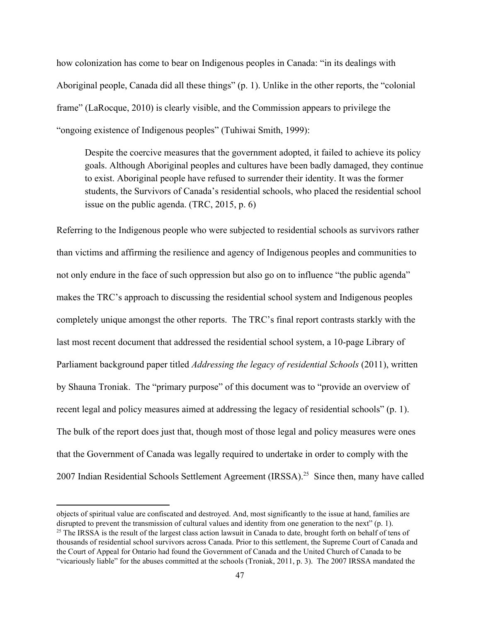how colonization has come to bear on Indigenous peoples in Canada: "in its dealings with Aboriginal people, Canada did all these things" (p. 1). Unlike in the other reports, the "colonial frame" (LaRocque, 2010) is clearly visible, and the Commission appears to privilege the "ongoing existence of Indigenous peoples" (Tuhiwai Smith, 1999):

Despite the coercive measures that the government adopted, it failed to achieve its policy goals. Although Aboriginal peoples and cultures have been badly damaged, they continue to exist. Aboriginal people have refused to surrender their identity. It was the former students, the Survivors of Canada's residential schools, who placed the residential school issue on the public agenda. (TRC, 2015, p. 6)

Referring to the Indigenous people who were subjected to residential schools as survivors rather than victims and affirming the resilience and agency of Indigenous peoples and communities to not only endure in the face of such oppression but also go on to influence "the public agenda" makes the TRC's approach to discussing the residential school system and Indigenous peoples completely unique amongst the other reports. The TRC's final report contrasts starkly with the last most recent document that addressed the residential school system, a 10-page Library of Parliament background paper titled *Addressing the legacy of residential Schools* (2011), written by Shauna Troniak. The "primary purpose" of this document was to "provide an overview of recent legal and policy measures aimed at addressing the legacy of residential schools" (p. 1). The bulk of the report does just that, though most of those legal and policy measures were ones that the Government of Canada was legally required to undertake in order to comply with the 2007 Indian Residential Schools Settlement Agreement (IRSSA).<sup>25</sup> Since then, many have called

objects of spiritual value are confiscated and destroyed. And, most significantly to the issue at hand, families are disrupted to prevent the transmission of cultural values and identity from one generation to the next" (p. 1). <sup>25</sup> The IRSSA is the result of the largest class action lawsuit in Canada to date, brought forth on behalf of tens of thousands of residential school survivors across Canada. Prior to this settlement, the Supreme Court of Canada and the Court of Appeal for Ontario had found the Government of Canada and the United Church of Canada to be "vicariously liable" for the abuses committed at the schools (Troniak, 2011, p. 3). The 2007 IRSSA mandated the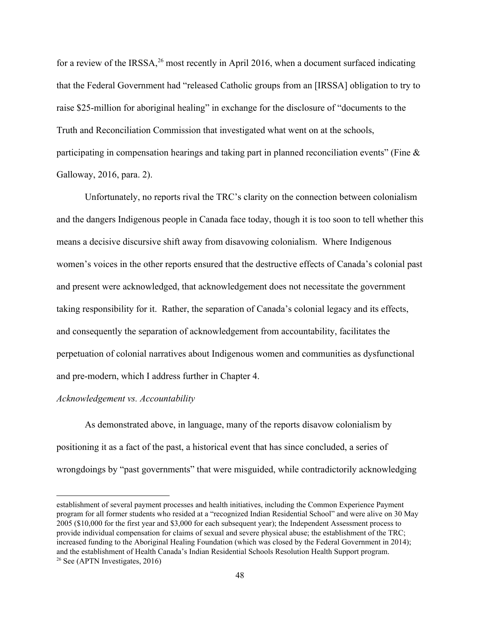for a review of the IRSSA, $^{26}$  most recently in April 2016, when a document surfaced indicating that the Federal Government had "released Catholic groups from an [IRSSA] obligation to try to raise \$25-million for aboriginal healing" in exchange for the disclosure of "documents to the Truth and Reconciliation Commission that investigated what went on at the schools, participating in compensation hearings and taking part in planned reconciliation events" (Fine & Galloway, 2016, para. 2).

Unfortunately, no reports rival the TRC's clarity on the connection between colonialism and the dangers Indigenous people in Canada face today, though it is too soon to tell whether this means a decisive discursive shift away from disavowing colonialism. Where Indigenous women's voices in the other reports ensured that the destructive effects of Canada's colonial past and present were acknowledged, that acknowledgement does not necessitate the government taking responsibility for it. Rather, the separation of Canada's colonial legacy and its effects, and consequently the separation of acknowledgement from accountability, facilitates the perpetuation of colonial narratives about Indigenous women and communities as dysfunctional and pre-modern, which I address further in Chapter 4.

#### *Acknowledgement vs. Accountability*

As demonstrated above, in language, many of the reports disavow colonialism by positioning it as a fact of the past, a historical event that has since concluded, a series of wrongdoings by "past governments" that were misguided, while contradictorily acknowledging

establishment of several payment processes and health initiatives, including the Common Experience Payment program for all former students who resided at a "recognized Indian Residential School" and were alive on 30 May 2005 (\$10,000 for the first year and \$3,000 for each subsequent year); the Independent Assessment process to provide individual compensation for claims of sexual and severe physical abuse; the establishment of the TRC; increased funding to the Aboriginal Healing Foundation (which was closed by the Federal Government in 2014); and the establishment of Health Canada's Indian Residential Schools Resolution Health Support program. <sup>26</sup> See (APTN Investigates,  $2016$ )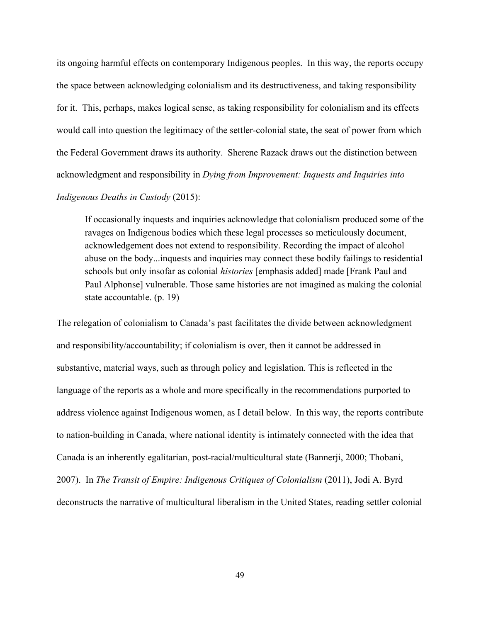its ongoing harmful effects on contemporary Indigenous peoples. In this way, the reports occupy the space between acknowledging colonialism and its destructiveness, and taking responsibility for it. This, perhaps, makes logical sense, as taking responsibility for colonialism and its effects would call into question the legitimacy of the settler-colonial state, the seat of power from which the Federal Government draws its authority. Sherene Razack draws out the distinction between acknowledgment and responsibility in *Dying from Improvement: Inquests and Inquiries into*

## *Indigenous Deaths in Custody* (2015):

If occasionally inquests and inquiries acknowledge that colonialism produced some of the ravages on Indigenous bodies which these legal processes so meticulously document, acknowledgement does not extend to responsibility. Recording the impact of alcohol abuse on the body...inquests and inquiries may connect these bodily failings to residential schools but only insofar as colonial *histories* [emphasis added] made [Frank Paul and Paul Alphonse] vulnerable. Those same histories are not imagined as making the colonial state accountable. (p. 19)

The relegation of colonialism to Canada's past facilitates the divide between acknowledgment and responsibility/accountability; if colonialism is over, then it cannot be addressed in substantive, material ways, such as through policy and legislation. This is reflected in the language of the reports as a whole and more specifically in the recommendations purported to address violence against Indigenous women, as I detail below. In this way, the reports contribute to nation-building in Canada, where national identity is intimately connected with the idea that Canada is an inherently egalitarian, post-racial/multicultural state (Bannerji, 2000; Thobani, 2007). In *The Transit of Empire: Indigenous Critiques of Colonialism* (2011), Jodi A. Byrd deconstructs the narrative of multicultural liberalism in the United States, reading settler colonial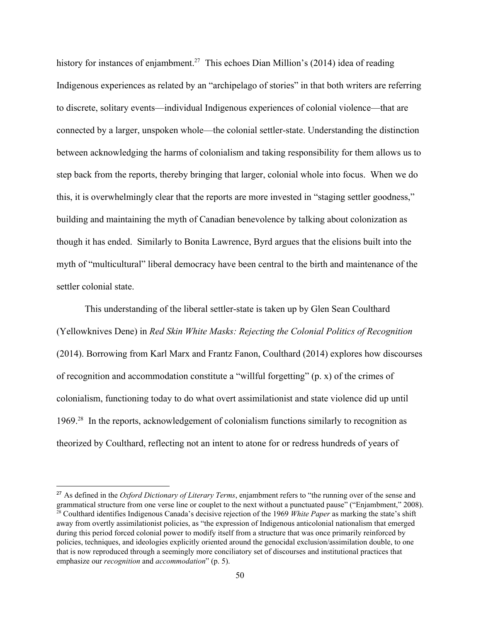history for instances of enjambment.<sup>27</sup> This echoes Dian Million's (2014) idea of reading Indigenous experiences as related by an "archipelago of stories" in that both writers are referring to discrete, solitary events—individual Indigenous experiences of colonial violence—that are connected by a larger, unspoken whole—the colonial settler-state. Understanding the distinction between acknowledging the harms of colonialism and taking responsibility for them allows us to step back from the reports, thereby bringing that larger, colonial whole into focus. When we do this, it is overwhelmingly clear that the reports are more invested in "staging settler goodness," building and maintaining the myth of Canadian benevolence by talking about colonization as though it has ended. Similarly to Bonita Lawrence, Byrd argues that the elisions built into the myth of "multicultural" liberal democracy have been central to the birth and maintenance of the settler colonial state.

This understanding of the liberal settler-state is taken up by Glen Sean Coulthard (Yellowknives Dene) in *Red Skin White Masks: Rejecting the Colonial Politics of Recognition* (2014). Borrowing from Karl Marx and Frantz Fanon, Coulthard (2014) explores how discourses of recognition and accommodation constitute a "willful forgetting" (p. x) of the crimes of colonialism, functioning today to do what overt assimilationist and state violence did up until 1969. $28$  In the reports, acknowledgement of colonialism functions similarly to recognition as theorized by Coulthard, reflecting not an intent to atone for or redress hundreds of years of

<sup>27</sup> As defined in the *Oxford Dictionary of Literary Terms*, enjambment refers to "the running over of the sense and grammatical structure from one verse line or couplet to the next without a punctuated pause" ("Enjambment," 2008). <sup>28</sup> Coulthard identifies Indigenous Canada's decisive rejection of the 1969 *White Paper* as marking the state's shift away from overtly assimilationist policies, as "the expression of Indigenous anticolonial nationalism that emerged during this period forced colonial power to modify itself from a structure that was once primarily reinforced by policies, techniques, and ideologies explicitly oriented around the genocidal exclusion/assimilation double, to one that is now reproduced through a seemingly more conciliatory set of discourses and institutional practices that emphasize our *recognition* and *accommodation*" (p. 5).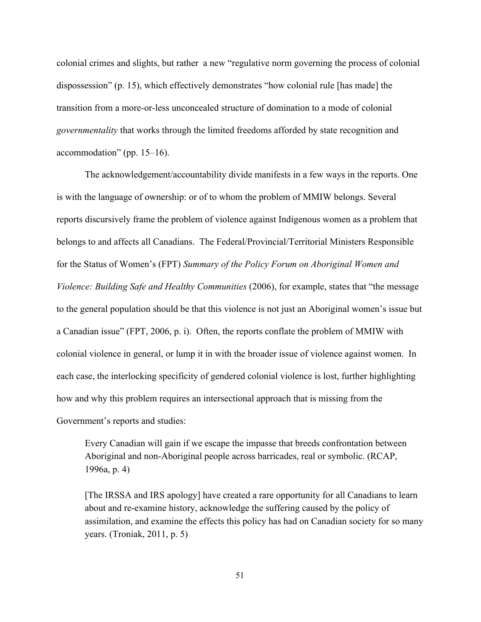colonial crimes and slights, but rather a new "regulative norm governing the process of colonial dispossession" (p. 15), which effectively demonstrates "how colonial rule [has made] the transition from a more-or-less unconcealed structure of domination to a mode of colonial *governmentality* that works through the limited freedoms afforded by state recognition and accommodation" (pp. 15–16).

The acknowledgement/accountability divide manifests in a few ways in the reports. One is with the language of ownership: or of to whom the problem of MMIW belongs. Several reports discursively frame the problem of violence against Indigenous women as a problem that belongs to and affects all Canadians. The Federal/Provincial/Territorial Ministers Responsible for the Status of Women's (FPT) *Summary of the Policy Forum on Aboriginal Women and Violence: Building Safe and Healthy Communities* (2006), for example, states that "the message to the general population should be that this violence is not just an Aboriginal women's issue but a Canadian issue" (FPT, 2006, p. i). Often, the reports conflate the problem of MMIW with colonial violence in general, or lump it in with the broader issue of violence against women. In each case, the interlocking specificity of gendered colonial violence is lost, further highlighting how and why this problem requires an intersectional approach that is missing from the Government's reports and studies:

Every Canadian will gain if we escape the impasse that breeds confrontation between Aboriginal and non-Aboriginal people across barricades, real or symbolic. (RCAP, 1996a, p. 4)

[The IRSSA and IRS apology] have created a rare opportunity for all Canadians to learn about and re-examine history, acknowledge the suffering caused by the policy of assimilation, and examine the effects this policy has had on Canadian society for so many years. (Troniak, 2011, p. 5)

51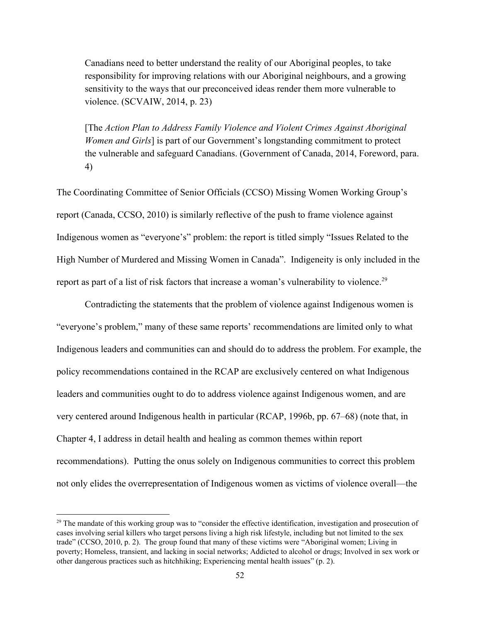Canadians need to better understand the reality of our Aboriginal peoples, to take responsibility for improving relations with our Aboriginal neighbours, and a growing sensitivity to the ways that our preconceived ideas render them more vulnerable to violence. (SCVAIW, 2014, p. 23)

[The *Action Plan to Address Family Violence and Violent Crimes Against Aboriginal Women and Girls*] is part of our Government's longstanding commitment to protect the vulnerable and safeguard Canadians. (Government of Canada, 2014, Foreword, para. 4)

The Coordinating Committee of Senior Officials (CCSO) Missing Women Working Group's report (Canada, CCSO, 2010) is similarly reflective of the push to frame violence against Indigenous women as "everyone's" problem: the report is titled simply "Issues Related to the High Number of Murdered and Missing Women in Canada". Indigeneity is only included in the report as part of a list of risk factors that increase a woman's vulnerability to violence.<sup>29</sup>

Contradicting the statements that the problem of violence against Indigenous women is "everyone's problem," many of these same reports' recommendations are limited only to what Indigenous leaders and communities can and should do to address the problem. For example, the policy recommendations contained in the RCAP are exclusively centered on what Indigenous leaders and communities ought to do to address violence against Indigenous women, and are very centered around Indigenous health in particular (RCAP, 1996b, pp. 67–68) (note that, in Chapter 4, I address in detail health and healing as common themes within report recommendations). Putting the onus solely on Indigenous communities to correct this problem not only elides the overrepresentation of Indigenous women as victims of violence overall—the

 $29$  The mandate of this working group was to "consider the effective identification, investigation and prosecution of cases involving serial killers who target persons living a high risk lifestyle, including but not limited to the sex trade" (CCSO, 2010, p. 2). The group found that many of these victims were "Aboriginal women; Living in poverty; Homeless, transient, and lacking in social networks; Addicted to alcohol or drugs; Involved in sex work or other dangerous practices such as hitchhiking; Experiencing mental health issues" (p. 2).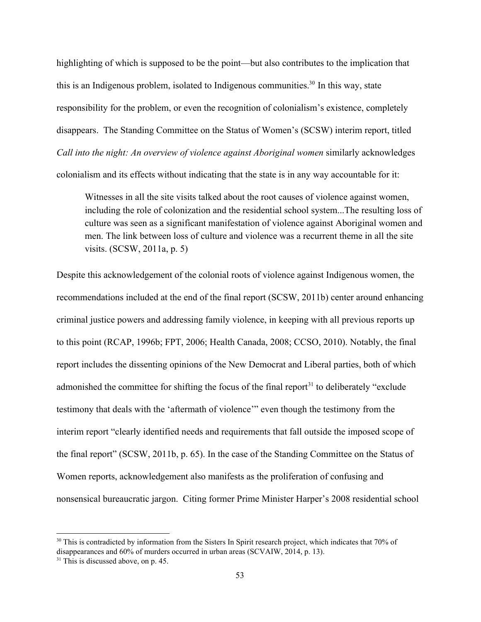highlighting of which is supposed to be the point—but also contributes to the implication that this is an Indigenous problem, isolated to Indigenous communities.<sup>30</sup> In this way, state responsibility for the problem, or even the recognition of colonialism's existence, completely disappears. The Standing Committee on the Status of Women's (SCSW) interim report, titled *Call into the night: An overview of violence against Aboriginal women* similarly acknowledges colonialism and its effects without indicating that the state is in any way accountable for it:

Witnesses in all the site visits talked about the root causes of violence against women, including the role of colonization and the residential school system...The resulting loss of culture was seen as a significant manifestation of violence against Aboriginal women and men. The link between loss of culture and violence was a recurrent theme in all the site visits. (SCSW, 2011a, p. 5)

Despite this acknowledgement of the colonial roots of violence against Indigenous women, the recommendations included at the end of the final report (SCSW, 2011b) center around enhancing criminal justice powers and addressing family violence, in keeping with all previous reports up to this point (RCAP, 1996b; FPT, 2006; Health Canada, 2008; CCSO, 2010). Notably, the final report includes the dissenting opinions of the New Democrat and Liberal parties, both of which admonished the committee for shifting the focus of the final report $31$  to deliberately "exclude testimony that deals with the 'aftermath of violence'" even though the testimony from the interim report "clearly identified needs and requirements that fall outside the imposed scope of the final report" (SCSW, 2011b, p. 65). In the case of the Standing Committee on the Status of Women reports, acknowledgement also manifests as the proliferation of confusing and nonsensical bureaucratic jargon. Citing former Prime Minister Harper's 2008 residential school

<sup>&</sup>lt;sup>30</sup> This is contradicted by information from the Sisters In Spirit research project, which indicates that 70% of disappearances and 60% of murders occurred in urban areas (SCVAIW, 2014, p. 13).

<sup>&</sup>lt;sup>31</sup> This is discussed above, on p. 45.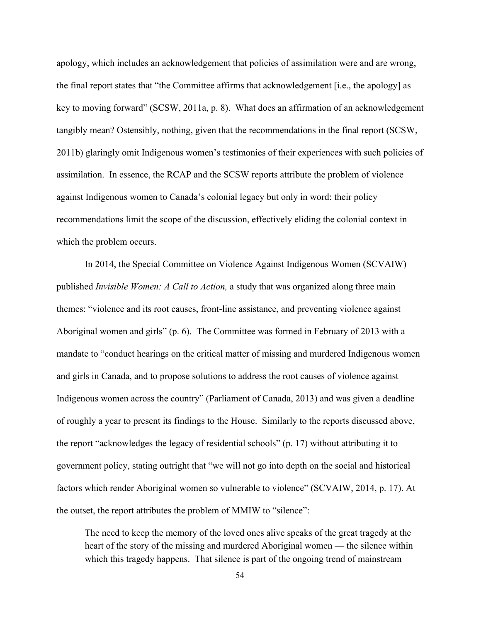apology, which includes an acknowledgement that policies of assimilation were and are wrong, the final report states that "the Committee affirms that acknowledgement [i.e., the apology] as key to moving forward" (SCSW, 2011a, p. 8). What does an affirmation of an acknowledgement tangibly mean? Ostensibly, nothing, given that the recommendations in the final report (SCSW, 2011b) glaringly omit Indigenous women's testimonies of their experiences with such policies of assimilation. In essence, the RCAP and the SCSW reports attribute the problem of violence against Indigenous women to Canada's colonial legacy but only in word: their policy recommendations limit the scope of the discussion, effectively eliding the colonial context in which the problem occurs.

In 2014, the Special Committee on Violence Against Indigenous Women (SCVAIW) published *Invisible Women: A Call to Action,* a study that was organized along three main themes: "violence and its root causes, front-line assistance, and preventing violence against Aboriginal women and girls" (p. 6). The Committee was formed in February of 2013 with a mandate to "conduct hearings on the critical matter of missing and murdered Indigenous women and girls in Canada, and to propose solutions to address the root causes of violence against Indigenous women across the country" (Parliament of Canada, 2013) and was given a deadline of roughly a year to present its findings to the House.Similarly to the reports discussed above, the report "acknowledges the legacy of residential schools" (p. 17) without attributing it to government policy, stating outright that "we will not go into depth on the social and historical factors which render Aboriginal women so vulnerable to violence" (SCVAIW, 2014, p. 17). At the outset, the report attributes the problem of MMIW to "silence":

The need to keep the memory of the loved ones alive speaks of the great tragedy at the heart of the story of the missing and murdered Aboriginal women — the silence within which this tragedy happens. That silence is part of the ongoing trend of mainstream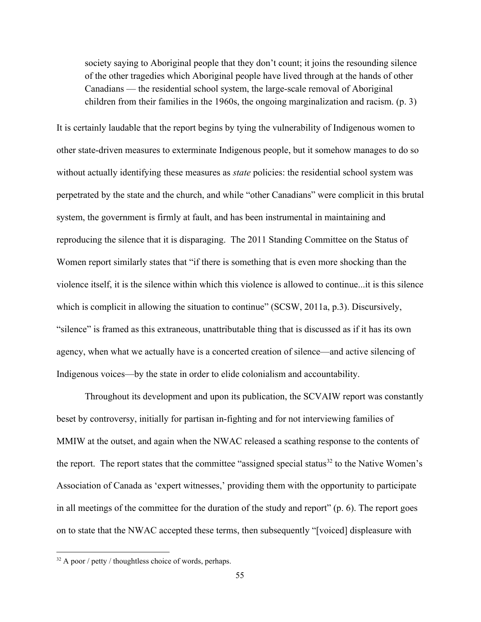society saying to Aboriginal people that they don't count; it joins the resounding silence of the other tragedies which Aboriginal people have lived through at the hands of other Canadians — the residential school system, the large-scale removal of Aboriginal children from their families in the 1960s, the ongoing marginalization and racism. (p. 3)

It is certainly laudable that the report begins by tying the vulnerability of Indigenous women to other state-driven measures to exterminate Indigenous people, but it somehow manages to do so without actually identifying these measures as *state* policies: the residential school system was perpetrated by the state and the church, and while "other Canadians" were complicit in this brutal system, the government is firmly at fault, and has been instrumental in maintaining and reproducing the silence that it is disparaging. The 2011 Standing Committee on the Status of Women report similarly states that "if there is something that is even more shocking than the violence itself, it is the silence within which this violence is allowed to continue...it is this silence which is complicit in allowing the situation to continue" (SCSW, 2011a, p.3). Discursively, "silence" is framed as this extraneous, unattributable thing that is discussed as if it has its own agency, when what we actually have is a concerted creation of silence—and active silencing of Indigenous voices—by the state in order to elide colonialism and accountability.

Throughout its development and upon its publication, the SCVAIW report was constantly beset by controversy, initially for partisan in-fighting and for not interviewing families of MMIW at the outset, and again when the NWAC released a scathing response to the contents of the report. The report states that the committee "assigned special status<sup>32</sup> to the Native Women's Association of Canada as 'expert witnesses,' providing them with the opportunity to participate in all meetings of the committee for the duration of the study and report" (p. 6). The report goes on to state that the NWAC accepted these terms, then subsequently "[voiced] displeasure with

 $32$  A poor / petty / thoughtless choice of words, perhaps.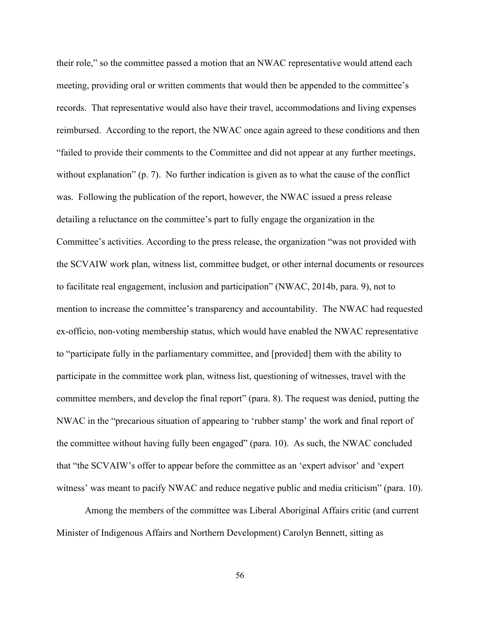their role," so the committee passed a motion that an NWAC representative would attend each meeting, providing oral or written comments that would then be appended to the committee's records. That representative would also have their travel, accommodations and living expenses reimbursed. According to the report, the NWAC once again agreed to these conditions and then "failed to provide their comments to the Committee and did not appear at any further meetings, without explanation" (p. 7). No further indication is given as to what the cause of the conflict was. Following the publication of the report, however, the NWAC issued a press release detailing a reluctance on the committee's part to fully engage the organization in the Committee's activities. According to the press release, the organization "was not provided with the SCVAIW work plan, witness list, committee budget, or other internal documents or resources to facilitate real engagement, inclusion and participation" (NWAC, 2014b, para. 9), not to mention to increase the committee's transparency and accountability. The NWAC had requested ex-officio, non-voting membership status, which would have enabled the NWAC representative to "participate fully in the parliamentary committee, and [provided] them with the ability to participate in the committee work plan, witness list, questioning of witnesses, travel with the committee members, and develop the final report" (para. 8). The request was denied, putting the NWAC in the "precarious situation of appearing to 'rubber stamp' the work and final report of the committee without having fully been engaged" (para. 10). As such, the NWAC concluded that "the SCVAIW's offer to appear before the committee as an 'expert advisor' and 'expert witness' was meant to pacify NWAC and reduce negative public and media criticism" (para. 10).

Among the members of the committee was Liberal Aboriginal Affairs critic (and current Minister of Indigenous Affairs and Northern Development) Carolyn Bennett, sitting as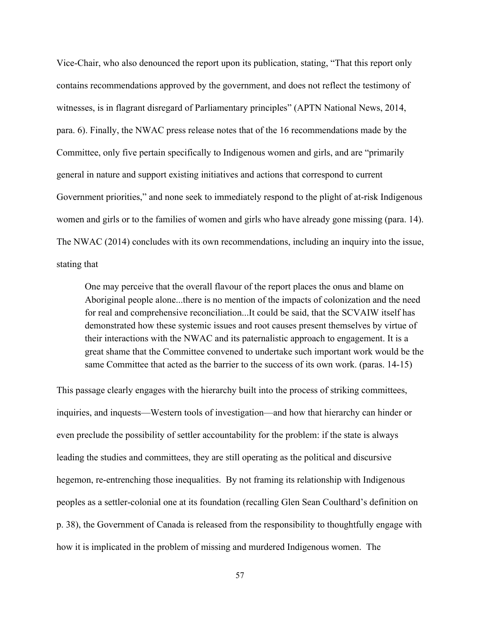Vice-Chair, who also denounced the report upon its publication, stating, "That this report only contains recommendations approved by the government, and does not reflect the testimony of witnesses, is in flagrant disregard of Parliamentary principles" (APTN National News, 2014, para. 6). Finally, the NWAC press release notes that of the 16 recommendations made by the Committee, only five pertain specifically to Indigenous women and girls, and are "primarily general in nature and support existing initiatives and actions that correspond to current Government priorities," and none seek to immediately respond to the plight of at-risk Indigenous women and girls or to the families of women and girls who have already gone missing (para. 14). The NWAC (2014) concludes with its own recommendations, including an inquiry into the issue, stating that

One may perceive that the overall flavour of the report places the onus and blame on Aboriginal people alone...there is no mention of the impacts of colonization and the need for real and comprehensive reconciliation...It could be said, that the SCVAIW itself has demonstrated how these systemic issues and root causes present themselves by virtue of their interactions with the NWAC and its paternalistic approach to engagement. It is a great shame that the Committee convened to undertake such important work would be the same Committee that acted as the barrier to the success of its own work. (paras. 1415)

This passage clearly engages with the hierarchy built into the process of striking committees, inquiries, and inquests—Western tools of investigation—and how that hierarchy can hinder or even preclude the possibility of settler accountability for the problem: if the state is always leading the studies and committees, they are still operating as the political and discursive hegemon, re-entrenching those inequalities. By not framing its relationship with Indigenous peoples as a settler-colonial one at its foundation (recalling Glen Sean Coulthard's definition on p. 38), the Government of Canada is released from the responsibility to thoughtfully engage with how it is implicated in the problem of missing and murdered Indigenous women. The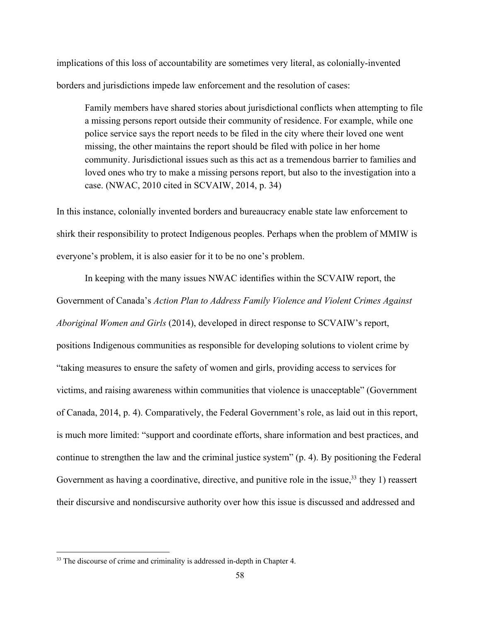implications of this loss of accountability are sometimes very literal, as colonially-invented borders and jurisdictions impede law enforcement and the resolution of cases:

Family members have shared stories about jurisdictional conflicts when attempting to file a missing persons report outside their community of residence. For example, while one police service says the report needs to be filed in the city where their loved one went missing, the other maintains the report should be filed with police in her home community. Jurisdictional issues such as this act as a tremendous barrier to families and loved ones who try to make a missing persons report, but also to the investigation into a case. (NWAC, 2010 cited in SCVAIW, 2014, p. 34)

In this instance, colonially invented borders and bureaucracy enable state law enforcement to shirk their responsibility to protect Indigenous peoples. Perhaps when the problem of MMIW is everyone's problem, it is also easier for it to be no one's problem.

In keeping with the many issues NWAC identifies within the SCVAIW report, the Government of Canada's *Action Plan to Address Family Violence and Violent Crimes Against Aboriginal Women and Girls* (2014), developed in direct response to SCVAIW's report, positions Indigenous communities as responsible for developing solutions to violent crime by "taking measures to ensure the safety of women and girls, providing access to services for victims, and raising awareness within communities that violence is unacceptable" (Government of Canada, 2014, p. 4). Comparatively, the Federal Government's role, as laid out in this report, is much more limited: "support and coordinate efforts, share information and best practices, and continue to strengthen the law and the criminal justice system" (p. 4). By positioning the Federal Government as having a coordinative, directive, and punitive role in the issue,  $33$  they 1) reassert their discursive and nondiscursive authority over how this issue is discussed and addressed and

 $33$  The discourse of crime and criminality is addressed in-depth in Chapter 4.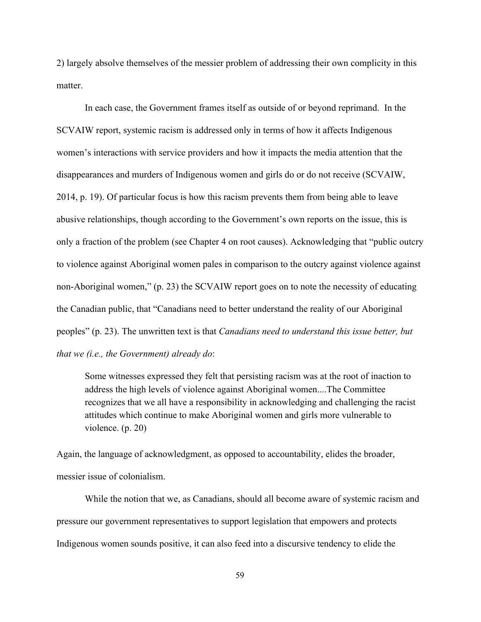2) largely absolve themselves of the messier problem of addressing their own complicity in this matter

In each case, the Government frames itself as outside of or beyond reprimand. In the SCVAIW report, systemic racism is addressed only in terms of how it affects Indigenous women's interactions with service providers and how it impacts the media attention that the disappearances and murders of Indigenous women and girls do or do not receive (SCVAIW, 2014, p. 19). Of particular focus is how this racism prevents them from being able to leave abusive relationships, though according to the Government's own reports on the issue, this is only a fraction of the problem (see Chapter 4 on root causes). Acknowledging that "public outcry to violence against Aboriginal women pales in comparison to the outcry against violence against non-Aboriginal women," (p. 23) the SCVAIW report goes on to note the necessity of educating the Canadian public, that "Canadians need to better understand the reality of our Aboriginal peoples" (p. 23). The unwritten text is that *Canadians need to understand this issue better, but that we (i.e., the Government) already do*:

Some witnesses expressed they felt that persisting racism was at the root of inaction to address the high levels of violence against Aboriginal women....The Committee recognizes that we all have a responsibility in acknowledging and challenging the racist attitudes which continue to make Aboriginal women and girls more vulnerable to violence. (p. 20)

Again, the language of acknowledgment, as opposed to accountability, elides the broader, messier issue of colonialism.

While the notion that we, as Canadians, should all become aware of systemic racism and pressure our government representatives to support legislation that empowers and protects Indigenous women sounds positive, it can also feed into a discursive tendency to elide the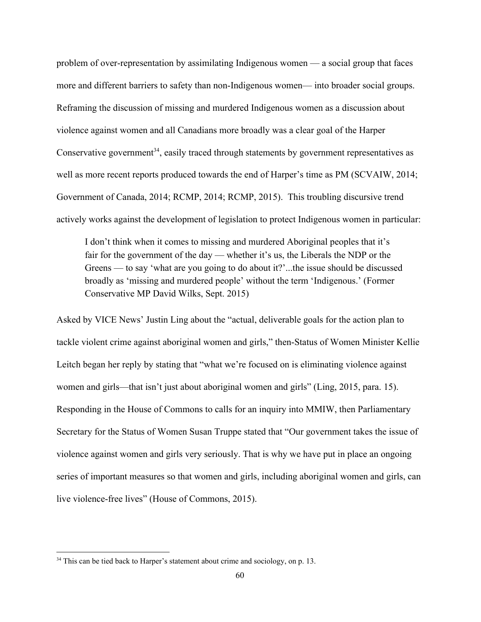problem of over-representation by assimilating Indigenous women  $-$  a social group that faces more and different barriers to safety than non-Indigenous women— into broader social groups. Reframing the discussion of missing and murdered Indigenous women as a discussion about violence against women and all Canadians more broadly was a clear goal of the Harper Conservative government<sup>34</sup>, easily traced through statements by government representatives as well as more recent reports produced towards the end of Harper's time as PM (SCVAIW, 2014; Government of Canada, 2014; RCMP, 2014; RCMP, 2015). This troubling discursive trend actively works against the development of legislation to protect Indigenous women in particular:

I don't think when it comes to missing and murdered Aboriginal peoples that it's fair for the government of the day — whether it's us, the Liberals the NDP or the Greens — to say 'what are you going to do about it?'...the issue should be discussed broadly as 'missing and murdered people' without the term 'Indigenous.' (Former Conservative MP David Wilks, Sept. 2015)

Asked by VICE News' Justin Ling about the "actual, deliverable goals for the action plan to tackle violent crime against aboriginal women and girls," then-Status of Women Minister Kellie Leitch began her reply by stating that "what we're focused on is eliminating violence against women and girls—that isn't just about aboriginal women and girls" (Ling, 2015, para. 15). Responding in the House of Commons to calls for an inquiry into MMIW, then Parliamentary Secretary for the Status of Women Susan Truppe stated that "Our government takes the issue of violence against women and girls very seriously. That is why we have put in place an ongoing series of important measures so that women and girls, including aboriginal women and girls, can live violence-free lives" (House of Commons, 2015).

<sup>&</sup>lt;sup>34</sup> This can be tied back to Harper's statement about crime and sociology, on p. 13.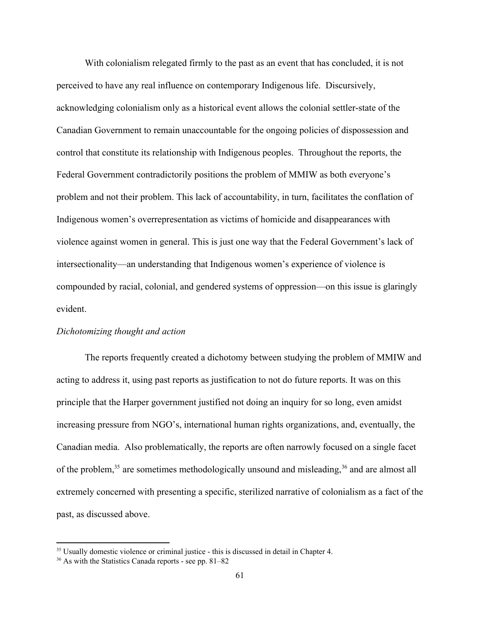With colonialism relegated firmly to the past as an event that has concluded, it is not perceived to have any real influence on contemporary Indigenous life. Discursively, acknowledging colonialism only as a historical event allows the colonial settler-state of the Canadian Government to remain unaccountable for the ongoing policies of dispossession and control that constitute its relationship with Indigenous peoples. Throughout the reports, the Federal Government contradictorily positions the problem of MMIW as both everyone's problem and not their problem. This lack of accountability, in turn, facilitates the conflation of Indigenous women's overrepresentation as victims of homicide and disappearances with violence against women in general. This is just one way that the Federal Government's lack of intersectionality—an understanding that Indigenous women's experience of violence is compounded by racial, colonial, and gendered systems of oppression—on this issue is glaringly evident.

#### *Dichotomizing thought and action*

The reports frequently created a dichotomy between studying the problem of MMIW and acting to address it, using past reports as justification to not do future reports. It was on this principle that the Harper government justified not doing an inquiry for so long, even amidst increasing pressure from NGO's, international human rights organizations, and, eventually, the Canadian media. Also problematically, the reports are often narrowly focused on a single facet of the problem,  $35$  are sometimes methodologically unsound and misleading,  $36$  and are almost all extremely concerned with presenting a specific, sterilized narrative of colonialism as a fact of the past, as discussed above.

<sup>&</sup>lt;sup>35</sup> Usually domestic violence or criminal justice - this is discussed in detail in Chapter 4.

 $36$  As with the Statistics Canada reports - see pp. 81–82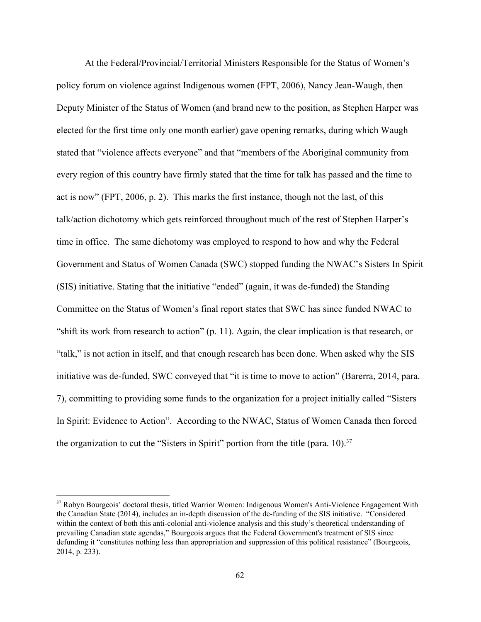At the Federal/Provincial/Territorial Ministers Responsible for the Status of Women's policy forum on violence against Indigenous women (FPT, 2006), Nancy Jean-Waugh, then Deputy Minister of the Status of Women (and brand new to the position, as Stephen Harper was elected for the first time only one month earlier) gave opening remarks, during which Waugh stated that "violence affects everyone" and that "members of the Aboriginal community from every region of this country have firmly stated that the time for talk has passed and the time to act is now" (FPT, 2006, p. 2). This marks the first instance, though not the last, of this talk/action dichotomy which gets reinforced throughout much of the rest of Stephen Harper's time in office. The same dichotomy was employed to respond to how and why the Federal Government and Status of Women Canada (SWC) stopped funding the NWAC's Sisters In Spirit (SIS) initiative. Stating that the initiative "ended" (again, it was de-funded) the Standing Committee on the Status of Women's final report states that SWC has since funded NWAC to "shift its work from research to action" (p. 11). Again, the clear implication is that research, or "talk," is not action in itself, and that enough research has been done. When asked why the SIS initiative was de-funded, SWC conveyed that "it is time to move to action" (Barerra, 2014, para. 7), committing to providing some funds to the organization for a project initially called "Sisters In Spirit: Evidence to Action". According to the NWAC, Status of Women Canada then forced the organization to cut the "Sisters in Spirit" portion from the title (para. 10).<sup>37</sup>

<sup>37</sup> Robyn Bourgeois' doctoral thesis, titled Warrior Women: Indigenous Women's Anti-Violence Engagement With the Canadian State (2014), includes an in-depth discussion of the de-funding of the SIS initiative. "Considered within the context of both this anti-colonial anti-violence analysis and this study's theoretical understanding of prevailing Canadian state agendas," Bourgeois argues that the Federal Government's treatment of SIS since defunding it "constitutes nothing less than appropriation and suppression of this political resistance" (Bourgeois, 2014, p. 233).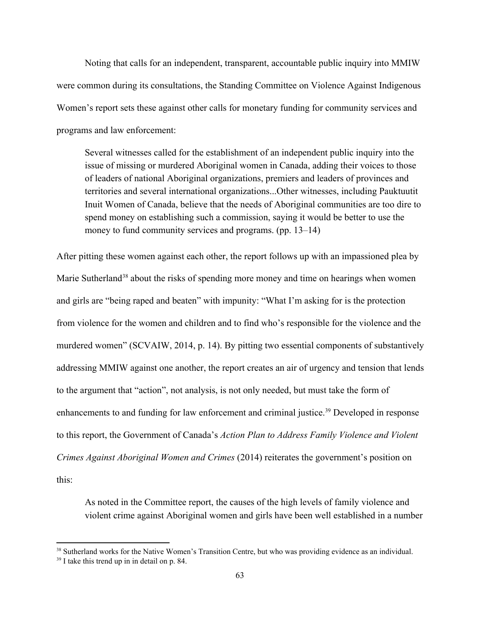Noting that calls for an independent, transparent, accountable public inquiry into MMIW were common during its consultations, the Standing Committee on Violence Against Indigenous Women's report sets these against other calls for monetary funding for community services and programs and law enforcement:

Several witnesses called for the establishment of an independent public inquiry into the issue of missing or murdered Aboriginal women in Canada, adding their voices to those of leaders of national Aboriginal organizations, premiers and leaders of provinces and territories and several international organizations...Other witnesses, including Pauktuutit Inuit Women of Canada, believe that the needs of Aboriginal communities are too dire to spend money on establishing such a commission, saying it would be better to use the money to fund community services and programs. (pp. 13–14)

After pitting these women against each other, the report follows up with an impassioned plea by Marie Sutherland<sup>38</sup> about the risks of spending more money and time on hearings when women and girls are "being raped and beaten" with impunity: "What I'm asking for is the protection from violence for the women and children and to find who's responsible for the violence and the murdered women" (SCVAIW, 2014, p. 14). By pitting two essential components of substantively addressing MMIW against one another, the report creates an air of urgency and tension that lends to the argument that "action", not analysis, is not only needed, but must take the form of enhancements to and funding for law enforcement and criminal justice.<sup>39</sup> Developed in response to this report, the Government of Canada's *Action Plan to Address Family Violence and Violent Crimes Against Aboriginal Women and Crimes* (2014) reiterates the government's position on this:

As noted in the Committee report, the causes of the high levels of family violence and violent crime against Aboriginal women and girls have been well established in a number

<sup>&</sup>lt;sup>38</sup> Sutherland works for the Native Women's Transition Centre, but who was providing evidence as an individual.

<sup>39</sup> I take this trend up in in detail on p. 84.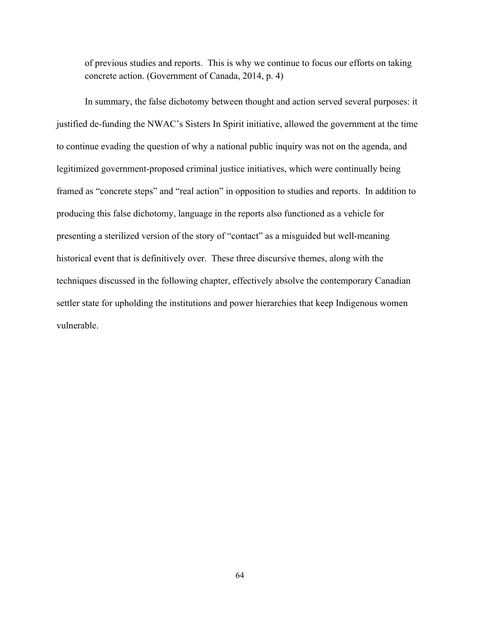of previous studies and reports. This is why we continue to focus our efforts on taking concrete action. (Government of Canada, 2014, p. 4)

In summary, the false dichotomy between thought and action served several purposes: it justified de-funding the NWAC's Sisters In Spirit initiative, allowed the government at the time to continue evading the question of why a national public inquiry was not on the agenda, and legitimized government-proposed criminal justice initiatives, which were continually being framed as "concrete steps" and "real action" in opposition to studies and reports. In addition to producing this false dichotomy, language in the reports also functioned as a vehicle for presenting a sterilized version of the story of "contact" as a misguided but well-meaning historical event that is definitively over. These three discursive themes, along with the techniques discussed in the following chapter, effectively absolve the contemporary Canadian settler state for upholding the institutions and power hierarchies that keep Indigenous women vulnerable.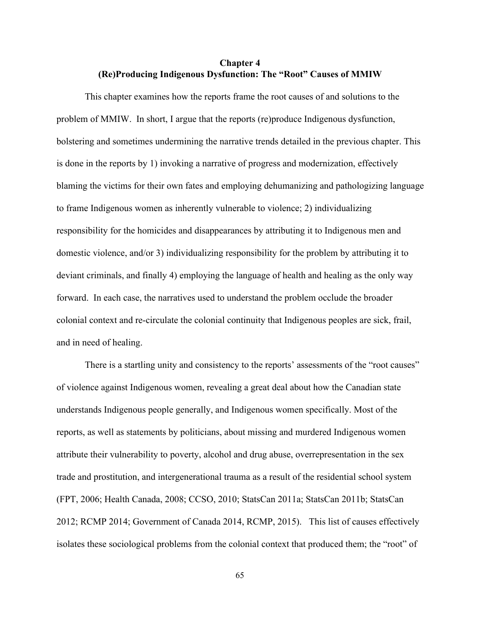# **Chapter 4 (Re)Producing Indigenous Dysfunction: The "Root" Causes of MMIW**

This chapter examines how the reports frame the root causes of and solutions to the problem of MMIW. In short, I argue that the reports (re)produce Indigenous dysfunction, bolstering and sometimes undermining the narrative trends detailed in the previous chapter. This is done in the reports by 1) invoking a narrative of progress and modernization, effectively blaming the victims for their own fates and employing dehumanizing and pathologizing language to frame Indigenous women as inherently vulnerable to violence; 2) individualizing responsibility for the homicides and disappearances by attributing it to Indigenous men and domestic violence, and/or 3) individualizing responsibility for the problem by attributing it to deviant criminals, and finally 4) employing the language of health and healing as the only way forward. In each case, the narratives used to understand the problem occlude the broader colonial context and recirculate the colonial continuity that Indigenous peoples are sick, frail, and in need of healing.

There is a startling unity and consistency to the reports' assessments of the "root causes" of violence against Indigenous women, revealing a great deal about how the Canadian state understands Indigenous people generally, and Indigenous women specifically. Most of the reports, as well as statements by politicians, about missing and murdered Indigenous women attribute their vulnerability to poverty, alcohol and drug abuse, overrepresentation in the sex trade and prostitution, and intergenerational trauma as a result of the residential school system (FPT, 2006; Health Canada, 2008; CCSO, 2010; StatsCan 2011a; StatsCan 2011b; StatsCan 2012; RCMP 2014; Government of Canada 2014, RCMP, 2015). This list of causes effectively isolates these sociological problems from the colonial context that produced them; the "root" of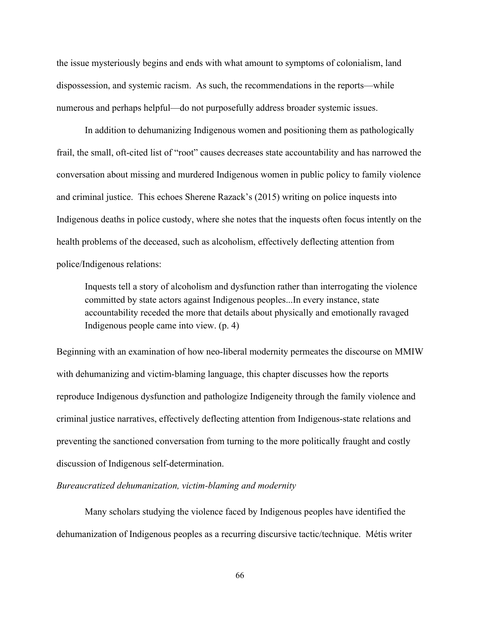the issue mysteriously begins and ends with what amount to symptoms of colonialism, land dispossession, and systemic racism. As such, the recommendations in the reports—while numerous and perhaps helpful—do not purposefully address broader systemic issues.

In addition to dehumanizing Indigenous women and positioning them as pathologically frail, the small, oft-cited list of "root" causes decreases state accountability and has narrowed the conversation about missing and murdered Indigenous women in public policy to family violence and criminal justice. This echoes Sherene Razack's (2015) writing on police inquests into Indigenous deaths in police custody, where she notes that the inquests often focus intently on the health problems of the deceased, such as alcoholism, effectively deflecting attention from police/Indigenous relations:

Inquests tell a story of alcoholism and dysfunction rather than interrogating the violence committed by state actors against Indigenous peoples...In every instance, state accountability receded the more that details about physically and emotionally ravaged Indigenous people came into view. (p. 4)

Beginning with an examination of how neo-liberal modernity permeates the discourse on MMIW with dehumanizing and victim-blaming language, this chapter discusses how the reports reproduce Indigenous dysfunction and pathologize Indigeneity through the family violence and criminal justice narratives, effectively deflecting attention from Indigenous-state relations and preventing the sanctioned conversation from turning to the more politically fraught and costly discussion of Indigenous self-determination.

### *Bureaucratized dehumanization, victim-blaming and modernity*

Many scholars studying the violence faced by Indigenous peoples have identified the dehumanization of Indigenous peoples as a recurring discursive tactic/technique. Métis writer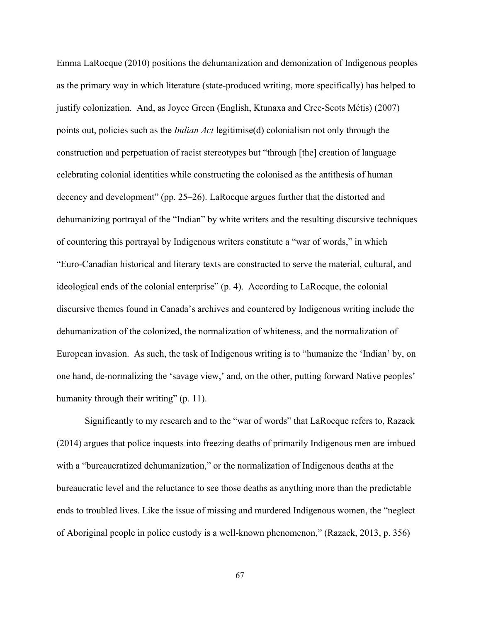Emma LaRocque (2010) positions the dehumanization and demonization of Indigenous peoples as the primary way in which literature (state-produced writing, more specifically) has helped to justify colonization. And, as Joyce Green (English, Ktunaxa and Cree-Scots Métis) (2007) points out, policies such as the *Indian Act* legitimise(d) colonialism not only through the construction and perpetuation of racist stereotypes but "through [the] creation of language celebrating colonial identities while constructing the colonised as the antithesis of human decency and development" (pp. 25–26). LaRocque argues further that the distorted and dehumanizing portrayal of the "Indian" by white writers and the resulting discursive techniques of countering this portrayal by Indigenous writers constitute a "war of words," in which "EuroCanadian historical and literary texts are constructed to serve the material, cultural, and ideological ends of the colonial enterprise" (p. 4). According to LaRocque, the colonial discursive themes found in Canada's archives and countered by Indigenous writing include the dehumanization of the colonized, the normalization of whiteness, and the normalization of European invasion. As such, the task of Indigenous writing is to "humanize the 'Indian' by, on one hand, de-normalizing the 'savage view,' and, on the other, putting forward Native peoples' humanity through their writing" (p. 11).

Significantly to my research and to the "war of words" that LaRocque refers to, Razack (2014) argues that police inquests into freezing deaths of primarily Indigenous men are imbued with a "bureaucratized dehumanization," or the normalization of Indigenous deaths at the bureaucratic level and the reluctance to see those deaths as anything more than the predictable ends to troubled lives. Like the issue of missing and murdered Indigenous women, the "neglect of Aboriginal people in police custody is a well-known phenomenon," (Razack, 2013, p. 356)

67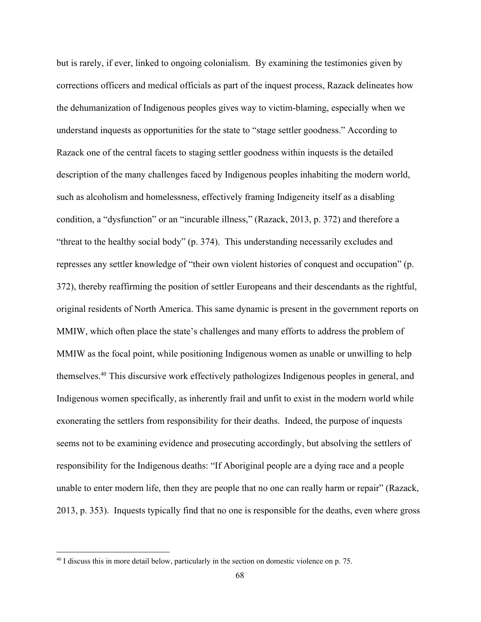but is rarely, if ever, linked to ongoing colonialism. By examining the testimonies given by corrections officers and medical officials as part of the inquest process, Razack delineates how the dehumanization of Indigenous peoples gives way to victim-blaming, especially when we understand inquests as opportunities for the state to "stage settler goodness." According to Razack one of the central facets to staging settler goodness within inquests is the detailed description of the many challenges faced by Indigenous peoples inhabiting the modern world, such as alcoholism and homelessness, effectively framing Indigeneity itself as a disabling condition, a "dysfunction" or an "incurable illness," (Razack, 2013, p. 372) and therefore a "threat to the healthy social body" (p. 374). This understanding necessarily excludes and represses any settler knowledge of "their own violent histories of conquest and occupation" (p. 372), thereby reaffirming the position of settler Europeans and their descendants as the rightful, original residents of North America. This same dynamic is present in the government reports on MMIW, which often place the state's challenges and many efforts to address the problem of MMIW as the focal point, while positioning Indigenous women as unable or unwilling to help themselves.<sup>40</sup> This discursive work effectively pathologizes Indigenous peoples in general, and Indigenous women specifically, as inherently frail and unfit to exist in the modern world while exonerating the settlers from responsibility for their deaths. Indeed, the purpose of inquests seems not to be examining evidence and prosecuting accordingly, but absolving the settlers of responsibility for the Indigenous deaths: "If Aboriginal people are a dying race and a people unable to enter modern life, then they are people that no one can really harm or repair" (Razack, 2013, p. 353). Inquests typically find that no one is responsible for the deaths, even where gross

<sup>&</sup>lt;sup>40</sup> I discuss this in more detail below, particularly in the section on domestic violence on p. 75.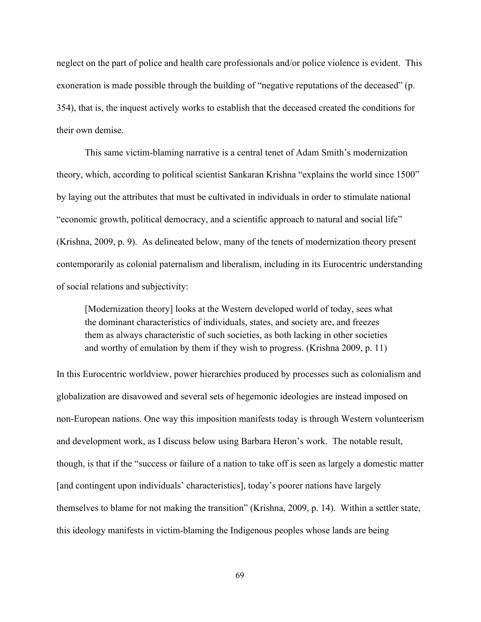neglect on the part of police and health care professionals and/or police violence is evident. This exoneration is made possible through the building of "negative reputations of the deceased" (p. 354), that is, the inquest actively works to establish that the deceased created the conditions for their own demise.

This same victim-blaming narrative is a central tenet of Adam Smith's modernization theory, which, according to political scientist Sankaran Krishna "explains the world since 1500" by laying out the attributes that must be cultivated in individuals in order to stimulate national "economic growth, political democracy, and a scientific approach to natural and social life" (Krishna, 2009, p. 9). As delineated below, many of the tenets of modernization theory present contemporarily as colonial paternalism and liberalism, including in its Eurocentric understanding of social relations and subjectivity:

[Modernization theory] looks at the Western developed world of today, sees what the dominant characteristics of individuals, states, and society are, and freezes them as always characteristic of such societies, as both lacking in other societies and worthy of emulation by them if they wish to progress. (Krishna 2009, p. 11)

In this Eurocentric worldview, power hierarchies produced by processes such as colonialism and globalization are disavowed and several sets of hegemonic ideologies are instead imposed on non-European nations. One way this imposition manifests today is through Western volunteerism and development work, as I discuss below using Barbara Heron's work. The notable result, though, is that if the "success or failure of a nation to take off is seen as largely a domestic matter [and contingent upon individuals' characteristics], today's poorer nations have largely themselves to blame for not making the transition" (Krishna, 2009, p. 14). Within a settler state, this ideology manifests in victim-blaming the Indigenous peoples whose lands are being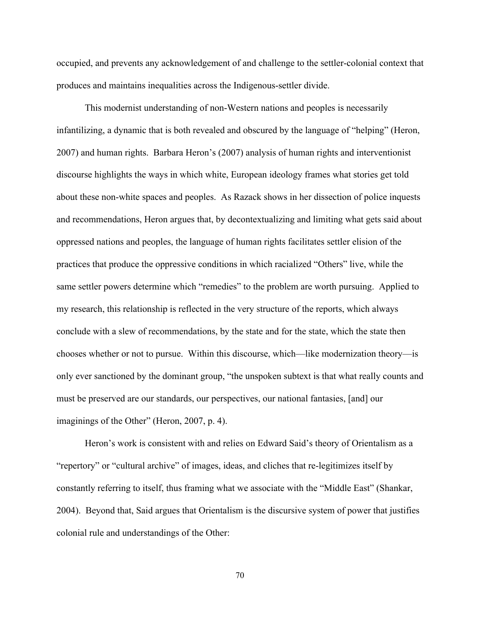occupied, and prevents any acknowledgement of and challenge to the settler-colonial context that produces and maintains inequalities across the Indigenous-settler divide.

This modernist understanding of non-Western nations and peoples is necessarily infantilizing, a dynamic that is both revealed and obscured by the language of "helping" (Heron, 2007) and human rights. Barbara Heron's (2007) analysis of human rights and interventionist discourse highlights the ways in which white, European ideology frames what stories get told about these non-white spaces and peoples. As Razack shows in her dissection of police inquests and recommendations, Heron argues that, by decontextualizing and limiting what gets said about oppressed nations and peoples, the language of human rights facilitates settler elision of the practices that produce the oppressive conditions in which racialized "Others" live, while the same settler powers determine which "remedies" to the problem are worth pursuing. Applied to my research, this relationship is reflected in the very structure of the reports, which always conclude with a slew of recommendations, by the state and for the state, which the state then chooses whether or not to pursue. Within this discourse, which—like modernization theory—is only ever sanctioned by the dominant group, "the unspoken subtext is that what really counts and must be preserved are our standards, our perspectives, our national fantasies, [and] our imaginings of the Other" (Heron, 2007, p. 4).

Heron's work is consistent with and relies on Edward Said's theory of Orientalism as a "repertory" or "cultural archive" of images, ideas, and cliches that re-legitimizes itself by constantly referring to itself, thus framing what we associate with the "Middle East" (Shankar, 2004). Beyond that, Said argues that Orientalism is the discursive system of power that justifies colonial rule and understandings of the Other:

70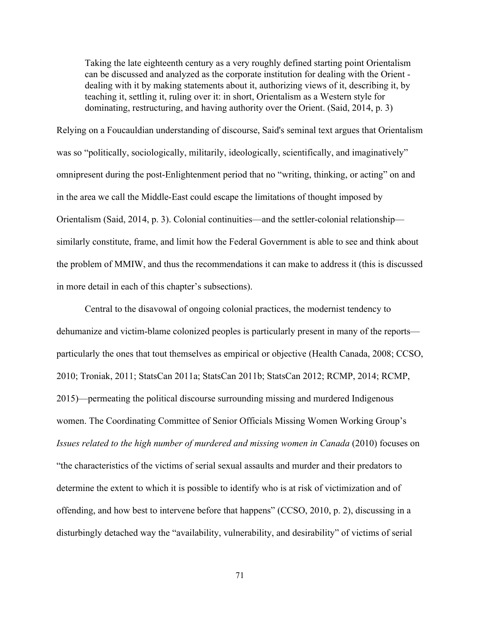Taking the late eighteenth century as a very roughly defined starting point Orientalism can be discussed and analyzed as the corporate institution for dealing with the Orient dealing with it by making statements about it, authorizing views of it, describing it, by teaching it, settling it, ruling over it: in short, Orientalism as a Western style for dominating, restructuring, and having authority over the Orient. (Said, 2014, p. 3)

Relying on a Foucauldian understanding of discourse, Said's seminal text argues that Orientalism was so "politically, sociologically, militarily, ideologically, scientifically, and imaginatively" omnipresent during the post-Enlightenment period that no "writing, thinking, or acting" on and in the area we call the Middle-East could escape the limitations of thought imposed by Orientalism (Said, 2014, p. 3). Colonial continuities—and the settler-colonial relationship similarly constitute, frame, and limit how the Federal Government is able to see and think about the problem of MMIW, and thus the recommendations it can make to address it (this is discussed in more detail in each of this chapter's subsections).

Central to the disavowal of ongoing colonial practices, the modernist tendency to dehumanize and victim-blame colonized peoples is particularly present in many of the reports particularly the ones that tout themselves as empirical or objective (Health Canada, 2008; CCSO, 2010; Troniak, 2011; StatsCan 2011a; StatsCan 2011b; StatsCan 2012; RCMP, 2014; RCMP, 2015)—permeating the political discourse surrounding missing and murdered Indigenous women. The Coordinating Committee of Senior Officials Missing Women Working Group's *Issues related to the high number of murdered and missing women in Canada* (2010) focuses on "the characteristics of the victims of serial sexual assaults and murder and their predators to determine the extent to which it is possible to identify who is at risk of victimization and of offending, and how best to intervene before that happens" (CCSO, 2010, p. 2), discussing in a disturbingly detached way the "availability, vulnerability, and desirability" of victims of serial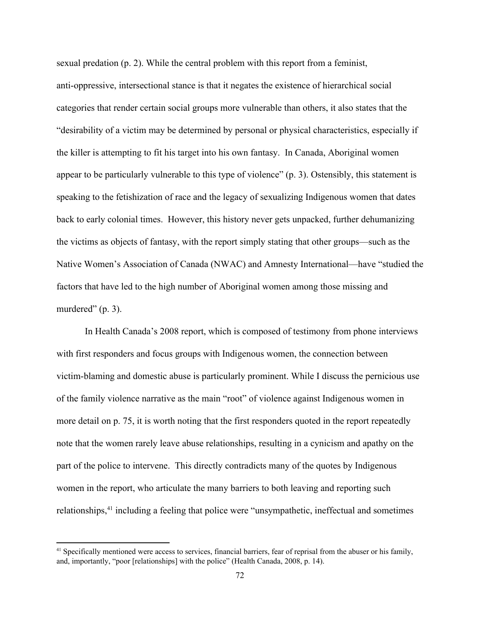sexual predation (p. 2). While the central problem with this report from a feminist, anti-oppressive, intersectional stance is that it negates the existence of hierarchical social categories that render certain social groups more vulnerable than others, it also states that the "desirability of a victim may be determined by personal or physical characteristics, especially if the killer is attempting to fit his target into his own fantasy. In Canada, Aboriginal women appear to be particularly vulnerable to this type of violence" (p. 3). Ostensibly, this statement is speaking to the fetishization of race and the legacy of sexualizing Indigenous women that dates back to early colonial times. However, this history never gets unpacked, further dehumanizing the victims as objects of fantasy, with the report simply stating that other groups—such as the Native Women's Association of Canada (NWAC) and Amnesty International—have "studied the factors that have led to the high number of Aboriginal women among those missing and murdered" (p. 3).

In Health Canada's 2008 report, which is composed of testimony from phone interviews with first responders and focus groups with Indigenous women, the connection between victim-blaming and domestic abuse is particularly prominent. While I discuss the pernicious use of the family violence narrative as the main "root" of violence against Indigenous women in more detail on p. 75, it is worth noting that the first responders quoted in the report repeatedly note that the women rarely leave abuse relationships, resulting in a cynicism and apathy on the part of the police to intervene. This directly contradicts many of the quotes by Indigenous women in the report, who articulate the many barriers to both leaving and reporting such relationships,<sup>41</sup> including a feeling that police were "unsympathetic, ineffectual and sometimes

<sup>&</sup>lt;sup>41</sup> Specifically mentioned were access to services, financial barriers, fear of reprisal from the abuser or his family, and, importantly, "poor [relationships] with the police" (Health Canada, 2008, p. 14).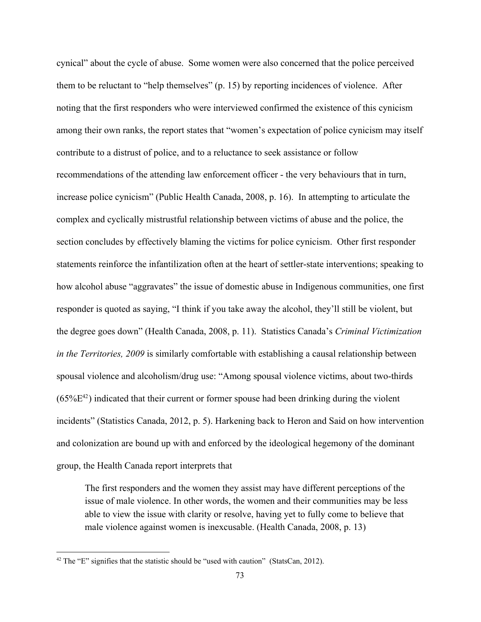cynical" about the cycle of abuse. Some women were also concerned that the police perceived them to be reluctant to "help themselves" (p. 15) by reporting incidences of violence. After noting that the first responders who were interviewed confirmed the existence of this cynicism among their own ranks, the report states that "women's expectation of police cynicism may itself contribute to a distrust of police, and to a reluctance to seek assistance or follow recommendations of the attending law enforcement officer - the very behaviours that in turn, increase police cynicism" (Public Health Canada, 2008, p. 16). In attempting to articulate the complex and cyclically mistrustful relationship between victims of abuse and the police, the section concludes by effectively blaming the victims for police cynicism. Other first responder statements reinforce the infantilization often at the heart of settler-state interventions; speaking to how alcohol abuse "aggravates" the issue of domestic abuse in Indigenous communities, one first responder is quoted as saying, "I think if you take away the alcohol, they'll still be violent, but the degree goes down" (Health Canada, 2008, p. 11). Statistics Canada's *Criminal Victimization in the Territories, 2009* is similarly comfortable with establishing a causal relationship between spousal violence and alcoholism/drug use: "Among spousal violence victims, about two-thirds  $(65\%E^{42})$  indicated that their current or former spouse had been drinking during the violent incidents" (Statistics Canada, 2012, p. 5). Harkening back to Heron and Said on how intervention and colonization are bound up with and enforced by the ideological hegemony of the dominant group, the Health Canada report interprets that

The first responders and the women they assist may have different perceptions of the issue of male violence. In other words, the women and their communities may be less able to view the issue with clarity or resolve, having yet to fully come to believe that male violence against women is inexcusable. (Health Canada, 2008, p. 13)

 $42$  The "E" signifies that the statistic should be "used with caution" (StatsCan, 2012).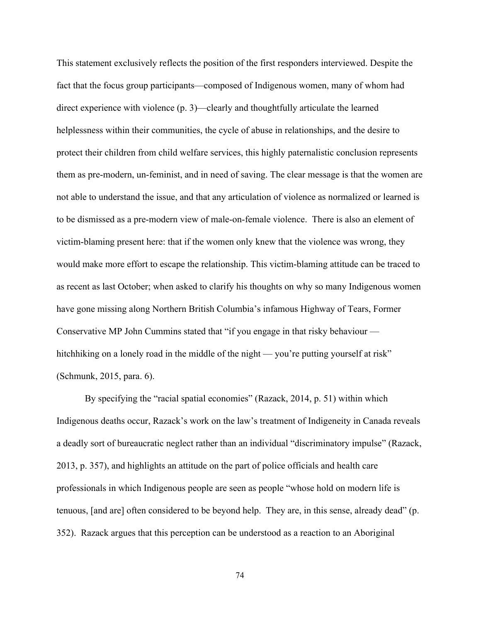This statement exclusively reflects the position of the first responders interviewed. Despite the fact that the focus group participants—composed of Indigenous women, many of whom had direct experience with violence (p. 3)—clearly and thoughtfully articulate the learned helplessness within their communities, the cycle of abuse in relationships, and the desire to protect their children from child welfare services, this highly paternalistic conclusion represents them as pre-modern, un-feminist, and in need of saving. The clear message is that the women are not able to understand the issue, and that any articulation of violence as normalized or learned is to be dismissed as a pre-modern view of male-on-female violence. There is also an element of victim-blaming present here: that if the women only knew that the violence was wrong, they would make more effort to escape the relationship. This victim-blaming attitude can be traced to as recent as last October; when asked to clarify his thoughts on why so many Indigenous women have gone missing along Northern British Columbia's infamous Highway of Tears, Former Conservative MP John Cummins stated that "if you engage in that risky behaviour hitchhiking on a lonely road in the middle of the night — you're putting yourself at risk" (Schmunk, 2015, para. 6).

By specifying the "racial spatial economies" (Razack, 2014, p. 51) within which Indigenous deaths occur, Razack's work on the law's treatment of Indigeneity in Canada reveals a deadly sort of bureaucratic neglect rather than an individual "discriminatory impulse" (Razack, 2013, p. 357), and highlights an attitude on the part of police officials and health care professionals in which Indigenous people are seen as people "whose hold on modern life is tenuous, [and are] often considered to be beyond help. They are, in this sense, already dead" (p. 352). Razack argues that this perception can be understood as a reaction to an Aboriginal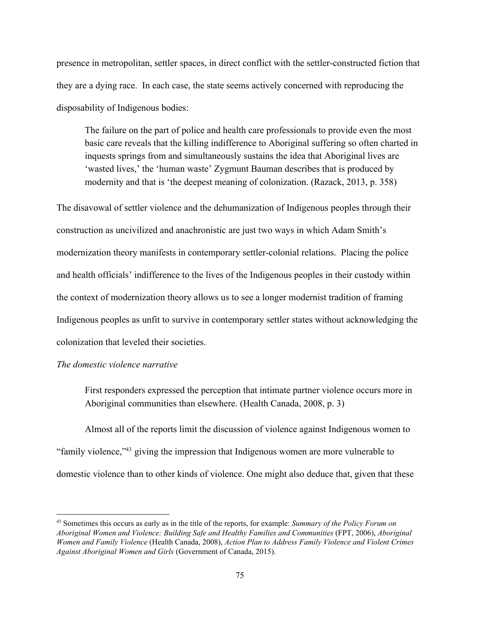presence in metropolitan, settler spaces, in direct conflict with the settler-constructed fiction that they are a dying race. In each case, the state seems actively concerned with reproducing the disposability of Indigenous bodies:

The failure on the part of police and health care professionals to provide even the most basic care reveals that the killing indifference to Aboriginal suffering so often charted in inquests springs from and simultaneously sustains the idea that Aboriginal lives are 'wasted lives,' the 'human waste' Zygmunt Bauman describes that is produced by modernity and that is 'the deepest meaning of colonization. (Razack, 2013, p. 358)

The disavowal of settler violence and the dehumanization of Indigenous peoples through their construction as uncivilized and anachronistic are just two ways in which Adam Smith's modernization theory manifests in contemporary settler-colonial relations. Placing the police and health officials' indifference to the lives of the Indigenous peoples in their custody within the context of modernization theory allows us to see a longer modernist tradition of framing Indigenous peoples as unfit to survive in contemporary settler states without acknowledging the colonization that leveled their societies.

## *The domestic violence narrative*

First responders expressed the perception that intimate partner violence occurs more in Aboriginal communities than elsewhere. (Health Canada, 2008, p. 3)

Almost all of the reports limit the discussion of violence against Indigenous women to "family violence,"<sup>43</sup> giving the impression that Indigenous women are more vulnerable to domestic violence than to other kinds of violence. One might also deduce that, given that these

<sup>43</sup> Sometimes this occurs as early as in the title of the reports, for example: *Summary of the Policy Forum on Aboriginal Women and Violence: Building Safe and Healthy Families and Communities* (FPT, 2006), *Aboriginal Women and Family Violence* (Health Canada, 2008), *Action Plan to Address Family Violence and Violent Crimes Against Aboriginal Women and Girls* (Government of Canada, 2015).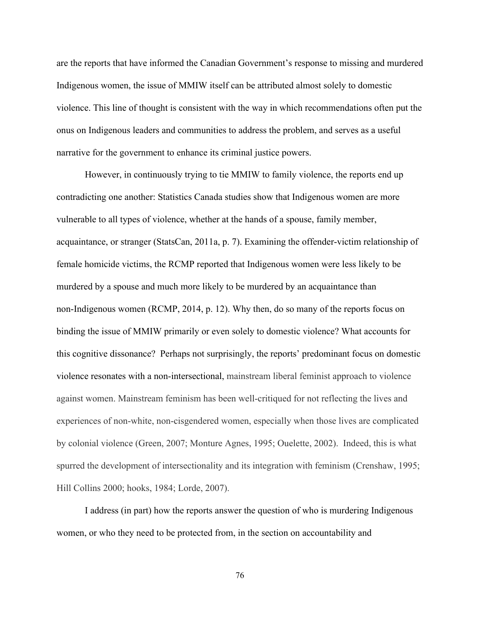are the reports that have informed the Canadian Government's response to missing and murdered Indigenous women, the issue of MMIW itself can be attributed almost solely to domestic violence. This line of thought is consistent with the way in which recommendations often put the onus on Indigenous leaders and communities to address the problem, and serves as a useful narrative for the government to enhance its criminal justice powers.

However, in continuously trying to tie MMIW to family violence, the reports end up contradicting one another: Statistics Canada studies show that Indigenous women are more vulnerable to all types of violence, whether at the hands of a spouse, family member, acquaintance, or stranger (StatsCan, 2011a, p. 7). Examining the offender-victim relationship of female homicide victims, the RCMP reported that Indigenous women were less likely to be murdered by a spouse and much more likely to be murdered by an acquaintance than non-Indigenous women (RCMP, 2014, p. 12). Why then, do so many of the reports focus on binding the issue of MMIW primarily or even solely to domestic violence? What accounts for this cognitive dissonance? Perhaps not surprisingly, the reports' predominant focus on domestic violence resonates with a non-intersectional, mainstream liberal feminist approach to violence against women. Mainstream feminism has been well-critiqued for not reflecting the lives and experiences of non-white, non-cisgendered women, especially when those lives are complicated by colonial violence (Green, 2007; Monture Agnes, 1995; Ouelette, 2002). Indeed, this is what spurred the development of intersectionality and its integration with feminism (Crenshaw, 1995; Hill Collins 2000; hooks, 1984; Lorde, 2007).

I address (in part) how the reports answer the question of who is murdering Indigenous women, or who they need to be protected from, in the section on accountability and

76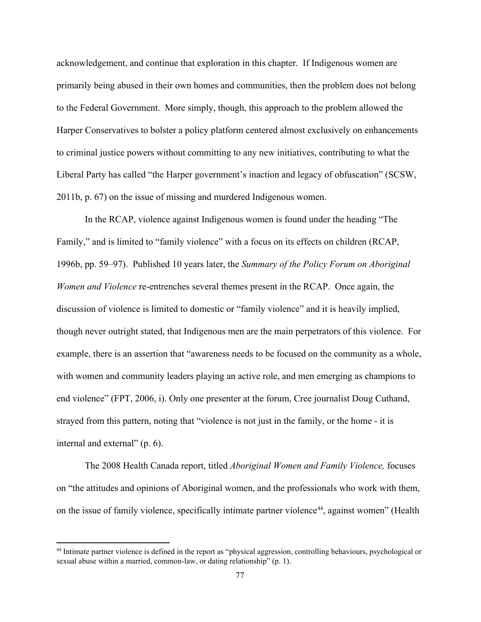acknowledgement, and continue that exploration in this chapter. If Indigenous women are primarily being abused in their own homes and communities, then the problem does not belong to the Federal Government. More simply, though, this approach to the problem allowed the Harper Conservatives to bolster a policy platform centered almost exclusively on enhancements to criminal justice powers without committing to any new initiatives, contributing to what the Liberal Party has called "the Harper government's inaction and legacy of obfuscation" (SCSW, 2011b, p. 67) on the issue of missing and murdered Indigenous women.

In the RCAP, violence against Indigenous women is found under the heading "The Family," and is limited to "family violence" with a focus on its effects on children (RCAP, 1996b, pp. 59–97). Published 10 years later, the *Summary of the Policy Forum on Aboriginal Women and Violence* re-entrenches several themes present in the RCAP. Once again, the discussion of violence is limited to domestic or "family violence" and it is heavily implied, though never outright stated, that Indigenous men are the main perpetrators of this violence. For example, there is an assertion that "awareness needs to be focused on the community as a whole, with women and community leaders playing an active role, and men emerging as champions to end violence" (FPT, 2006, i). Only one presenter at the forum, Cree journalist Doug Cuthand, strayed from this pattern, noting that "violence is not just in the family, or the home - it is internal and external" (p. 6).

The 2008 Health Canada report, titled *Aboriginal Women and Family Violence,* focuses on "the attitudes and opinions of Aboriginal women, and the professionals who work with them, on the issue of family violence, specifically intimate partner violence<sup>44</sup>, against women" (Health

<sup>44</sup> Intimate partner violence is defined in the report as "physical aggression, controlling behaviours, psychological or sexual abuse within a married, common-law, or dating relationship" (p. 1).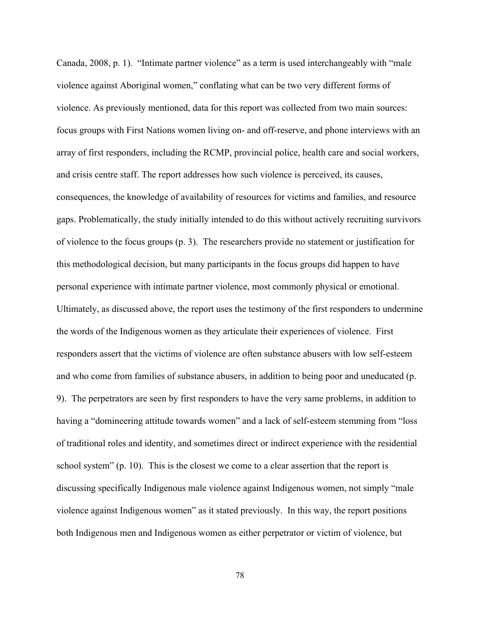Canada, 2008, p. 1). "Intimate partner violence" as a term is used interchangeably with "male violence against Aboriginal women," conflating what can be two very different forms of violence. As previously mentioned, data for this report was collected from two main sources: focus groups with First Nations women living on- and off-reserve, and phone interviews with an array of first responders, including the RCMP, provincial police, health care and social workers, and crisis centre staff. The report addresses how such violence is perceived, its causes, consequences, the knowledge of availability of resources for victims and families, and resource gaps. Problematically, the study initially intended to do this without actively recruiting survivors of violence to the focus groups (p. 3). The researchers provide no statement or justification for this methodological decision, but many participants in the focus groups did happen to have personal experience with intimate partner violence, most commonly physical or emotional. Ultimately, as discussed above, the report uses the testimony of the first responders to undermine the words of the Indigenous women as they articulate their experiences of violence. First responders assert that the victims of violence are often substance abusers with low self-esteem and who come from families of substance abusers, in addition to being poor and uneducated (p. 9). The perpetrators are seen by first responders to have the very same problems, in addition to having a "domineering attitude towards women" and a lack of self-esteem stemming from "loss of traditional roles and identity, and sometimes direct or indirect experience with the residential school system" (p. 10). This is the closest we come to a clear assertion that the report is discussing specifically Indigenous male violence against Indigenous women, not simply "male violence against Indigenous women" as it stated previously. In this way, the report positions both Indigenous men and Indigenous women as either perpetrator or victim of violence, but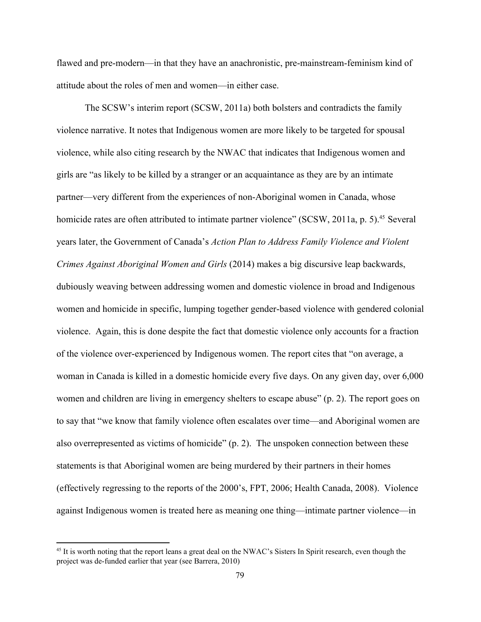flawed and pre-modern—in that they have an anachronistic, pre-mainstream-feminism kind of attitude about the roles of men and women—in either case.

The SCSW's interim report (SCSW, 2011a) both bolsters and contradicts the family violence narrative. It notes that Indigenous women are more likely to be targeted for spousal violence, while also citing research by the NWAC that indicates that Indigenous women and girls are "as likely to be killed by a stranger or an acquaintance as they are by an intimate partner—very different from the experiences of non-Aboriginal women in Canada, whose homicide rates are often attributed to intimate partner violence" ( $SCSW$ , 2011a, p. 5).<sup>45</sup> Several years later, the Government of Canada's *Action Plan to Address Family Violence and Violent Crimes Against Aboriginal Women and Girls* (2014) makes a big discursive leap backwards, dubiously weaving between addressing women and domestic violence in broad and Indigenous women and homicide in specific, lumping together gender-based violence with gendered colonial violence. Again, this is done despite the fact that domestic violence only accounts for a fraction of the violence over-experienced by Indigenous women. The report cites that "on average, a woman in Canada is killed in a domestic homicide every five days. On any given day, over 6,000 women and children are living in emergency shelters to escape abuse" (p. 2). The report goes on to say that "we know that family violence often escalates over time—and Aboriginal women are also overrepresented as victims of homicide" (p. 2). The unspoken connection between these statements is that Aboriginal women are being murdered by their partners in their homes (effectively regressing to the reports of the 2000's, FPT, 2006; Health Canada, 2008). Violence against Indigenous women is treated here as meaning one thing—intimate partner violence—in

<sup>&</sup>lt;sup>45</sup> It is worth noting that the report leans a great deal on the NWAC's Sisters In Spirit research, even though the project was de-funded earlier that year (see Barrera, 2010)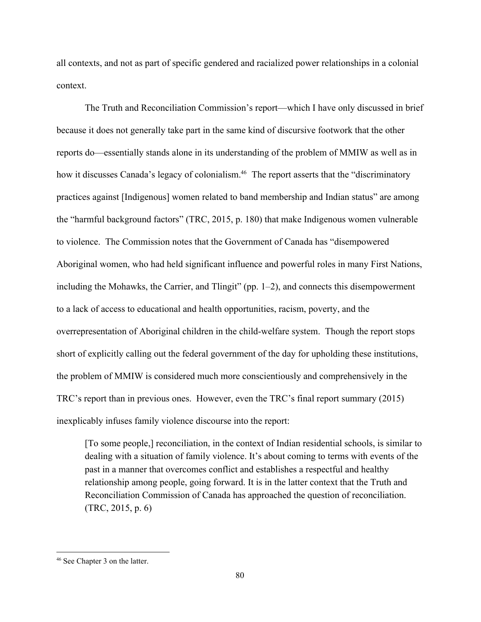all contexts, and not as part of specific gendered and racialized power relationships in a colonial context.

The Truth and Reconciliation Commission's report—which I have only discussed in brief because it does not generally take part in the same kind of discursive footwork that the other reports do—essentially stands alone in its understanding of the problem of MMIW as well as in how it discusses Canada's legacy of colonialism.<sup>46</sup> The report asserts that the "discriminatory practices against [Indigenous] women related to band membership and Indian status" are among the "harmful background factors" (TRC, 2015, p. 180) that make Indigenous women vulnerable to violence. The Commission notes that the Government of Canada has "disempowered Aboriginal women, who had held significant influence and powerful roles in many First Nations, including the Mohawks, the Carrier, and Tlingit" (pp. 1–2), and connects this disempowerment to a lack of access to educational and health opportunities, racism, poverty, and the overrepresentation of Aboriginal children in the childwelfare system. Though the report stops short of explicitly calling out the federal government of the day for upholding these institutions, the problem of MMIW is considered much more conscientiously and comprehensively in the TRC's report than in previous ones. However, even the TRC's final report summary (2015) inexplicably infuses family violence discourse into the report:

[To some people,] reconciliation, in the context of Indian residential schools, is similar to dealing with a situation of family violence. It's about coming to terms with events of the past in a manner that overcomes conflict and establishes a respectful and healthy relationship among people, going forward. It is in the latter context that the Truth and Reconciliation Commission of Canada has approached the question of reconciliation. (TRC, 2015, p. 6)

<sup>46</sup> See Chapter 3 on the latter.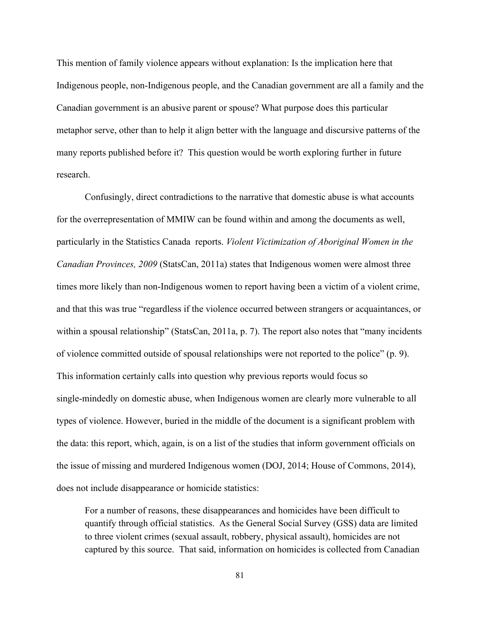This mention of family violence appears without explanation: Is the implication here that Indigenous people, non-Indigenous people, and the Canadian government are all a family and the Canadian government is an abusive parent or spouse? What purpose does this particular metaphor serve, other than to help it align better with the language and discursive patterns of the many reports published before it? This question would be worth exploring further in future research.

Confusingly, direct contradictions to the narrative that domestic abuse is what accounts for the overrepresentation of MMIW can be found within and among the documents as well, particularly in the Statistics Canada reports. *Violent Victimization of Aboriginal Women in the Canadian Provinces, 2009* (StatsCan, 2011a) states that Indigenous women were almost three times more likely than non-Indigenous women to report having been a victim of a violent crime, and that this was true "regardless if the violence occurred between strangers or acquaintances, or within a spousal relationship" (StatsCan, 2011a, p. 7). The report also notes that "many incidents" of violence committed outside of spousal relationships were not reported to the police" (p. 9). This information certainly calls into question why previous reports would focus so single-mindedly on domestic abuse, when Indigenous women are clearly more vulnerable to all types of violence. However, buried in the middle of the document is a significant problem with the data: this report, which, again, is on a list of the studies that inform government officials on the issue of missing and murdered Indigenous women (DOJ, 2014; House of Commons, 2014), does not include disappearance or homicide statistics:

For a number of reasons, these disappearances and homicides have been difficult to quantify through official statistics. As the General Social Survey (GSS) data are limited to three violent crimes (sexual assault, robbery, physical assault), homicides are not captured by this source. That said, information on homicides is collected from Canadian

81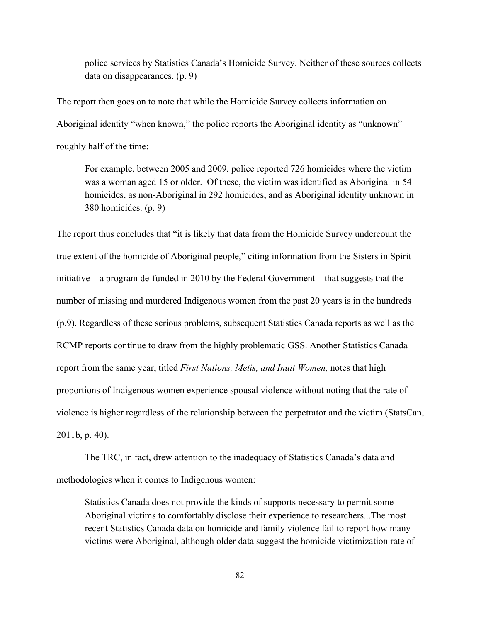police services by Statistics Canada's Homicide Survey. Neither of these sources collects data on disappearances. (p. 9)

The report then goes on to note that while the Homicide Survey collects information on Aboriginal identity "when known," the police reports the Aboriginal identity as "unknown" roughly half of the time:

For example, between 2005 and 2009, police reported 726 homicides where the victim was a woman aged 15 or older. Of these, the victim was identified as Aboriginal in 54 homicides, as non-Aboriginal in 292 homicides, and as Aboriginal identity unknown in 380 homicides. (p. 9)

The report thus concludes that "it is likely that data from the Homicide Survey undercount the true extent of the homicide of Aboriginal people," citing information from the Sisters in Spirit initiative—a program de-funded in 2010 by the Federal Government—that suggests that the number of missing and murdered Indigenous women from the past 20 years is in the hundreds (p.9). Regardless of these serious problems, subsequent Statistics Canada reports as well as the RCMP reports continue to draw from the highly problematic GSS. Another Statistics Canada report from the same year, titled *First Nations, Metis, and Inuit Women,* notes that high proportions of Indigenous women experience spousal violence without noting that the rate of violence is higher regardless of the relationship between the perpetrator and the victim (StatsCan, 2011b, p. 40).

The TRC, in fact, drew attention to the inadequacy of Statistics Canada's data and methodologies when it comes to Indigenous women:

Statistics Canada does not provide the kinds of supports necessary to permit some Aboriginal victims to comfortably disclose their experience to researchers...The most recent Statistics Canada data on homicide and family violence fail to report how many victims were Aboriginal, although older data suggest the homicide victimization rate of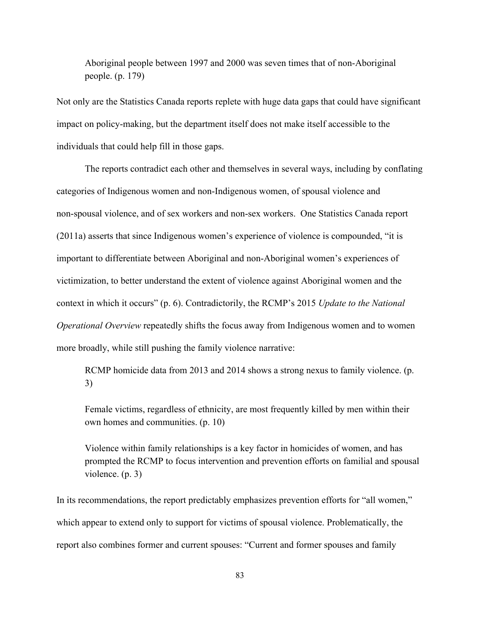Aboriginal people between 1997 and 2000 was seven times that of non-Aboriginal people. (p. 179)

Not only are the Statistics Canada reports replete with huge data gaps that could have significant impact on policy-making, but the department itself does not make itself accessible to the individuals that could help fill in those gaps.

The reports contradict each other and themselves in several ways, including by conflating categories of Indigenous women and non-Indigenous women, of spousal violence and non-spousal violence, and of sex workers and non-sex workers. One Statistics Canada report (2011a) asserts that since Indigenous women's experience of violence is compounded, "it is important to differentiate between Aboriginal and non-Aboriginal women's experiences of victimization, to better understand the extent of violence against Aboriginal women and the context in which it occurs" (p. 6). Contradictorily, the RCMP's 2015 *Update to the National Operational Overview* repeatedly shifts the focus away from Indigenous women and to women more broadly, while still pushing the family violence narrative:

RCMP homicide data from 2013 and 2014 shows a strong nexus to family violence. (p. 3)

Female victims, regardless of ethnicity, are most frequently killed by men within their own homes and communities. (p. 10)

Violence within family relationships is a key factor in homicides of women, and has prompted the RCMP to focus intervention and prevention efforts on familial and spousal violence. (p. 3)

In its recommendations, the report predictably emphasizes prevention efforts for "all women," which appear to extend only to support for victims of spousal violence. Problematically, the report also combines former and current spouses: "Current and former spouses and family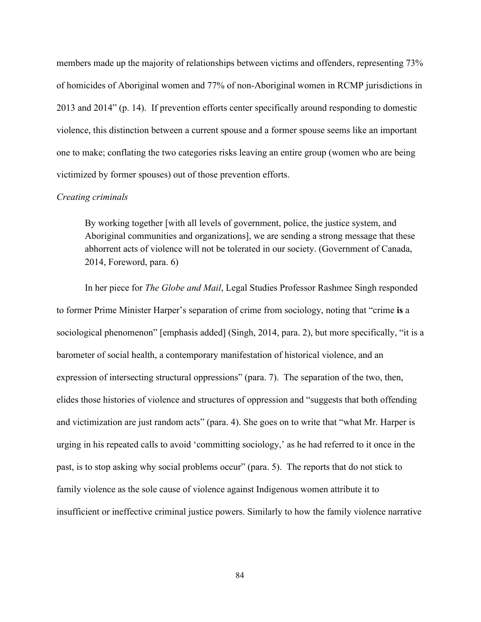members made up the majority of relationships between victims and offenders, representing 73% of homicides of Aboriginal women and 77% of non-Aboriginal women in RCMP jurisdictions in 2013 and 2014" (p. 14). If prevention efforts center specifically around responding to domestic violence, this distinction between a current spouse and a former spouse seems like an important one to make; conflating the two categories risks leaving an entire group (women who are being victimized by former spouses) out of those prevention efforts.

#### *Creating criminals*

By working together [with all levels of government, police, the justice system, and Aboriginal communities and organizations], we are sending a strong message that these abhorrent acts of violence will not be tolerated in our society. (Government of Canada, 2014, Foreword, para. 6)

In her piece for *The Globe and Mail*, Legal Studies Professor Rashmee Singh responded to former Prime Minister Harper's separation of crime from sociology, noting that "crime **is** a sociological phenomenon" [emphasis added] (Singh, 2014, para. 2), but more specifically, "it is a barometer of social health, a contemporary manifestation of historical violence, and an expression of intersecting structural oppressions" (para. 7). The separation of the two, then, elides those histories of violence and structures of oppression and "suggests that both offending and victimization are just random acts" (para. 4). She goes on to write that "what Mr. Harper is urging in his repeated calls to avoid 'committing sociology,' as he had referred to it once in the past, is to stop asking why social problems occur" (para. 5). The reports that do not stick to family violence as the sole cause of violence against Indigenous women attribute it to insufficient or ineffective criminal justice powers. Similarly to how the family violence narrative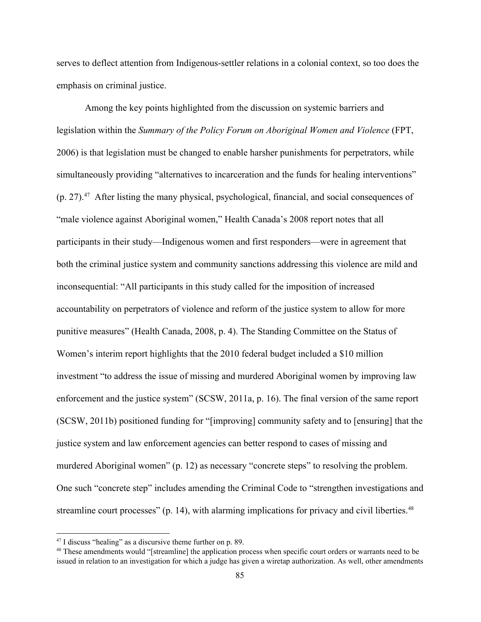serves to deflect attention from Indigenous-settler relations in a colonial context, so too does the emphasis on criminal justice.

Among the key points highlighted from the discussion on systemic barriers and legislation within the *Summary of the Policy Forum on Aboriginal Women and Violence* (FPT, 2006) is that legislation must be changed to enable harsher punishments for perpetrators, while simultaneously providing "alternatives to incarceration and the funds for healing interventions"  $(p. 27).<sup>47</sup>$  After listing the many physical, psychological, financial, and social consequences of "male violence against Aboriginal women," Health Canada's 2008 report notes that all participants in their study—Indigenous women and first responders—were in agreement that both the criminal justice system and community sanctions addressing this violence are mild and inconsequential: "All participants in this study called for the imposition of increased accountability on perpetrators of violence and reform of the justice system to allow for more punitive measures" (Health Canada, 2008, p. 4). The Standing Committee on the Status of Women's interim report highlights that the 2010 federal budget included a \$10 million investment "to address the issue of missing and murdered Aboriginal women by improving law enforcement and the justice system" (SCSW, 2011a, p. 16). The final version of the same report (SCSW, 2011b) positioned funding for "[improving] community safety and to [ensuring] that the justice system and law enforcement agencies can better respond to cases of missing and murdered Aboriginal women" (p. 12) as necessary "concrete steps" to resolving the problem. One such "concrete step" includes amending the Criminal Code to "strengthen investigations and streamline court processes"  $(p. 14)$ , with alarming implications for privacy and civil liberties.<sup>48</sup>

<sup>47</sup> I discuss "healing" as a discursive theme further on p. 89.

<sup>&</sup>lt;sup>48</sup> These amendments would "[streamline] the application process when specific court orders or warrants need to be issued in relation to an investigation for which a judge has given a wiretap authorization. As well, other amendments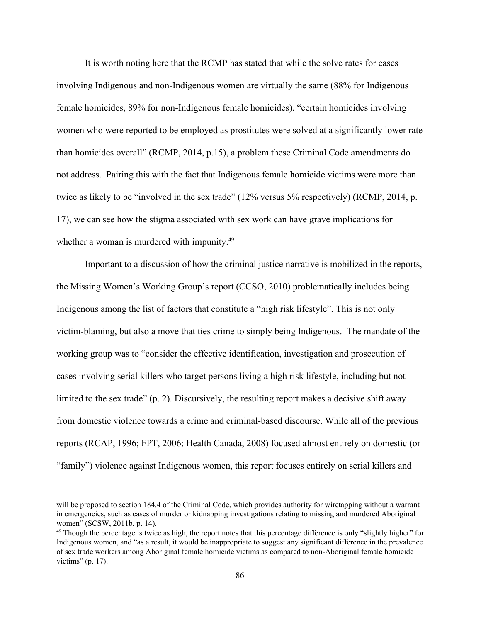It is worth noting here that the RCMP has stated that while the solve rates for cases involving Indigenous and non-Indigenous women are virtually the same (88% for Indigenous female homicides, 89% for non-Indigenous female homicides), "certain homicides involving women who were reported to be employed as prostitutes were solved at a significantly lower rate than homicides overall" (RCMP, 2014, p.15), a problem these Criminal Code amendments do not address. Pairing this with the fact that Indigenous female homicide victims were more than twice as likely to be "involved in the sex trade" (12% versus 5% respectively) (RCMP, 2014, p. 17), we can see how the stigma associated with sex work can have grave implications for whether a woman is murdered with impunity.<sup>49</sup>

Important to a discussion of how the criminal justice narrative is mobilized in the reports, the Missing Women's Working Group's report (CCSO, 2010) problematically includes being Indigenous among the list of factors that constitute a "high risk lifestyle". This is not only victim-blaming, but also a move that ties crime to simply being Indigenous. The mandate of the working group was to "consider the effective identification, investigation and prosecution of cases involving serial killers who target persons living a high risk lifestyle, including but not limited to the sex trade" (p. 2). Discursively, the resulting report makes a decisive shift away from domestic violence towards a crime and criminalbased discourse. While all of the previous reports (RCAP, 1996; FPT, 2006; Health Canada, 2008) focused almost entirely on domestic (or "family") violence against Indigenous women, this report focuses entirely on serial killers and

will be proposed to section 184.4 of the Criminal Code, which provides authority for wiretapping without a warrant in emergencies, such as cases of murder or kidnapping investigations relating to missing and murdered Aboriginal women" (SCSW, 2011b, p. 14).

<sup>&</sup>lt;sup>49</sup> Though the percentage is twice as high, the report notes that this percentage difference is only "slightly higher" for Indigenous women, and "as a result, it would be inappropriate to suggest any significant difference in the prevalence of sex trade workers among Aboriginal female homicide victims as compared to nonAboriginal female homicide victims" (p. 17).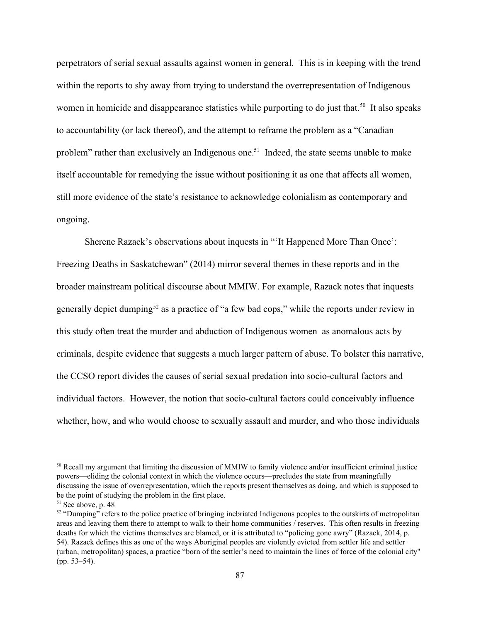perpetrators of serial sexual assaults against women in general. This is in keeping with the trend within the reports to shy away from trying to understand the overrepresentation of Indigenous women in homicide and disappearance statistics while purporting to do just that.<sup>50</sup> It also speaks to accountability (or lack thereof), and the attempt to reframe the problem as a "Canadian problem" rather than exclusively an Indigenous one.<sup>51</sup> Indeed, the state seems unable to make itself accountable for remedying the issue without positioning it as one that affects all women, still more evidence of the state's resistance to acknowledge colonialism as contemporary and ongoing.

Sherene Razack's observations about inquests in "'It Happened More Than Once': Freezing Deaths in Saskatchewan" (2014) mirror several themes in these reports and in the broader mainstream political discourse about MMIW. For example, Razack notes that inquests generally depict dumping<sup>52</sup> as a practice of "a few bad cops," while the reports under review in this study often treat the murder and abduction of Indigenous women as anomalous acts by criminals, despite evidence that suggests a much larger pattern of abuse. To bolster this narrative, the CCSO report divides the causes of serial sexual predation into socio-cultural factors and individual factors. However, the notion that socio-cultural factors could conceivably influence whether, how, and who would choose to sexually assault and murder, and who those individuals

<sup>&</sup>lt;sup>50</sup> Recall my argument that limiting the discussion of MMIW to family violence and/or insufficient criminal justice powers—eliding the colonial context in which the violence occurs—precludes the state from meaningfully discussing the issue of overrepresentation, which the reports present themselves as doing, and which is supposed to be the point of studying the problem in the first place.

 $51$  See above, p. 48

<sup>&</sup>lt;sup>52</sup> "Dumping" refers to the police practice of bringing inebriated Indigenous peoples to the outskirts of metropolitan areas and leaving them there to attempt to walk to their home communities / reserves. This often results in freezing deaths for which the victims themselves are blamed, or it is attributed to "policing gone awry" (Razack, 2014, p. 54). Razack defines this as one of the ways Aboriginal peoples are violently evicted from settler life and settler (urban, metropolitan) spaces, a practice "born of the settler's need to maintain the lines of force of the colonial city" (pp. 53–54).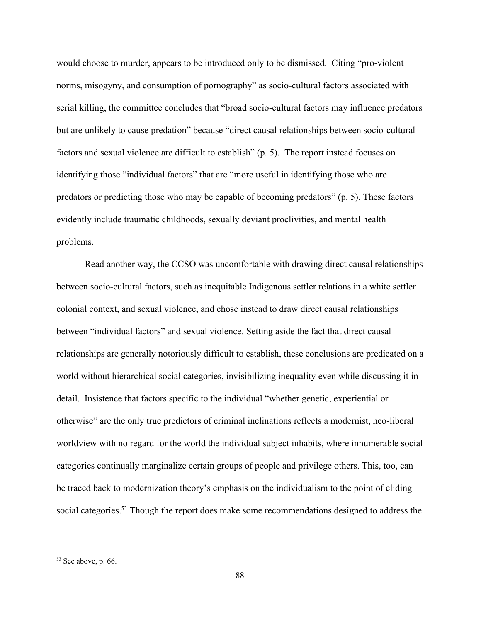would choose to murder, appears to be introduced only to be dismissed. Citing "pro-violent" norms, misogyny, and consumption of pornography" as socio-cultural factors associated with serial killing, the committee concludes that "broad socio-cultural factors may influence predators but are unlikely to cause predation" because "direct causal relationships between socio-cultural factors and sexual violence are difficult to establish" (p. 5). The report instead focuses on identifying those "individual factors" that are "more useful in identifying those who are predators or predicting those who may be capable of becoming predators" (p. 5). These factors evidently include traumatic childhoods, sexually deviant proclivities, and mental health problems.

Read another way, the CCSO was uncomfortable with drawing direct causal relationships between socio-cultural factors, such as inequitable Indigenous settler relations in a white settler colonial context, and sexual violence, and chose instead to draw direct causal relationships between "individual factors" and sexual violence. Setting aside the fact that direct causal relationships are generally notoriously difficult to establish, these conclusions are predicated on a world without hierarchical social categories, invisibilizing inequality even while discussing it in detail. Insistence that factors specific to the individual "whether genetic, experiential or otherwise" are the only true predictors of criminal inclinations reflects a modernist, neoliberal worldview with no regard for the world the individual subject inhabits, where innumerable social categories continually marginalize certain groups of people and privilege others. This, too, can be traced back to modernization theory's emphasis on the individualism to the point of eliding social categories.<sup>53</sup> Though the report does make some recommendations designed to address the

 $53$  See above, p. 66.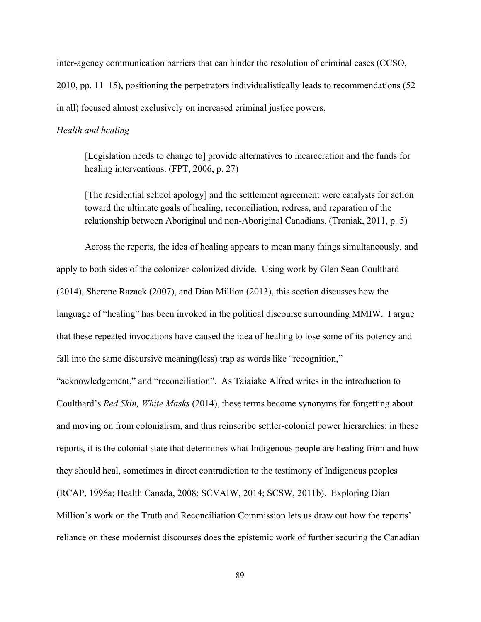inter-agency communication barriers that can hinder the resolution of criminal cases (CCSO, 2010, pp. 11–15), positioning the perpetrators individualistically leads to recommendations (52 in all) focused almost exclusively on increased criminal justice powers.

### *Health and healing*

[Legislation needs to change to] provide alternatives to incarceration and the funds for healing interventions. (FPT, 2006, p. 27)

[The residential school apology] and the settlement agreement were catalysts for action toward the ultimate goals of healing, reconciliation, redress, and reparation of the relationship between Aboriginal and non-Aboriginal Canadians. (Troniak, 2011, p. 5)

Across the reports, the idea of healing appears to mean many things simultaneously, and apply to both sides of the colonizer-colonized divide. Using work by Glen Sean Coulthard (2014), Sherene Razack (2007), and Dian Million (2013), this section discusses how the language of "healing" has been invoked in the political discourse surrounding MMIW. I argue that these repeated invocations have caused the idea of healing to lose some of its potency and fall into the same discursive meaning(less) trap as words like "recognition,"

"acknowledgement," and "reconciliation". As Taiaiake Alfred writes in the introduction to Coulthard's *Red Skin, White Masks* (2014), these terms become synonyms for forgetting about and moving on from colonialism, and thus reinscribe settler-colonial power hierarchies: in these reports, it is the colonial state that determines what Indigenous people are healing from and how they should heal, sometimes in direct contradiction to the testimony of Indigenous peoples (RCAP, 1996a; Health Canada, 2008; SCVAIW, 2014; SCSW, 2011b). Exploring Dian Million's work on the Truth and Reconciliation Commission lets us draw out how the reports' reliance on these modernist discourses does the epistemic work of further securing the Canadian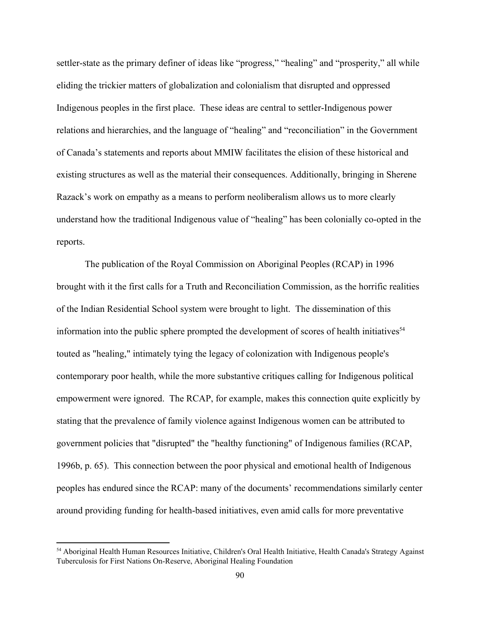settler-state as the primary definer of ideas like "progress," "healing" and "prosperity," all while eliding the trickier matters of globalization and colonialism that disrupted and oppressed Indigenous peoples in the first place. These ideas are central to settler-Indigenous power relations and hierarchies, and the language of "healing" and "reconciliation" in the Government of Canada's statements and reports about MMIW facilitates the elision of these historical and existing structures as well as the material their consequences. Additionally, bringing in Sherene Razack's work on empathy as a means to perform neoliberalism allows us to more clearly understand how the traditional Indigenous value of "healing" has been colonially co-opted in the reports.

The publication of the Royal Commission on Aboriginal Peoples (RCAP) in 1996 brought with it the first calls for a Truth and Reconciliation Commission, as the horrific realities of the Indian Residential School system were brought to light. The dissemination of this information into the public sphere prompted the development of scores of health initiatives<sup> $54$ </sup> touted as "healing," intimately tying the legacy of colonization with Indigenous people's contemporary poor health, while the more substantive critiques calling for Indigenous political empowerment were ignored. The RCAP, for example, makes this connection quite explicitly by stating that the prevalence of family violence against Indigenous women can be attributed to government policies that "disrupted" the "healthy functioning" of Indigenous families (RCAP, 1996b, p. 65). This connection between the poor physical and emotional health of Indigenous peoples has endured since the RCAP: many of the documents' recommendations similarly center around providing funding for health-based initiatives, even amid calls for more preventative

<sup>54</sup> Aboriginal Health Human Resources Initiative, Children's Oral Health Initiative, Health Canada's Strategy Against Tuberculosis for First Nations On-Reserve, Aboriginal Healing Foundation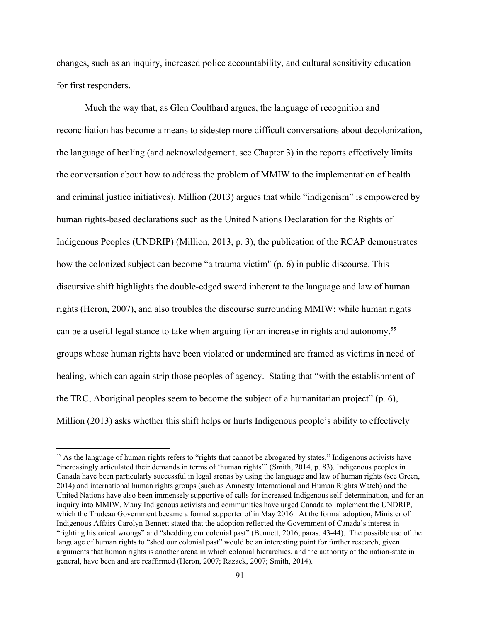changes, such as an inquiry, increased police accountability, and cultural sensitivity education for first responders.

Much the way that, as Glen Coulthard argues, the language of recognition and reconciliation has become a means to sidestep more difficult conversations about decolonization, the language of healing (and acknowledgement, see Chapter 3) in the reports effectively limits the conversation about how to address the problem of MMIW to the implementation of health and criminal justice initiatives). Million (2013) argues that while "indigenism" is empowered by human rights-based declarations such as the United Nations Declaration for the Rights of Indigenous Peoples (UNDRIP) (Million, 2013, p. 3), the publication of the RCAP demonstrates how the colonized subject can become "a trauma victim" (p. 6) in public discourse. This discursive shift highlights the double-edged sword inherent to the language and law of human rights (Heron, 2007), and also troubles the discourse surrounding MMIW: while human rights can be a useful legal stance to take when arguing for an increase in rights and autonomy,<sup>55</sup> groups whose human rights have been violated or undermined are framed as victims in need of healing, which can again strip those peoples of agency. Stating that "with the establishment of the TRC, Aboriginal peoples seem to become the subject of a humanitarian project" (p. 6), Million (2013) asks whether this shift helps or hurts Indigenous people's ability to effectively

<sup>&</sup>lt;sup>55</sup> As the language of human rights refers to "rights that cannot be abrogated by states," Indigenous activists have "increasingly articulated their demands in terms of 'human rights'" (Smith, 2014, p. 83). Indigenous peoples in Canada have been particularly successful in legal arenas by using the language and law of human rights (see Green, 2014) and international human rights groups (such as Amnesty International and Human Rights Watch) and the United Nations have also been immensely supportive of calls for increased Indigenous self-determination, and for an inquiry into MMIW. Many Indigenous activists and communities have urged Canada to implement the UNDRIP, which the Trudeau Government became a formal supporter of in May 2016. At the formal adoption, Minister of Indigenous Affairs Carolyn Bennett stated that the adoption reflected the Government of Canada's interest in "righting historical wrongs" and "shedding our colonial past" (Bennett, 2016, paras. 43-44). The possible use of the language of human rights to "shed our colonial past" would be an interesting point for further research, given arguments that human rights is another arena in which colonial hierarchies, and the authority of the nation-state in general, have been and are reaffirmed (Heron, 2007; Razack, 2007; Smith, 2014).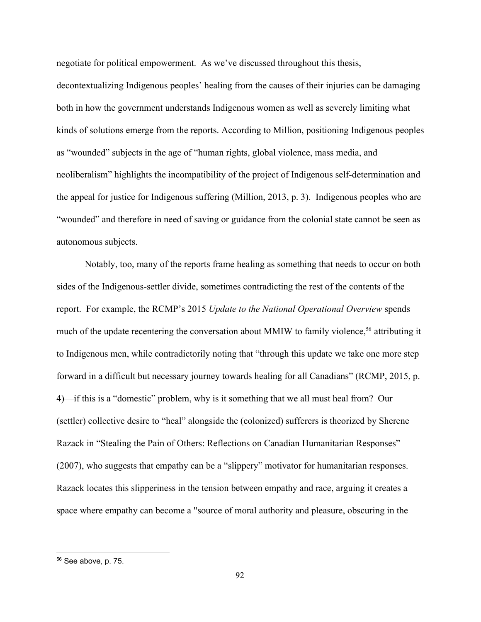negotiate for political empowerment. As we've discussed throughout this thesis,

decontextualizing Indigenous peoples' healing from the causes of their injuries can be damaging both in how the government understands Indigenous women as well as severely limiting what kinds of solutions emerge from the reports. According to Million, positioning Indigenous peoples as "wounded" subjects in the age of "human rights, global violence, mass media, and neoliberalism" highlights the incompatibility of the project of Indigenous self-determination and the appeal for justice for Indigenous suffering (Million, 2013, p. 3). Indigenous peoples who are "wounded" and therefore in need of saving or guidance from the colonial state cannot be seen as autonomous subjects.

Notably, too, many of the reports frame healing as something that needs to occur on both sides of the Indigenous-settler divide, sometimes contradicting the rest of the contents of the report. For example, the RCMP's 2015 *Update to the National Operational Overview* spends much of the update recentering the conversation about MMIW to family violence,  $56$  attributing it to Indigenous men, while contradictorily noting that "through this update we take one more step forward in a difficult but necessary journey towards healing for all Canadians" (RCMP, 2015, p. 4)—if this is a "domestic" problem, why is it something that we all must heal from? Our (settler) collective desire to "heal" alongside the (colonized) sufferers is theorized by Sherene Razack in "Stealing the Pain of Others: Reflections on Canadian Humanitarian Responses" (2007), who suggests that empathy can be a "slippery" motivator for humanitarian responses. Razack locates this slipperiness in the tension between empathy and race, arguing it creates a space where empathy can become a "source of moral authority and pleasure, obscuring in the

<sup>56</sup> See above, p. 75.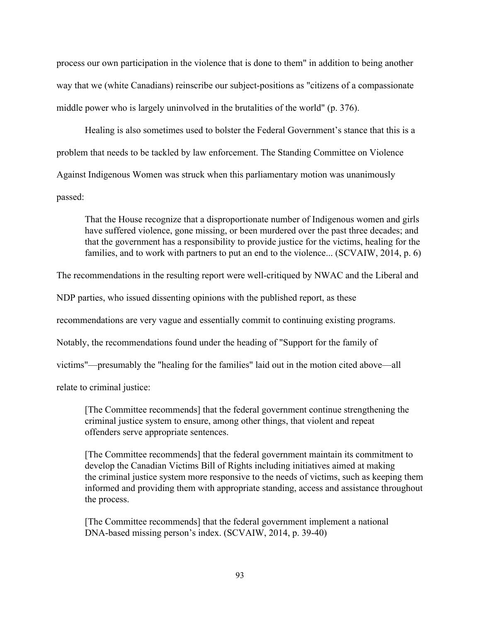process our own participation in the violence that is done to them" in addition to being another way that we (white Canadians) reinscribe our subject-positions as "citizens of a compassionate middle power who is largely uninvolved in the brutalities of the world" (p. 376).

Healing is also sometimes used to bolster the Federal Government's stance that this is a problem that needs to be tackled by law enforcement. The Standing Committee on Violence Against Indigenous Women was struck when this parliamentary motion was unanimously passed:

That the House recognize that a disproportionate number of Indigenous women and girls have suffered violence, gone missing, or been murdered over the past three decades; and that the government has a responsibility to provide justice for the victims, healing for the families, and to work with partners to put an end to the violence... (SCVAIW, 2014, p. 6)

The recommendations in the resulting report were well-critiqued by NWAC and the Liberal and

NDP parties, who issued dissenting opinions with the published report, as these

recommendations are very vague and essentially commit to continuing existing programs.

Notably, the recommendations found under the heading of "Support for the family of

victims"—presumably the "healing for the families" laid out in the motion cited above—all

relate to criminal justice:

[The Committee recommends] that the federal government continue strengthening the criminal justice system to ensure, among other things, that violent and repeat offenders serve appropriate sentences.

[The Committee recommends] that the federal government maintain its commitment to develop the Canadian Victims Bill of Rights including initiatives aimed at making the criminal justice system more responsive to the needs of victims, such as keeping them informed and providing them with appropriate standing, access and assistance throughout the process.

[The Committee recommends] that the federal government implement a national DNA-based missing person's index. (SCVAIW, 2014, p. 39-40)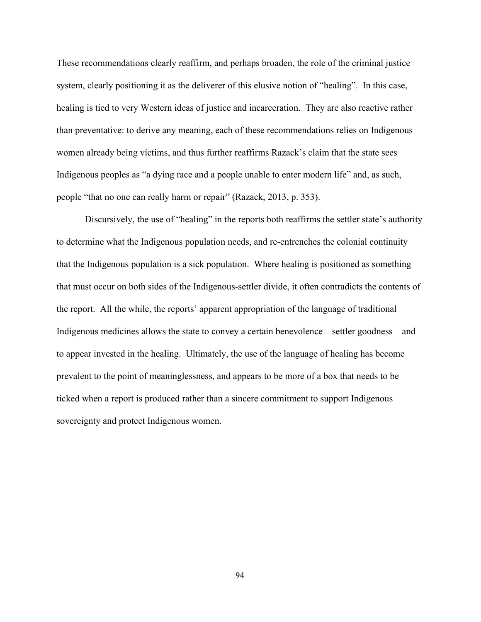These recommendations clearly reaffirm, and perhaps broaden, the role of the criminal justice system, clearly positioning it as the deliverer of this elusive notion of "healing". In this case, healing is tied to very Western ideas of justice and incarceration. They are also reactive rather than preventative: to derive any meaning, each of these recommendations relies on Indigenous women already being victims, and thus further reaffirms Razack's claim that the state sees Indigenous peoples as "a dying race and a people unable to enter modern life" and, as such, people "that no one can really harm or repair" (Razack, 2013, p. 353).

Discursively, the use of "healing" in the reports both reaffirms the settler state's authority to determine what the Indigenous population needs, and re-entrenches the colonial continuity that the Indigenous population is a sick population. Where healing is positioned as something that must occur on both sides of the Indigenous-settler divide, it often contradicts the contents of the report. All the while, the reports' apparent appropriation of the language of traditional Indigenous medicines allows the state to convey a certain benevolence—settler goodness—and to appear invested in the healing. Ultimately, the use of the language of healing has become prevalent to the point of meaninglessness, and appears to be more of a box that needs to be ticked when a report is produced rather than a sincere commitment to support Indigenous sovereignty and protect Indigenous women.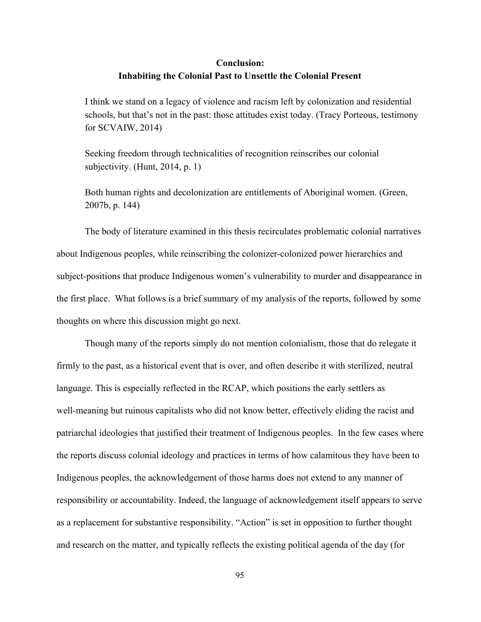# **Conclusion: Inhabiting the Colonial Past to Unsettle the Colonial Present**

I think we stand on a legacy of violence and racism left by colonization and residential schools, but that's not in the past: those attitudes exist today. (Tracy Porteous, testimony for SCVAIW, 2014)

Seeking freedom through technicalities of recognition reinscribes our colonial subjectivity. (Hunt, 2014, p. 1)

Both human rights and decolonization are entitlements of Aboriginal women. (Green, 2007b, p. 144)

The body of literature examined in this thesis recirculates problematic colonial narratives about Indigenous peoples, while reinscribing the colonizer-colonized power hierarchies and subject-positions that produce Indigenous women's vulnerability to murder and disappearance in the first place. What follows is a brief summary of my analysis of the reports, followed by some thoughts on where this discussion might go next.

Though many of the reports simply do not mention colonialism, those that do relegate it firmly to the past, as a historical event that is over, and often describe it with sterilized, neutral language. This is especially reflected in the RCAP, which positions the early settlers as well-meaning but ruinous capitalists who did not know better, effectively eliding the racist and patriarchal ideologies that justified their treatment of Indigenous peoples. In the few cases where the reports discuss colonial ideology and practices in terms of how calamitous they have been to Indigenous peoples, the acknowledgement of those harms does not extend to any manner of responsibility or accountability. Indeed, the language of acknowledgement itself appears to serve as a replacement for substantive responsibility. "Action" is set in opposition to further thought and research on the matter, and typically reflects the existing political agenda of the day (for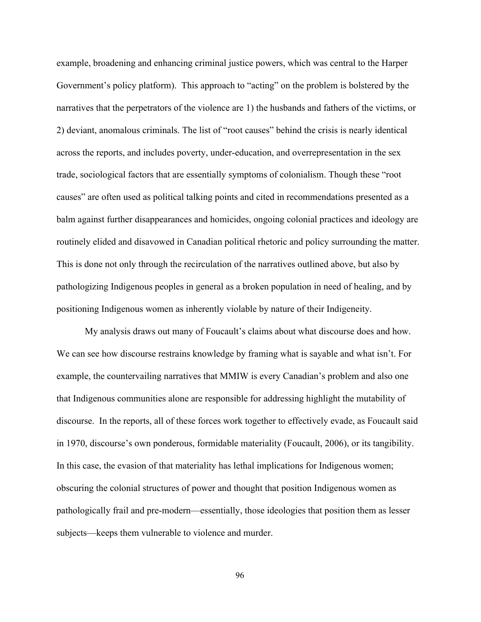example, broadening and enhancing criminal justice powers, which was central to the Harper Government's policy platform). This approach to "acting" on the problem is bolstered by the narratives that the perpetrators of the violence are 1) the husbands and fathers of the victims, or 2) deviant, anomalous criminals. The list of "root causes" behind the crisis is nearly identical across the reports, and includes poverty, under-education, and overrepresentation in the sex trade, sociological factors that are essentially symptoms of colonialism. Though these "root causes" are often used as political talking points and cited in recommendations presented as a balm against further disappearances and homicides, ongoing colonial practices and ideology are routinely elided and disavowed in Canadian political rhetoric and policy surrounding the matter. This is done not only through the recirculation of the narratives outlined above, but also by pathologizing Indigenous peoples in general as a broken population in need of healing, and by positioning Indigenous women as inherently violable by nature of their Indigeneity.

My analysis draws out many of Foucault's claims about what discourse does and how. We can see how discourse restrains knowledge by framing what is sayable and what isn't. For example, the countervailing narratives that MMIW is every Canadian's problem and also one that Indigenous communities alone are responsible for addressing highlight the mutability of discourse. In the reports, all of these forces work together to effectively evade, as Foucault said in 1970, discourse's own ponderous, formidable materiality (Foucault, 2006), or its tangibility. In this case, the evasion of that materiality has lethal implications for Indigenous women; obscuring the colonial structures of power and thought that position Indigenous women as pathologically frail and premodern—essentially, those ideologies that position them as lesser subjects—keeps them vulnerable to violence and murder.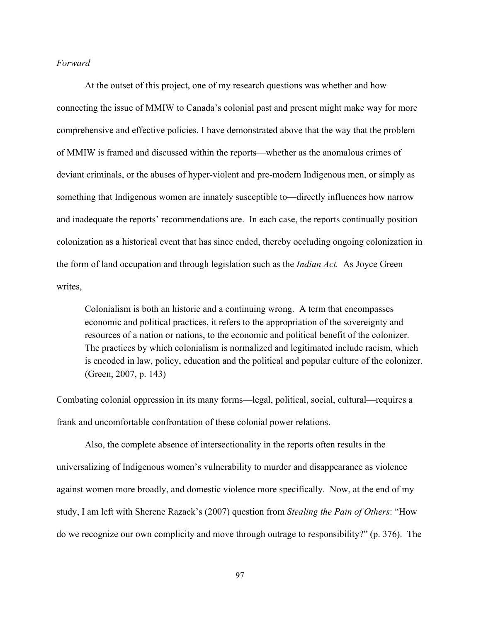### *Forward*

At the outset of this project, one of my research questions was whether and how connecting the issue of MMIW to Canada's colonial past and present might make way for more comprehensive and effective policies. I have demonstrated above that the way that the problem of MMIW is framed and discussed within the reports—whether as the anomalous crimes of deviant criminals, or the abuses of hyper-violent and pre-modern Indigenous men, or simply as something that Indigenous women are innately susceptible to—directly influences how narrow and inadequate the reports' recommendations are. In each case, the reports continually position colonization as a historical event that has since ended, thereby occluding ongoing colonization in the form of land occupation and through legislation such as the *Indian Act.* As Joyce Green writes,

Colonialism is both an historic and a continuing wrong. A term that encompasses economic and political practices, it refers to the appropriation of the sovereignty and resources of a nation or nations, to the economic and political benefit of the colonizer. The practices by which colonialism is normalized and legitimated include racism, which is encoded in law, policy, education and the political and popular culture of the colonizer. (Green, 2007, p. 143)

Combating colonial oppression in its many forms—legal, political, social, cultural—requires a frank and uncomfortable confrontation of these colonial power relations.

Also, the complete absence of intersectionality in the reports often results in the universalizing of Indigenous women's vulnerability to murder and disappearance as violence against women more broadly, and domestic violence more specifically. Now, at the end of my study, I am left with Sherene Razack's (2007) question from *Stealing the Pain of Others*: "How do we recognize our own complicity and move through outrage to responsibility?" (p. 376). The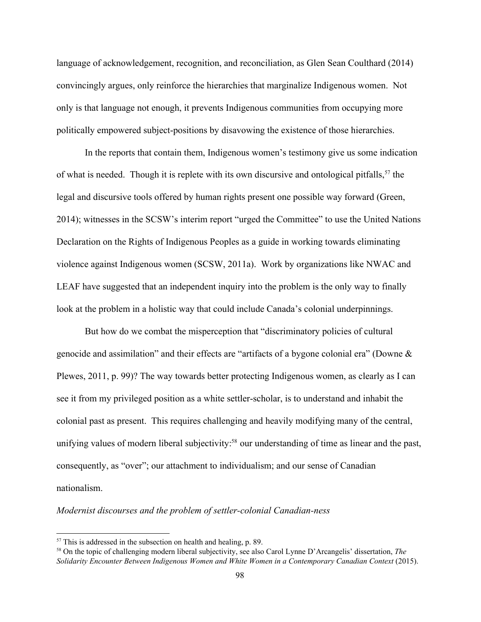language of acknowledgement, recognition, and reconciliation, as Glen Sean Coulthard (2014) convincingly argues, only reinforce the hierarchies that marginalize Indigenous women. Not only is that language not enough, it prevents Indigenous communities from occupying more politically empowered subject-positions by disavowing the existence of those hierarchies.

In the reports that contain them, Indigenous women's testimony give us some indication of what is needed. Though it is replete with its own discursive and ontological pitfalls,  $57$  the legal and discursive tools offered by human rights present one possible way forward (Green, 2014); witnesses in the SCSW's interim report "urged the Committee" to use the United Nations Declaration on the Rights of Indigenous Peoples as a guide in working towards eliminating violence against Indigenous women (SCSW, 2011a). Work by organizations like NWAC and LEAF have suggested that an independent inquiry into the problem is the only way to finally look at the problem in a holistic way that could include Canada's colonial underpinnings.

But how do we combat the misperception that "discriminatory policies of cultural genocide and assimilation" and their effects are "artifacts of a bygone colonial era" (Downe & Plewes, 2011, p. 99)? The way towards better protecting Indigenous women, as clearly as I can see it from my privileged position as a white settler-scholar, is to understand and inhabit the colonial past as present. This requires challenging and heavily modifying many of the central, unifying values of modern liberal subjectivity:<sup>58</sup> our understanding of time as linear and the past, consequently, as "over"; our attachment to individualism; and our sense of Canadian nationalism.

*Modernist discourses and the problem of settler-colonial Canadian-ness* 

 $57$  This is addressed in the subsection on health and healing, p. 89.

<sup>58</sup> On the topic of challenging modern liberal subjectivity, see also Carol Lynne D'Arcangelis' dissertation, *The Solidarity Encounter Between Indigenous Women and White Women in a Contemporary Canadian Context* (2015).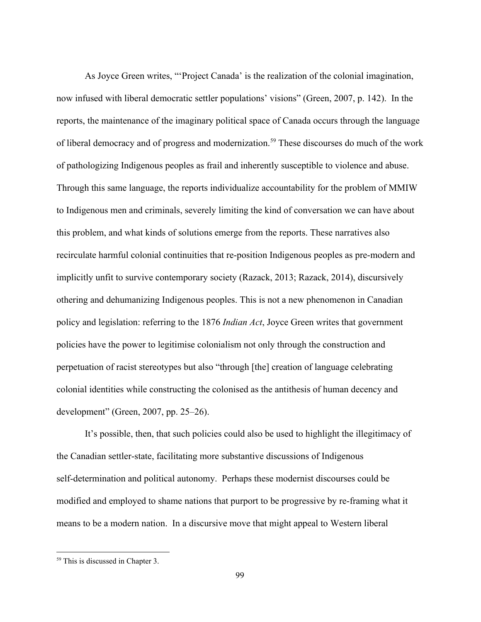As Joyce Green writes, "'Project Canada' is the realization of the colonial imagination, now infused with liberal democratic settler populations' visions" (Green, 2007, p. 142). In the reports, the maintenance of the imaginary political space of Canada occurs through the language of liberal democracy and of progress and modernization.<sup>59</sup> These discourses do much of the work of pathologizing Indigenous peoples as frail and inherently susceptible to violence and abuse. Through this same language, the reports individualize accountability for the problem of MMIW to Indigenous men and criminals, severely limiting the kind of conversation we can have about this problem, and what kinds of solutions emerge from the reports. These narratives also recirculate harmful colonial continuities that re-position Indigenous peoples as pre-modern and implicitly unfit to survive contemporary society (Razack, 2013; Razack, 2014), discursively othering and dehumanizing Indigenous peoples. This is not a new phenomenon in Canadian policy and legislation: referring to the 1876 *Indian Act*, Joyce Green writes that government policies have the power to legitimise colonialism not only through the construction and perpetuation of racist stereotypes but also "through [the] creation of language celebrating colonial identities while constructing the colonised as the antithesis of human decency and development" (Green, 2007, pp. 25–26).

It's possible, then, that such policies could also be used to highlight the illegitimacy of the Canadian settler-state, facilitating more substantive discussions of Indigenous self-determination and political autonomy. Perhaps these modernist discourses could be modified and employed to shame nations that purport to be progressive by re-framing what it means to be a modern nation. In a discursive move that might appeal to Western liberal

<sup>59</sup> This is discussed in Chapter 3.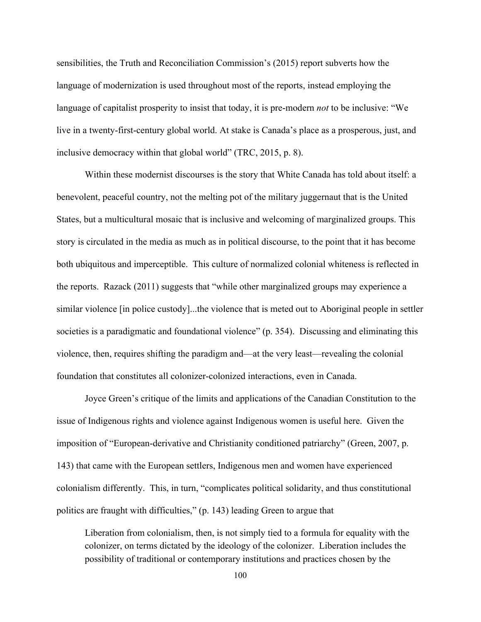sensibilities, the Truth and Reconciliation Commission's (2015) report subverts how the language of modernization is used throughout most of the reports, instead employing the language of capitalist prosperity to insist that today, it is pre-modern *not* to be inclusive: "We live in a twenty-first-century global world. At stake is Canada's place as a prosperous, just, and inclusive democracy within that global world" (TRC, 2015, p. 8).

Within these modernist discourses is the story that White Canada has told about itself: a benevolent, peaceful country, not the melting pot of the military juggernaut that is the United States, but a multicultural mosaic that is inclusive and welcoming of marginalized groups. This story is circulated in the media as much as in political discourse, to the point that it has become both ubiquitous and imperceptible. This culture of normalized colonial whiteness is reflected in the reports. Razack (2011) suggests that "while other marginalized groups may experience a similar violence [in police custody]...the violence that is meted out to Aboriginal people in settler societies is a paradigmatic and foundational violence" (p. 354). Discussing and eliminating this violence, then, requires shifting the paradigm and—at the very least—revealing the colonial foundation that constitutes all colonizer-colonized interactions, even in Canada.

Joyce Green's critique of the limits and applications of the Canadian Constitution to the issue of Indigenous rights and violence against Indigenous women is useful here. Given the imposition of "European-derivative and Christianity conditioned patriarchy" (Green, 2007, p. 143) that came with the European settlers, Indigenous men and women have experienced colonialism differently. This, in turn, "complicates political solidarity, and thus constitutional politics are fraught with difficulties," (p. 143) leading Green to argue that

Liberation from colonialism, then, is not simply tied to a formula for equality with the colonizer, on terms dictated by the ideology of the colonizer. Liberation includes the possibility of traditional or contemporary institutions and practices chosen by the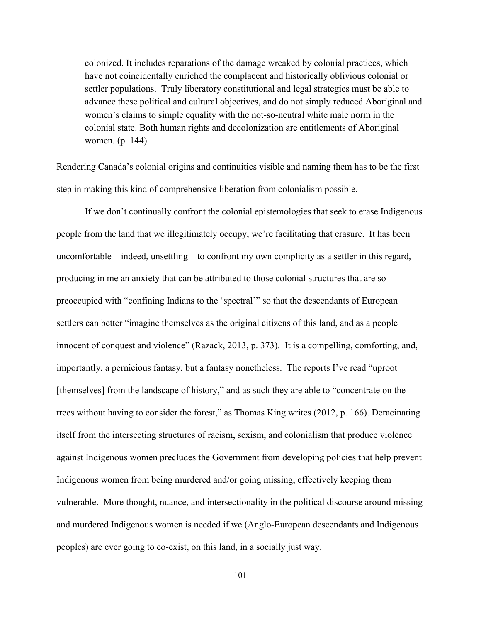colonized. It includes reparations of the damage wreaked by colonial practices, which have not coincidentally enriched the complacent and historically oblivious colonial or settler populations. Truly liberatory constitutional and legal strategies must be able to advance these political and cultural objectives, and do not simply reduced Aboriginal and women's claims to simple equality with the not-so-neutral white male norm in the colonial state. Both human rights and decolonization are entitlements of Aboriginal women. (p. 144)

Rendering Canada's colonial origins and continuities visible and naming them has to be the first step in making this kind of comprehensive liberation from colonialism possible.

If we don't continually confront the colonial epistemologies that seek to erase Indigenous people from the land that we illegitimately occupy, we're facilitating that erasure. It has been uncomfortable—indeed, unsettling—to confront my own complicity as a settler in this regard, producing in me an anxiety that can be attributed to those colonial structures that are so preoccupied with "confining Indians to the 'spectral'" so that the descendants of European settlers can better "imagine themselves as the original citizens of this land, and as a people innocent of conquest and violence" (Razack, 2013, p. 373). It is a compelling, comforting, and, importantly, a pernicious fantasy, but a fantasy nonetheless. The reports I've read "uproot [themselves] from the landscape of history," and as such they are able to "concentrate on the trees without having to consider the forest," as Thomas King writes (2012, p. 166). Deracinating itself from the intersecting structures of racism, sexism, and colonialism that produce violence against Indigenous women precludes the Government from developing policies that help prevent Indigenous women from being murdered and/or going missing, effectively keeping them vulnerable. More thought, nuance, and intersectionality in the political discourse around missing and murdered Indigenous women is needed if we (Anglo-European descendants and Indigenous peoples) are ever going to co-exist, on this land, in a socially just way.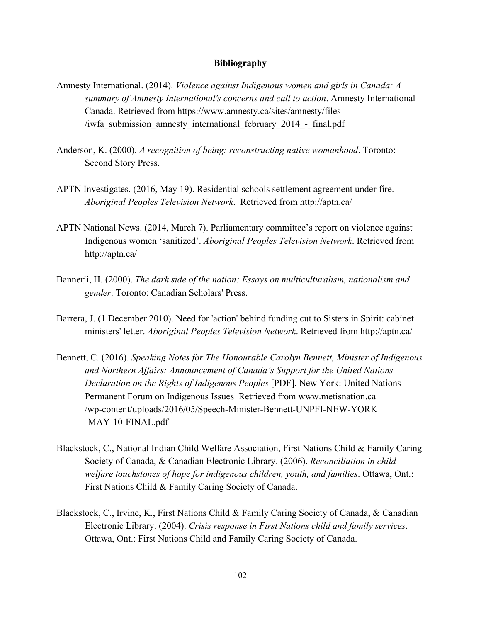### **Bibliography**

- Amnesty International. (2014). *Violence against Indigenous women and girls in Canada: A summary of Amnesty International's concerns and call to action*. Amnesty International Canada. Retrieved from https://www.amnesty.ca/sites/amnesty/files /iwfa\_submission\_amnesty\_international\_february\_2014\_-final.pdf
- Anderson, K. (2000). *A recognition of being: reconstructing native womanhood*. Toronto: Second Story Press.
- APTN Investigates. (2016, May 19). Residential schools settlement agreement under fire. *Aboriginal Peoples Television Network*. Retrieved from http://aptn.ca/
- APTN National News. (2014, March 7). Parliamentary committee's report on violence against Indigenous women 'sanitized'. *Aboriginal Peoples Television Network*. Retrieved from http://aptn.ca/
- Bannerji, H. (2000). *The dark side of the nation: Essays on multiculturalism, nationalism and gender*. Toronto: Canadian Scholars' Press.
- Barrera, J. (1 December 2010). Need for 'action' behind funding cut to Sisters in Spirit: cabinet ministers' letter. *Aboriginal Peoples Television Network*. Retrieved from http://aptn.ca/
- Bennett, C. (2016). *Speaking Notes for The Honourable Carolyn Bennett, Minister of Indigenous and Northern Affairs: Announcement of Canada's Support for the United Nations Declaration on the Rights of Indigenous Peoples* [PDF]. New York: United Nations Permanent Forum on Indigenous Issues Retrieved from www.metisnation.ca /wp-content/uploads/2016/05/Speech-Minister-Bennett-UNPFI-NEW-YORK -MAY-10-FINAL.pdf
- Blackstock, C., National Indian Child Welfare Association, First Nations Child & Family Caring Society of Canada, & Canadian Electronic Library. (2006). *Reconciliation in child welfare touchstones of hope for indigenous children, youth, and families*. Ottawa, Ont.: First Nations Child & Family Caring Society of Canada.
- Blackstock, C., Irvine, K., First Nations Child & Family Caring Society of Canada, & Canadian Electronic Library. (2004). *Crisis response in First Nations child and family services*. Ottawa, Ont.: First Nations Child and Family Caring Society of Canada.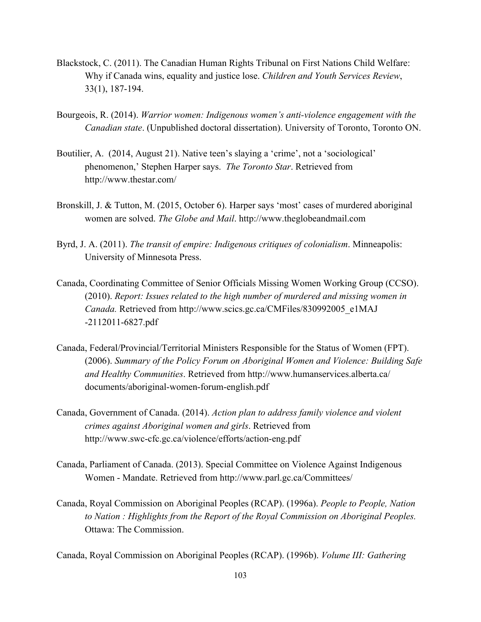- Blackstock, C. (2011). The Canadian Human Rights Tribunal on First Nations Child Welfare: Why if Canada wins, equality and justice lose. *Children and Youth Services Review*, 33(1), 187194.
- Bourgeois, R. (2014). *Warrior women: Indigenous women's anti-violence engagement with the Canadian state*. (Unpublished doctoral dissertation). University of Toronto, Toronto ON.
- Boutilier, A. (2014, August 21). Native teen's slaying a 'crime', not a 'sociological' phenomenon,' Stephen Harper says. *The Toronto Star*. Retrieved from http://www.thestar.com/
- Bronskill, J. & Tutton, M. (2015, October 6). Harper says 'most' cases of murdered aboriginal women are solved. *The Globe and Mail*. http://www.theglobeandmail.com
- Byrd, J. A. (2011). *The transit of empire: Indigenous critiques of colonialism*. Minneapolis: University of Minnesota Press.
- Canada, Coordinating Committee of Senior Officials Missing Women Working Group (CCSO). (2010). *Report: Issues related to the high number of murdered and missing women in Canada.* Retrieved from http://www.scics.gc.ca/CMFiles/830992005\_e1MAJ  $-2112011 - 6827$ .pdf
- Canada, Federal/Provincial/Territorial Ministers Responsible for the Status of Women (FPT). (2006). *Summary of the Policy Forum on Aboriginal Women and Violence: Building Safe and Healthy Communities*. Retrieved from http://www.humanservices.alberta.ca/ documents/aboriginal-women-forum-english.pdf
- Canada, Government of Canada. (2014). *Action plan to address family violence and violent crimes against Aboriginal women and girls*. Retrieved from http://www.swc-cfc.gc.ca/violence/efforts/action-eng.pdf
- Canada, Parliament of Canada. (2013). Special Committee on Violence Against Indigenous Women - Mandate. Retrieved from http://www.parl.gc.ca/Committees/
- Canada, Royal Commission on Aboriginal Peoples (RCAP). (1996a). *People to People, Nation to Nation : Highlights from the Report of the Royal Commission on Aboriginal Peoples.* Ottawa: The Commission.

Canada, Royal Commission on Aboriginal Peoples (RCAP). (1996b). *Volume III: Gathering*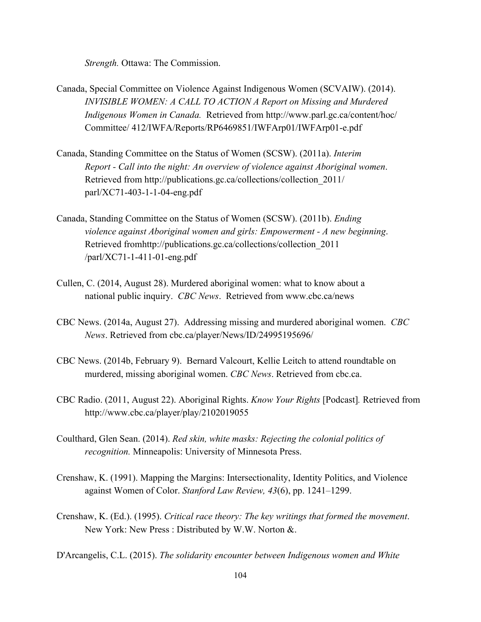*Strength.* Ottawa: The Commission.

- Canada, Special Committee on Violence Against Indigenous Women (SCVAIW). (2014). *INVISIBLE WOMEN: A CALL TO ACTION A Report on Missing and Murdered Indigenous Women in Canada.* Retrieved from http://www.parl.gc.ca/content/hoc/ Committee/ 412/IWFA/Reports/RP6469851/IWFArp01/IWFArp01-e.pdf
- Canada, Standing Committee on the Status of Women (SCSW). (2011a). *Interim Report Call into the night: An overview of violence against Aboriginal women*. Retrieved from http://publications.gc.ca/collections/collection\_2011/  $parl/XC71-403-1-1-04-eng.pdf$
- Canada, Standing Committee on the Status of Women (SCSW). (2011b). *Ending violence against Aboriginal women and girls: Empowerment A new beginning*. Retrieved fromhttp://publications.gc.ca/collections/collection\_2011  $/parl/XC71-1-411-01-eng.pdf$
- Cullen, C. (2014, August 28). Murdered aboriginal women: what to know about a national public inquiry. *CBC News*. Retrieved from www.cbc.ca/news
- CBC News. (2014a, August 27). Addressing missing and murdered aboriginal women. *CBC News*. Retrieved from cbc.ca/player/News/ID/24995195696/
- CBC News. (2014b, February 9). Bernard Valcourt, Kellie Leitch to attend roundtable on murdered, missing aboriginal women. *CBC News*. Retrieved from cbc.ca.
- CBC Radio. (2011, August 22). Aboriginal Rights. *Know Your Rights* [Podcast]*.* Retrieved from http://www.cbc.ca/player/play/2102019055
- Coulthard, Glen Sean. (2014). *Red skin, white masks: Rejecting the colonial politics of recognition.* Minneapolis: University of Minnesota Press.
- Crenshaw, K. (1991). Mapping the Margins: Intersectionality, Identity Politics, and Violence against Women of Color. *Stanford Law Review, 43*(6), pp. 1241–1299.
- Crenshaw, K. (Ed.). (1995). *Critical race theory: The key writings that formed the movement*. New York: New Press : Distributed by W.W. Norton &.

D'Arcangelis, C.L. (2015). *The solidarity encounter between Indigenous women and White*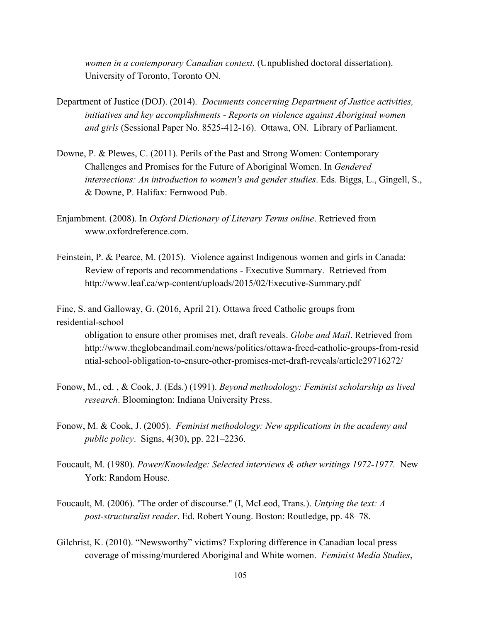*women in a contemporary Canadian context*. (Unpublished doctoral dissertation). University of Toronto, Toronto ON.

- Department of Justice (DOJ). (2014). *Documents concerning Department of Justice activities, initiatives and key accomplishments Reports on violence against Aboriginal women and girls* (Sessional Paper No. 8525-412-16). Ottawa, ON. Library of Parliament.
- Downe, P. & Plewes, C. (2011). Perils of the Past and Strong Women: Contemporary Challenges and Promises for the Future of Aboriginal Women. In *Gendered intersections: An introduction to women's and gender studies*. Eds. Biggs, L., Gingell, S., & Downe, P. Halifax: Fernwood Pub.
- Enjambment. (2008). In *Oxford Dictionary of Literary Terms online*. Retrieved from www.oxfordreference.com.
- Feinstein, P. & Pearce, M. (2015). Violence against Indigenous women and girls in Canada: Review of reports and recommendations Executive Summary. Retrieved from http://www.leaf.ca/wp-content/uploads/2015/02/Executive-Summary.pdf

Fine, S. and Galloway, G. (2016, April 21). Ottawa freed Catholic groups from residential-school

obligation to ensure other promises met, draft reveals. *Globe and Mail*. Retrieved from http://www.theglobeandmail.com/news/politics/ottawa-freed-catholic-groups-from-resid ntial-school-obligation-to-ensure-other-promises-met-draft-reveals/article29716272/

- Fonow, M., ed. , & Cook, J. (Eds.) (1991). *Beyond methodology: Feminist scholarship as lived research*. Bloomington: Indiana University Press.
- Fonow, M. & Cook, J. (2005).  *Feminist methodology: New applications in the academy and public policy*. Signs, 4(30), pp. 221–2236.
- Foucault, M. (1980). *Power/Knowledge: Selected interviews & other writings 1972-1977.* New York: Random House.
- Foucault, M. (2006). "The order of discourse." (I, McLeod, Trans.). *Untying the text: A poststructuralist reader*. Ed. Robert Young. Boston: Routledge, pp. 48–78.
- Gilchrist, K. (2010). "Newsworthy" victims? Exploring difference in Canadian local press coverage of missing/murdered Aboriginal and White women. *Feminist Media Studies*,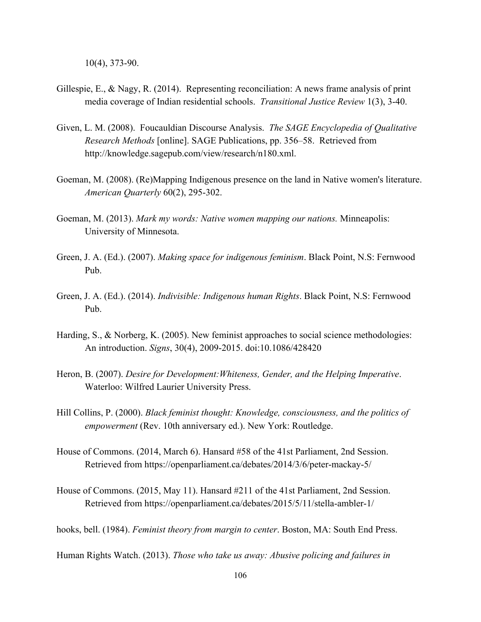$10(4)$ , 373-90.

- Gillespie, E., & Nagy, R. (2014). Representing reconciliation: A news frame analysis of print media coverage of Indian residential schools. *Transitional Justice Review* 1(3), 340.
- Given, L. M. (2008). Foucauldian Discourse Analysis. *The SAGE Encyclopedia of Qualitative Research Methods* [online]. SAGE Publications, pp. 356–58. Retrieved from http://knowledge.sagepub.com/view/research/n180.xml.
- Goeman, M. (2008). (Re)Mapping Indigenous presence on the land in Native women's literature. *American Quarterly* 60(2), 295-302.
- Goeman, M. (2013). *Mark my words: Native women mapping our nations.* Minneapolis: University of Minnesota.
- Green, J. A. (Ed.). (2007). *Making space for indigenous feminism*. Black Point, N.S: Fernwood Pub.
- Green, J. A. (Ed.). (2014). *Indivisible: Indigenous human Rights*. Black Point, N.S: Fernwood Pub.
- Harding, S., & Norberg, K. (2005). New feminist approaches to social science methodologies: An introduction. *Signs*, 30(4), 2009-2015. doi:10.1086/428420
- Heron, B. (2007). *Desire for Development:Whiteness, Gender, and the Helping Imperative*. Waterloo: Wilfred Laurier University Press.
- Hill Collins, P. (2000). *Black feminist thought: Knowledge, consciousness, and the politics of empowerment* (Rev. 10th anniversary ed.). New York: Routledge.
- House of Commons. (2014, March 6). Hansard #58 of the 41st Parliament, 2nd Session. Retrieved from https://openparliament.ca/debates/2014/3/6/peter-mackay-5/
- House of Commons. (2015, May 11). Hansard #211 of the 41st Parliament, 2nd Session. Retrieved from https://openparliament.ca/debates/2015/5/11/stella-ambler-1/

hooks, bell. (1984). *Feminist theory from margin to center*. Boston, MA: South End Press.

Human Rights Watch. (2013). *Those who take us away: Abusive policing and failures in*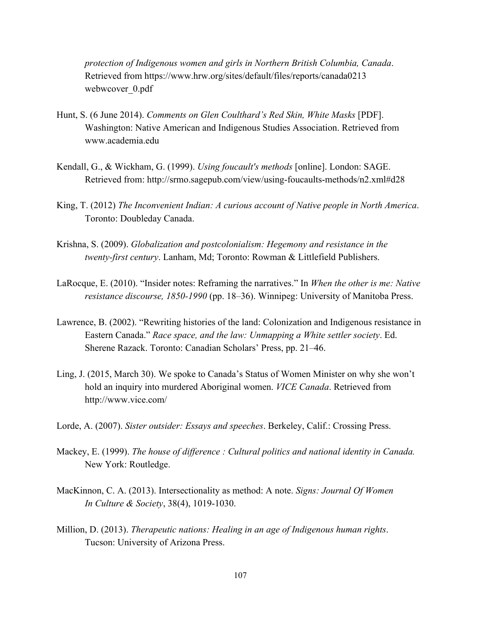*protection of Indigenous women and girls in Northern British Columbia, Canada*. Retrieved from https://www.hrw.org/sites/default/files/reports/canada0213 webwcover 0.pdf

- Hunt, S. (6 June 2014). *Comments on Glen Coulthard's Red Skin, White Masks* [PDF]. Washington: Native American and Indigenous Studies Association. Retrieved from www.academia.edu
- Kendall, G., & Wickham, G. (1999). *Using foucault's methods* [online]. London: SAGE. Retrieved from: http://srmo.sagepub.com/view/using-foucaults-methods/n2.xml#d28
- King, T. (2012) *The Inconvenient Indian: A curious account of Native people in North America*. Toronto: Doubleday Canada.
- Krishna, S. (2009). *Globalization and postcolonialism: Hegemony and resistance in the twenty-first century*. Lanham, Md; Toronto: Rowman & Littlefield Publishers.
- LaRocque, E. (2010). "Insider notes: Reframing the narratives." In *When the other is me: Native resistance discourse, 18501990* (pp. 18–36). Winnipeg: University of Manitoba Press.
- Lawrence, B. (2002). "Rewriting histories of the land: Colonization and Indigenous resistance in Eastern Canada." *Race space, and the law: Unmapping a White settler society*. Ed. Sherene Razack. Toronto: Canadian Scholars' Press, pp. 21–46.
- Ling, J. (2015, March 30). We spoke to Canada's Status of Women Minister on why she won't hold an inquiry into murdered Aboriginal women. *VICE Canada*. Retrieved from http://www.vice.com/
- Lorde, A. (2007). *Sister outsider: Essays and speeches*. Berkeley, Calif.: Crossing Press.
- Mackey, E. (1999). *The house of difference : Cultural politics and national identity in Canada.* New York: Routledge.
- MacKinnon, C. A. (2013). Intersectionality as method: A note. *Signs: Journal Of Women In Culture & Society*, 38(4), 1019-1030.
- Million, D. (2013). *Therapeutic nations: Healing in an age of Indigenous human rights*. Tucson: University of Arizona Press.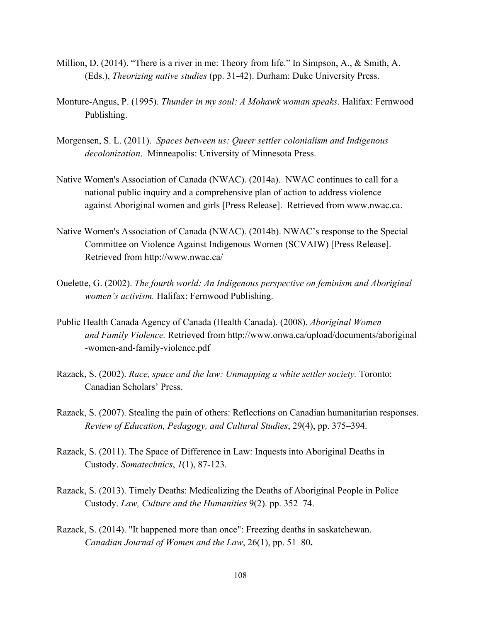- Million, D. (2014). "There is a river in me: Theory from life." In Simpson, A., & Smith, A. (Eds.), *Theorizing native studies* (pp. 3142). Durham: Duke University Press.
- MontureAngus, P. (1995). *Thunder in my soul: A Mohawk woman speaks*. Halifax: Fernwood Publishing.
- Morgensen, S. L. (2011).  *Spaces between us: Queer settler colonialism and Indigenous decolonization*. Minneapolis: University of Minnesota Press.
- Native Women's Association of Canada (NWAC). (2014a). NWAC continues to call for a national public inquiry and a comprehensive plan of action to address violence against Aboriginal women and girls [Press Release]. Retrieved from www.nwac.ca.
- Native Women's Association of Canada (NWAC). (2014b). NWAC's response to the Special Committee on Violence Against Indigenous Women (SCVAIW) [Press Release]. Retrieved from http://www.nwac.ca/
- Ouelette, G. (2002). *The fourth world: An Indigenous perspective on feminism and Aboriginal women's activism.* Halifax: Fernwood Publishing.
- Public Health Canada Agency of Canada (Health Canada). (2008). *Aboriginal Women and Family Violence.* Retrieved from http://www.onwa.ca/upload/documents/aboriginal -women-and-family-violence.pdf
- Razack, S. (2002). *Race, space and the law: Unmapping a white settler society.* Toronto: Canadian Scholars' Press.
- Razack, S. (2007). Stealing the pain of others: Reflections on Canadian humanitarian responses. *Review of Education, Pedagogy, and Cultural Studies*, 29(4), pp. 375–394.
- Razack, S. (2011). The Space of Difference in Law: Inquests into Aboriginal Deaths in Custody. *Somatechnics*, *1*(1), 87-123.
- Razack, S. (2013). Timely Deaths: Medicalizing the Deaths of Aboriginal People in Police Custody. *Law, Culture and the Humanities* 9(2). pp. 352–74.
- Razack, S. (2014). "It happened more than once": Freezing deaths in saskatchewan. *Canadian Journal of Women and the Law*, 26(1), pp. 51–80**.**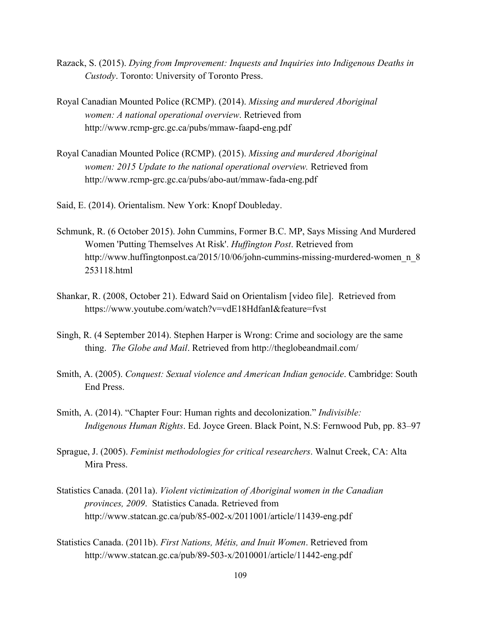- Razack, S. (2015). *Dying from Improvement: Inquests and Inquiries into Indigenous Deaths in Custody*. Toronto: University of Toronto Press.
- Royal Canadian Mounted Police (RCMP). (2014). *Missing and murdered Aboriginal women: A national operational overview*. Retrieved from http://www.rcmp-grc.gc.ca/pubs/mmaw-faapd-eng.pdf
- Royal Canadian Mounted Police (RCMP). (2015). *Missing and murdered Aboriginal women: 2015 Update to the national operational overview.* Retrieved from http://www.rcmp-grc.gc.ca/pubs/abo-aut/mmaw-fada-eng.pdf
- Said, E. (2014). Orientalism. New York: Knopf Doubleday.
- Schmunk, R. (6 October 2015). John Cummins, Former B.C. MP, Says Missing And Murdered Women 'Putting Themselves At Risk'. *Huffington Post*. Retrieved from http://www.huffingtonpost.ca/2015/10/06/john-cummins-missing-murdered-women\_n\_8 253118.html
- Shankar, R. (2008, October 21). Edward Said on Orientalism [video file]. Retrieved from https://www.youtube.com/watch?v=vdE18HdfanI&feature=fvst
- Singh, R. (4 September 2014). Stephen Harper is Wrong: Crime and sociology are the same thing. *The Globe and Mail*. Retrieved from http://theglobeandmail.com/
- Smith, A. (2005). *Conquest: Sexual violence and American Indian genocide*. Cambridge: South End Press.
- Smith, A. (2014). "Chapter Four: Human rights and decolonization." *Indivisible: Indigenous Human Rights*. Ed. Joyce Green. Black Point, N.S: Fernwood Pub, pp. 83–97
- Sprague, J. (2005). *Feminist methodologies for critical researchers*. Walnut Creek, CA: Alta Mira Press.
- Statistics Canada. (2011a). *Violent victimization of Aboriginal women in the Canadian provinces, 2009*. Statistics Canada. Retrieved from http://www.statcan.gc.ca/pub/85-002-x/2011001/article/11439-eng.pdf
- Statistics Canada. (2011b). *First Nations, Métis, and Inuit Women*. Retrieved from http://www.statcan.gc.ca/pub/89-503-x/2010001/article/11442-eng.pdf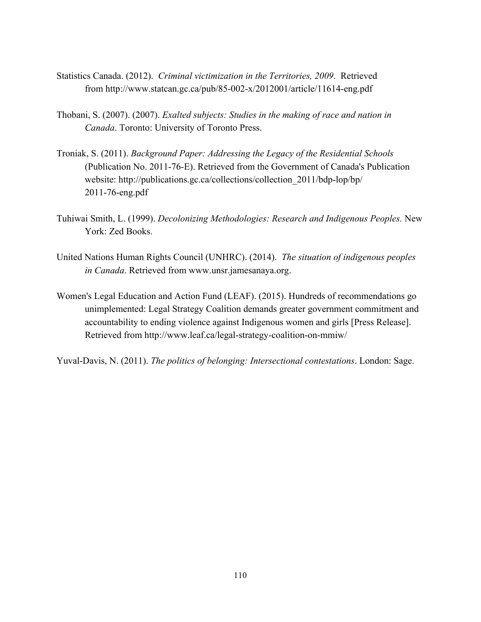- Statistics Canada. (2012). *Criminal victimization in the Territories, 2009*. Retrieved from http://www.statcan.gc.ca/pub/85-002-x/2012001/article/11614-eng.pdf
- Thobani, S. (2007). (2007). *Exalted subjects: Studies in the making of race and nation in Canada*. Toronto: University of Toronto Press.
- Troniak, S. (2011). *Background Paper: Addressing the Legacy of the Residential Schools* (Publication No. 2011-76-E). Retrieved from the Government of Canada's Publication website: http://publications.gc.ca/collections/collection\_2011/bdp-lop/bp/ 2011-76-eng.pdf
- Tuhiwai Smith, L. (1999). *Decolonizing Methodologies: Research and Indigenous Peoples.* New York: Zed Books.
- United Nations Human Rights Council (UNHRC). (2014). *The situation of indigenous peoples in Canada*. Retrieved from www.unsr.jamesanaya.org.
- Women's Legal Education and Action Fund (LEAF). (2015). Hundreds of recommendations go unimplemented: Legal Strategy Coalition demands greater government commitment and accountability to ending violence against Indigenous women and girls [Press Release]. Retrieved from http://www.leaf.ca/legal-strategy-coalition-on-mmiw/

Yuval-Davis, N. (2011). *The politics of belonging: Intersectional contestations*. London: Sage.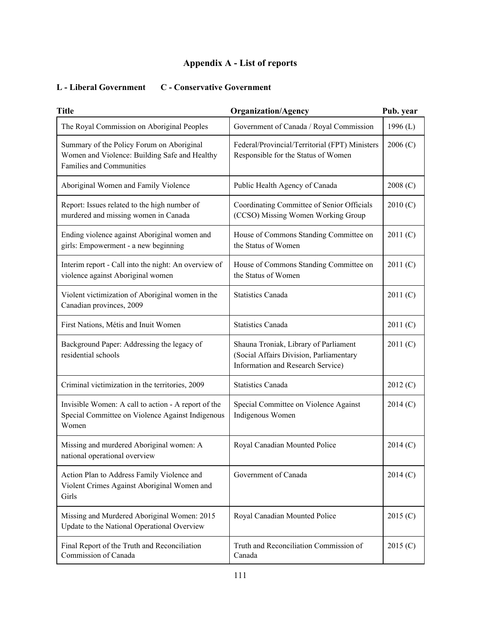# **Appendix A List of reports**

## **L Liberal Government C Conservative Government**

| <b>Title</b>                                                                                                                  | <b>Organization/Agency</b>                                                                                            | Pub. year  |
|-------------------------------------------------------------------------------------------------------------------------------|-----------------------------------------------------------------------------------------------------------------------|------------|
| The Royal Commission on Aboriginal Peoples                                                                                    | Government of Canada / Royal Commission                                                                               | 1996 $(L)$ |
| Summary of the Policy Forum on Aboriginal<br>Women and Violence: Building Safe and Healthy<br><b>Families and Communities</b> | Federal/Provincial/Territorial (FPT) Ministers<br>Responsible for the Status of Women                                 | 2006(C)    |
| Aboriginal Women and Family Violence                                                                                          | Public Health Agency of Canada                                                                                        | 2008(C)    |
| Report: Issues related to the high number of<br>murdered and missing women in Canada                                          | Coordinating Committee of Senior Officials<br>(CCSO) Missing Women Working Group                                      | 2010(C)    |
| Ending violence against Aboriginal women and<br>girls: Empowerment - a new beginning                                          | House of Commons Standing Committee on<br>the Status of Women                                                         | 2011(C)    |
| Interim report - Call into the night: An overview of<br>violence against Aboriginal women                                     | House of Commons Standing Committee on<br>the Status of Women                                                         | 2011(C)    |
| Violent victimization of Aboriginal women in the<br>Canadian provinces, 2009                                                  | <b>Statistics Canada</b>                                                                                              | 2011(C)    |
| First Nations, Métis and Inuit Women                                                                                          | <b>Statistics Canada</b>                                                                                              | 2011 (C)   |
| Background Paper: Addressing the legacy of<br>residential schools                                                             | Shauna Troniak, Library of Parliament<br>(Social Affairs Division, Parliamentary<br>Information and Research Service) | 2011(C)    |
| Criminal victimization in the territories, 2009                                                                               | <b>Statistics Canada</b>                                                                                              | 2012 (C)   |
| Invisible Women: A call to action - A report of the<br>Special Committee on Violence Against Indigenous<br>Women              | Special Committee on Violence Against<br>Indigenous Women                                                             | 2014 (C)   |
| Missing and murdered Aboriginal women: A<br>national operational overview                                                     | Royal Canadian Mounted Police                                                                                         | 2014 (C)   |
| Action Plan to Address Family Violence and<br>Violent Crimes Against Aboriginal Women and<br>Girls                            | Government of Canada                                                                                                  | 2014 (C)   |
| Missing and Murdered Aboriginal Women: 2015<br>Update to the National Operational Overview                                    | Royal Canadian Mounted Police                                                                                         | 2015 (C)   |
| Final Report of the Truth and Reconciliation<br>Commission of Canada                                                          | Truth and Reconciliation Commission of<br>Canada                                                                      | 2015 (C)   |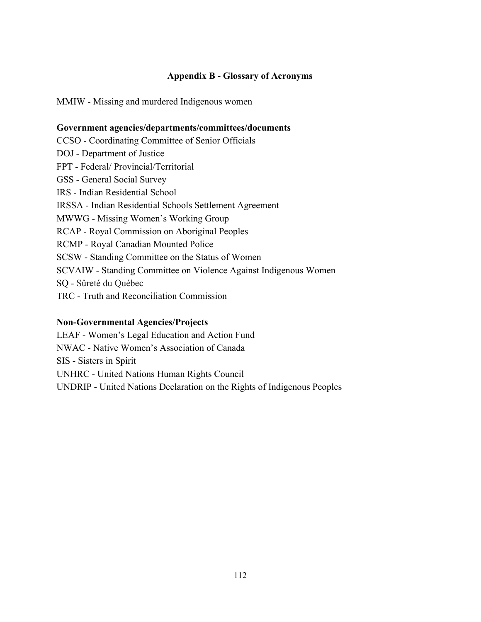### **Appendix B Glossary of Acronyms**

MMIW - Missing and murdered Indigenous women

#### **Government agencies/departments/committees/documents**

CCSO - Coordinating Committee of Senior Officials DOJ - Department of Justice FPT - Federal/ Provincial/Territorial GSS - General Social Survey IRS - Indian Residential School IRSSA Indian Residential Schools Settlement Agreement MWWG - Missing Women's Working Group RCAP - Royal Commission on Aboriginal Peoples RCMP - Royal Canadian Mounted Police SCSW - Standing Committee on the Status of Women SCVAIW - Standing Committee on Violence Against Indigenous Women SQ - Sûreté du Québec TRC - Truth and Reconciliation Commission

#### **NonGovernmental Agencies/Projects**

LEAF - Women's Legal Education and Action Fund NWAC - Native Women's Association of Canada SIS - Sisters in Spirit UNHRC United Nations Human Rights Council UNDRIP United Nations Declaration on the Rights of Indigenous Peoples